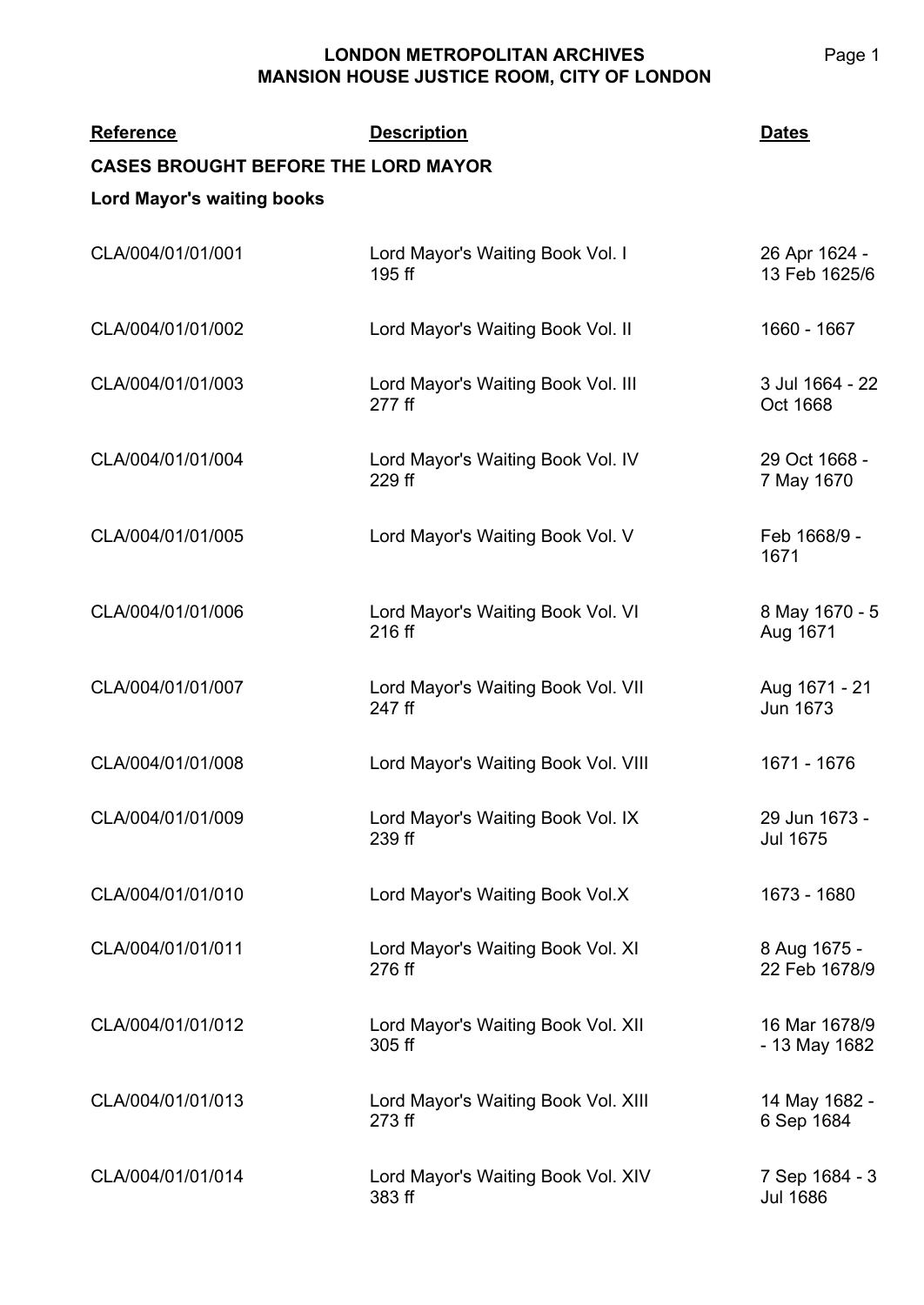| <b>Reference</b><br><b>CASES BROUGHT BEFORE THE LORD MAYOR</b><br><b>Lord Mayor's waiting books</b> | <b>Description</b>                            | <b>Dates</b>                      |
|-----------------------------------------------------------------------------------------------------|-----------------------------------------------|-----------------------------------|
| CLA/004/01/01/001                                                                                   | Lord Mayor's Waiting Book Vol. I<br>195 ff    | 26 Apr 1624 -<br>13 Feb 1625/6    |
| CLA/004/01/01/002                                                                                   | Lord Mayor's Waiting Book Vol. II             | 1660 - 1667                       |
| CLA/004/01/01/003                                                                                   | Lord Mayor's Waiting Book Vol. III<br>277 ff  | 3 Jul 1664 - 22<br>Oct 1668       |
| CLA/004/01/01/004                                                                                   | Lord Mayor's Waiting Book Vol. IV<br>229 ff   | 29 Oct 1668 -<br>7 May 1670       |
| CLA/004/01/01/005                                                                                   | Lord Mayor's Waiting Book Vol. V              | Feb 1668/9 -<br>1671              |
| CLA/004/01/01/006                                                                                   | Lord Mayor's Waiting Book Vol. VI<br>216 ff   | 8 May 1670 - 5<br>Aug 1671        |
| CLA/004/01/01/007                                                                                   | Lord Mayor's Waiting Book Vol. VII<br>247 ff  | Aug 1671 - 21<br><b>Jun 1673</b>  |
| CLA/004/01/01/008                                                                                   | Lord Mayor's Waiting Book Vol. VIII           | 1671 - 1676                       |
| CLA/004/01/01/009                                                                                   | Lord Mayor's Waiting Book Vol. IX<br>239 ff   | 29 Jun 1673 -<br><b>Jul 1675</b>  |
| CLA/004/01/01/010                                                                                   | Lord Mayor's Waiting Book Vol.X               | 1673 - 1680                       |
| CLA/004/01/01/011                                                                                   | Lord Mayor's Waiting Book Vol. XI<br>276 ff   | 8 Aug 1675 -<br>22 Feb 1678/9     |
| CLA/004/01/01/012                                                                                   | Lord Mayor's Waiting Book Vol. XII<br>305 ff  | 16 Mar 1678/9<br>- 13 May 1682    |
| CLA/004/01/01/013                                                                                   | Lord Mayor's Waiting Book Vol. XIII<br>273 ff | 14 May 1682 -<br>6 Sep 1684       |
| CLA/004/01/01/014                                                                                   | Lord Mayor's Waiting Book Vol. XIV<br>383 ff  | 7 Sep 1684 - 3<br><b>Jul 1686</b> |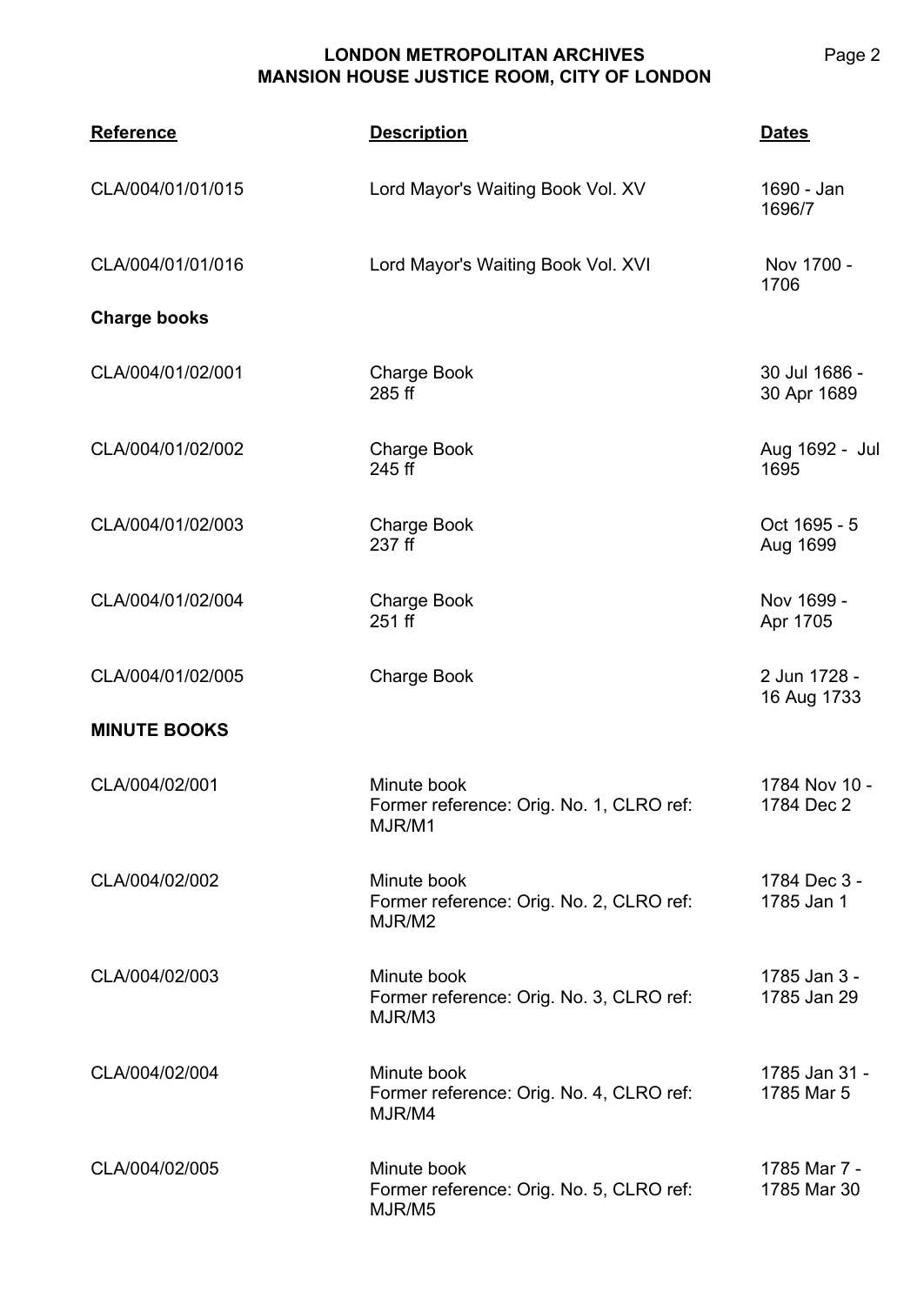| <b>Reference</b>    | <b>Description</b>                                                | <b>Dates</b>                 |
|---------------------|-------------------------------------------------------------------|------------------------------|
| CLA/004/01/01/015   | Lord Mayor's Waiting Book Vol. XV                                 | 1690 - Jan<br>1696/7         |
| CLA/004/01/01/016   | Lord Mayor's Waiting Book Vol. XVI                                | Nov 1700 -<br>1706           |
| <b>Charge books</b> |                                                                   |                              |
| CLA/004/01/02/001   | <b>Charge Book</b><br>285 ff                                      | 30 Jul 1686 -<br>30 Apr 1689 |
| CLA/004/01/02/002   | <b>Charge Book</b><br>245 ff                                      | Aug 1692 - Jul<br>1695       |
| CLA/004/01/02/003   | <b>Charge Book</b><br>237 ff                                      | Oct 1695 - 5<br>Aug 1699     |
| CLA/004/01/02/004   | <b>Charge Book</b><br>251 ff                                      | Nov 1699 -<br>Apr 1705       |
| CLA/004/01/02/005   | <b>Charge Book</b>                                                | 2 Jun 1728 -<br>16 Aug 1733  |
| <b>MINUTE BOOKS</b> |                                                                   |                              |
| CLA/004/02/001      | Minute book<br>Former reference: Orig. No. 1, CLRO ref:<br>MJR/M1 | 1784 Nov 10 -<br>1784 Dec 2  |
| CLA/004/02/002      | Minute book<br>Former reference: Orig. No. 2, CLRO ref:<br>MJR/M2 | 1784 Dec 3 -<br>1785 Jan 1   |
| CLA/004/02/003      | Minute book<br>Former reference: Orig. No. 3, CLRO ref:<br>MJR/M3 | 1785 Jan 3 -<br>1785 Jan 29  |
| CLA/004/02/004      | Minute book<br>Former reference: Orig. No. 4, CLRO ref:<br>MJR/M4 | 1785 Jan 31 -<br>1785 Mar 5  |
| CLA/004/02/005      | Minute book<br>Former reference: Orig. No. 5, CLRO ref:<br>MJR/M5 | 1785 Mar 7 -<br>1785 Mar 30  |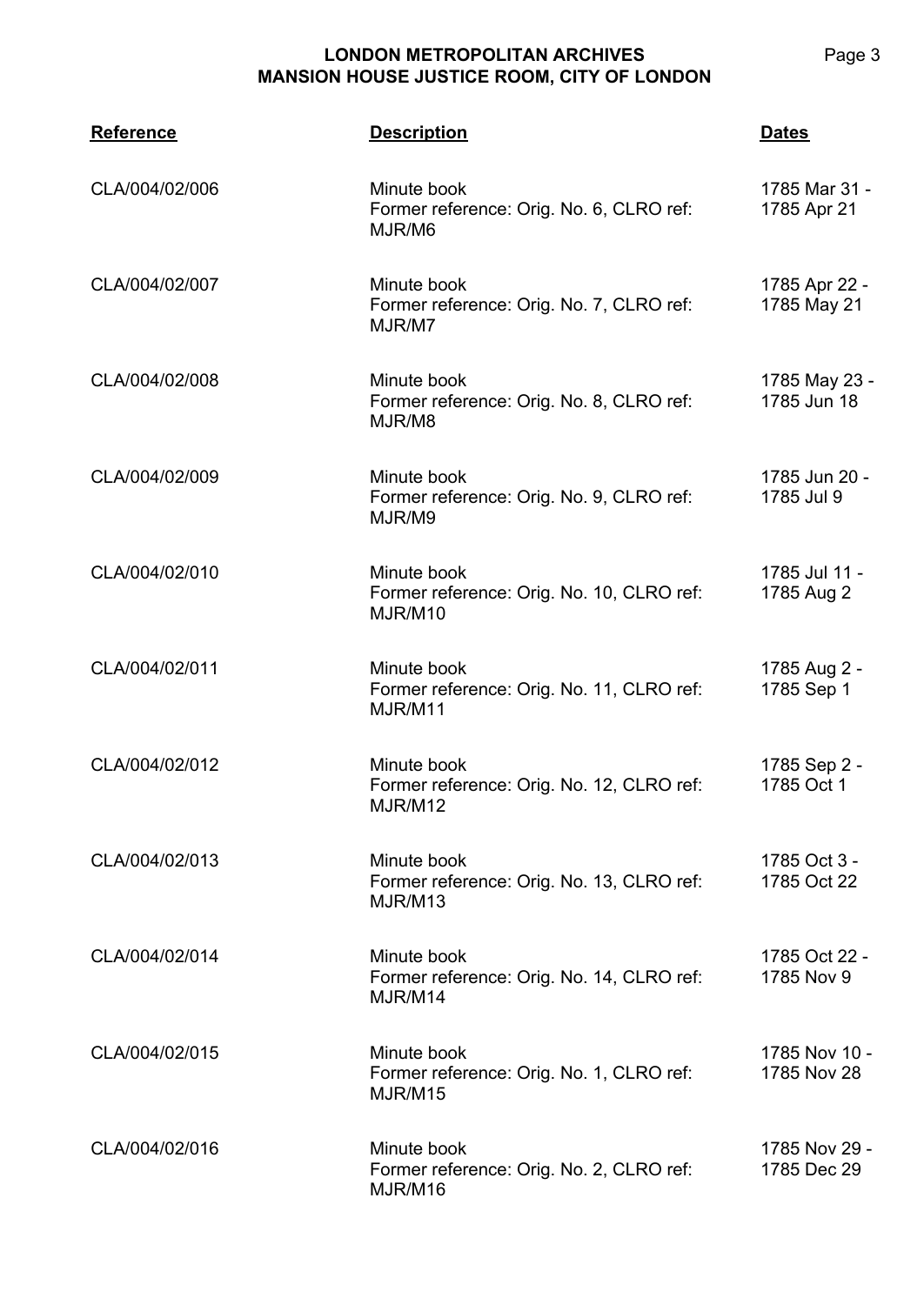| <b>Reference</b> | <b>Description</b>                                                  | <b>Dates</b>                 |
|------------------|---------------------------------------------------------------------|------------------------------|
| CLA/004/02/006   | Minute book<br>Former reference: Orig. No. 6, CLRO ref:<br>MJR/M6   | 1785 Mar 31 -<br>1785 Apr 21 |
| CLA/004/02/007   | Minute book<br>Former reference: Orig. No. 7, CLRO ref:<br>MJR/M7   | 1785 Apr 22 -<br>1785 May 21 |
| CLA/004/02/008   | Minute book<br>Former reference: Orig. No. 8, CLRO ref:<br>MJR/M8   | 1785 May 23 -<br>1785 Jun 18 |
| CLA/004/02/009   | Minute book<br>Former reference: Orig. No. 9, CLRO ref:<br>MJR/M9   | 1785 Jun 20 -<br>1785 Jul 9  |
| CLA/004/02/010   | Minute book<br>Former reference: Orig. No. 10, CLRO ref:<br>MJR/M10 | 1785 Jul 11 -<br>1785 Aug 2  |
| CLA/004/02/011   | Minute book<br>Former reference: Orig. No. 11, CLRO ref:<br>MJR/M11 | 1785 Aug 2 -<br>1785 Sep 1   |
| CLA/004/02/012   | Minute book<br>Former reference: Orig. No. 12, CLRO ref:<br>MJR/M12 | 1785 Sep 2 -<br>1785 Oct 1   |
| CLA/004/02/013   | Minute book<br>Former reference: Orig. No. 13, CLRO ref:<br>MJR/M13 | 1785 Oct 3 -<br>1785 Oct 22  |
| CLA/004/02/014   | Minute book<br>Former reference: Orig. No. 14, CLRO ref:<br>MJR/M14 | 1785 Oct 22 -<br>1785 Nov 9  |
| CLA/004/02/015   | Minute book<br>Former reference: Orig. No. 1, CLRO ref:<br>MJR/M15  | 1785 Nov 10 -<br>1785 Nov 28 |
| CLA/004/02/016   | Minute book<br>Former reference: Orig. No. 2, CLRO ref:<br>MJR/M16  | 1785 Nov 29 -<br>1785 Dec 29 |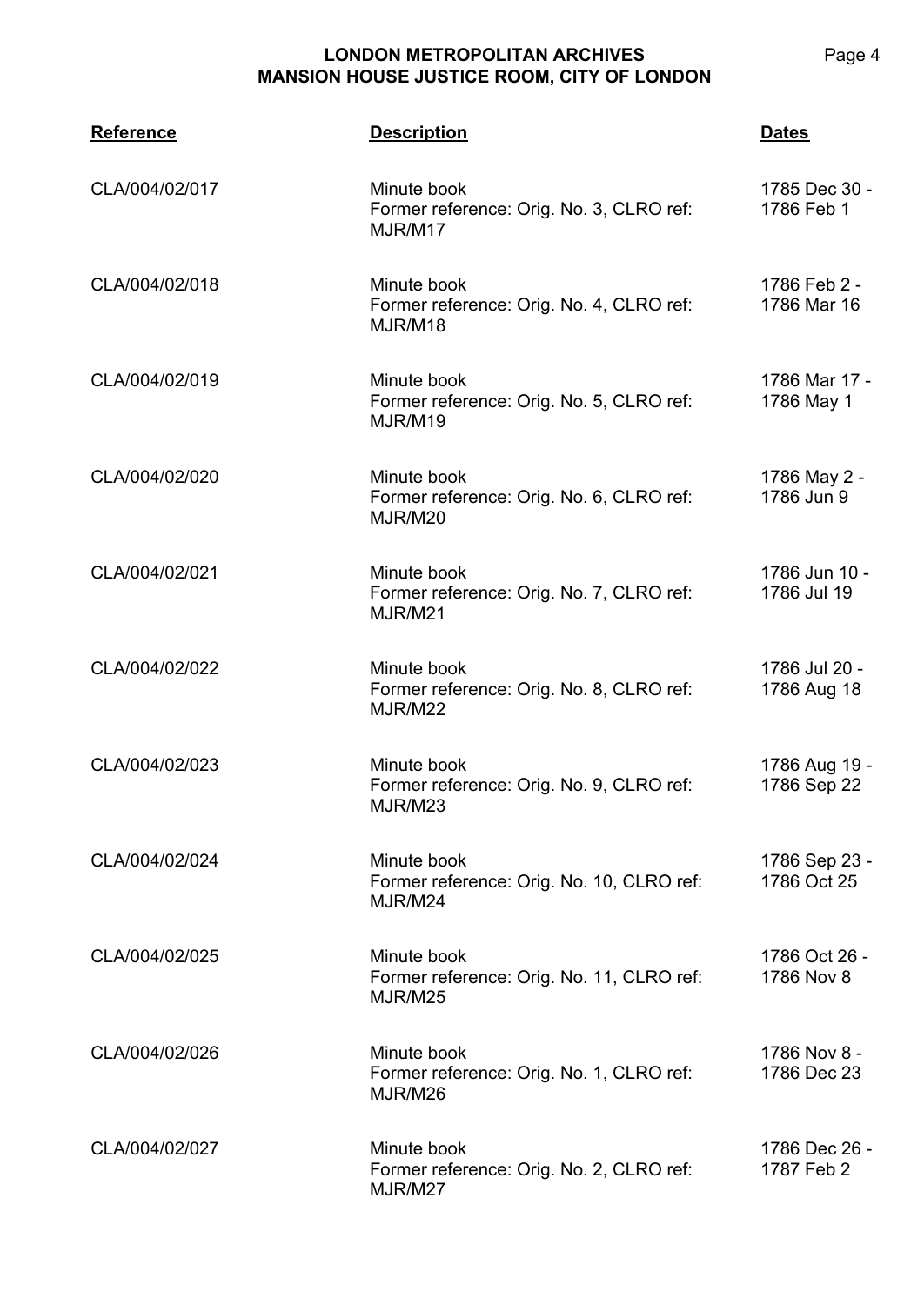| <b>Reference</b> | <b>Description</b>                                                  | <b>Dates</b>                 |
|------------------|---------------------------------------------------------------------|------------------------------|
| CLA/004/02/017   | Minute book<br>Former reference: Orig. No. 3, CLRO ref:<br>MJR/M17  | 1785 Dec 30 -<br>1786 Feb 1  |
| CLA/004/02/018   | Minute book<br>Former reference: Orig. No. 4, CLRO ref:<br>MJR/M18  | 1786 Feb 2 -<br>1786 Mar 16  |
| CLA/004/02/019   | Minute book<br>Former reference: Orig. No. 5, CLRO ref:<br>MJR/M19  | 1786 Mar 17 -<br>1786 May 1  |
| CLA/004/02/020   | Minute book<br>Former reference: Orig. No. 6, CLRO ref:<br>MJR/M20  | 1786 May 2 -<br>1786 Jun 9   |
| CLA/004/02/021   | Minute book<br>Former reference: Orig. No. 7, CLRO ref:<br>MJR/M21  | 1786 Jun 10 -<br>1786 Jul 19 |
| CLA/004/02/022   | Minute book<br>Former reference: Orig. No. 8, CLRO ref:<br>MJR/M22  | 1786 Jul 20 -<br>1786 Aug 18 |
| CLA/004/02/023   | Minute book<br>Former reference: Orig. No. 9, CLRO ref:<br>MJR/M23  | 1786 Aug 19 -<br>1786 Sep 22 |
| CLA/004/02/024   | Minute book<br>Former reference: Orig. No. 10, CLRO ref:<br>MJR/M24 | 1786 Sep 23 -<br>1786 Oct 25 |
| CLA/004/02/025   | Minute book<br>Former reference: Orig. No. 11, CLRO ref:<br>MJR/M25 | 1786 Oct 26 -<br>1786 Nov 8  |
| CLA/004/02/026   | Minute book<br>Former reference: Orig. No. 1, CLRO ref:<br>MJR/M26  | 1786 Nov 8 -<br>1786 Dec 23  |
| CLA/004/02/027   | Minute book<br>Former reference: Orig. No. 2, CLRO ref:<br>MJR/M27  | 1786 Dec 26 -<br>1787 Feb 2  |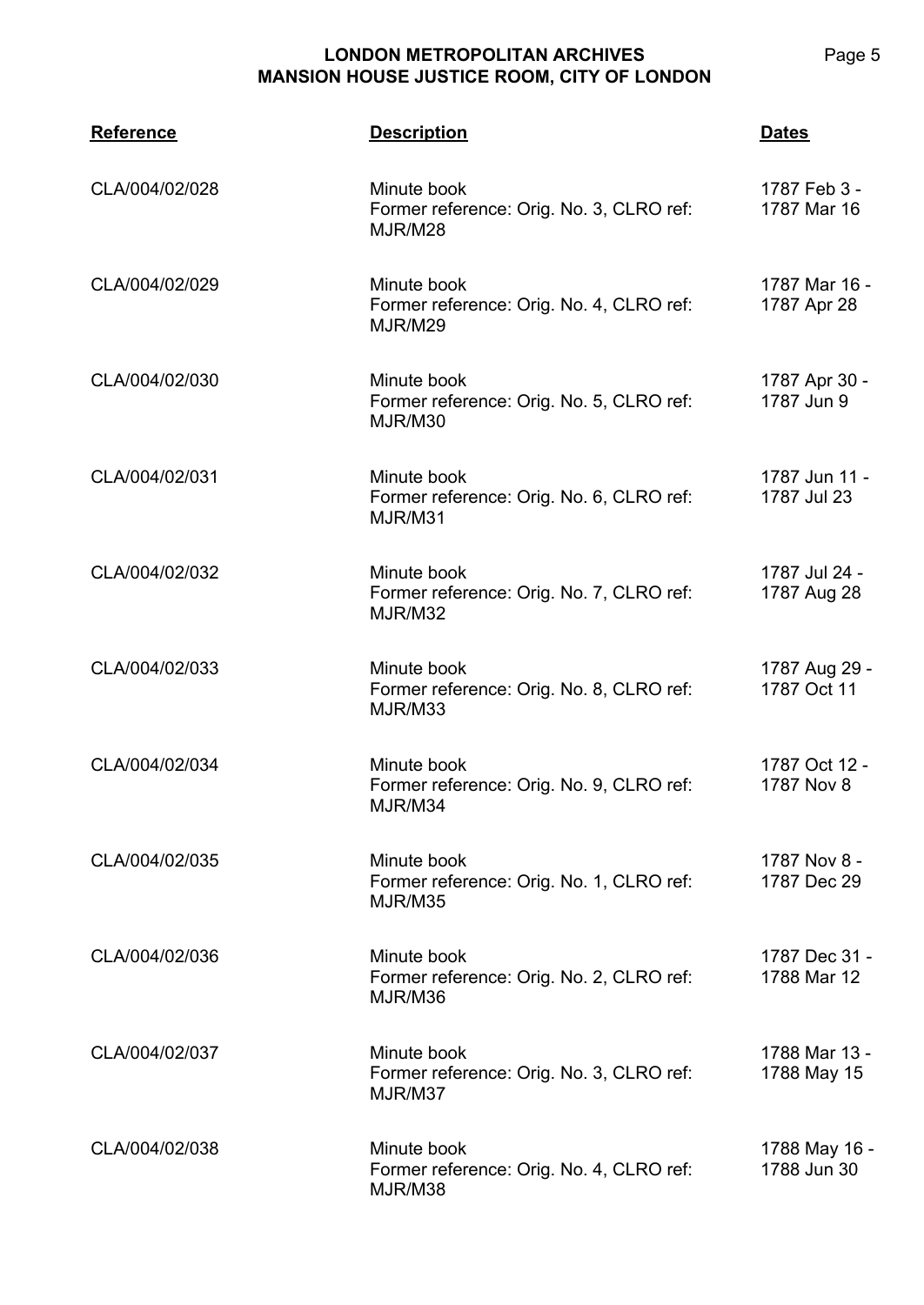| <b>Reference</b> | <b>Description</b>                                                 | <b>Dates</b>                 |
|------------------|--------------------------------------------------------------------|------------------------------|
| CLA/004/02/028   | Minute book<br>Former reference: Orig. No. 3, CLRO ref:<br>MJR/M28 | 1787 Feb 3 -<br>1787 Mar 16  |
| CLA/004/02/029   | Minute book<br>Former reference: Orig. No. 4, CLRO ref:<br>MJR/M29 | 1787 Mar 16 -<br>1787 Apr 28 |
| CLA/004/02/030   | Minute book<br>Former reference: Orig. No. 5, CLRO ref:<br>MJR/M30 | 1787 Apr 30 -<br>1787 Jun 9  |
| CLA/004/02/031   | Minute book<br>Former reference: Orig. No. 6, CLRO ref:<br>MJR/M31 | 1787 Jun 11 -<br>1787 Jul 23 |
| CLA/004/02/032   | Minute book<br>Former reference: Orig. No. 7, CLRO ref:<br>MJR/M32 | 1787 Jul 24 -<br>1787 Aug 28 |
| CLA/004/02/033   | Minute book<br>Former reference: Orig. No. 8, CLRO ref:<br>MJR/M33 | 1787 Aug 29 -<br>1787 Oct 11 |
| CLA/004/02/034   | Minute book<br>Former reference: Orig. No. 9, CLRO ref:<br>MJR/M34 | 1787 Oct 12 -<br>1787 Nov 8  |
| CLA/004/02/035   | Minute book<br>Former reference: Orig. No. 1, CLRO ref:<br>MJR/M35 | 1787 Nov 8 -<br>1787 Dec 29  |
| CLA/004/02/036   | Minute book<br>Former reference: Orig. No. 2, CLRO ref:<br>MJR/M36 | 1787 Dec 31 -<br>1788 Mar 12 |
| CLA/004/02/037   | Minute book<br>Former reference: Orig. No. 3, CLRO ref:<br>MJR/M37 | 1788 Mar 13 -<br>1788 May 15 |
| CLA/004/02/038   | Minute book<br>Former reference: Orig. No. 4, CLRO ref:<br>MJR/M38 | 1788 May 16 -<br>1788 Jun 30 |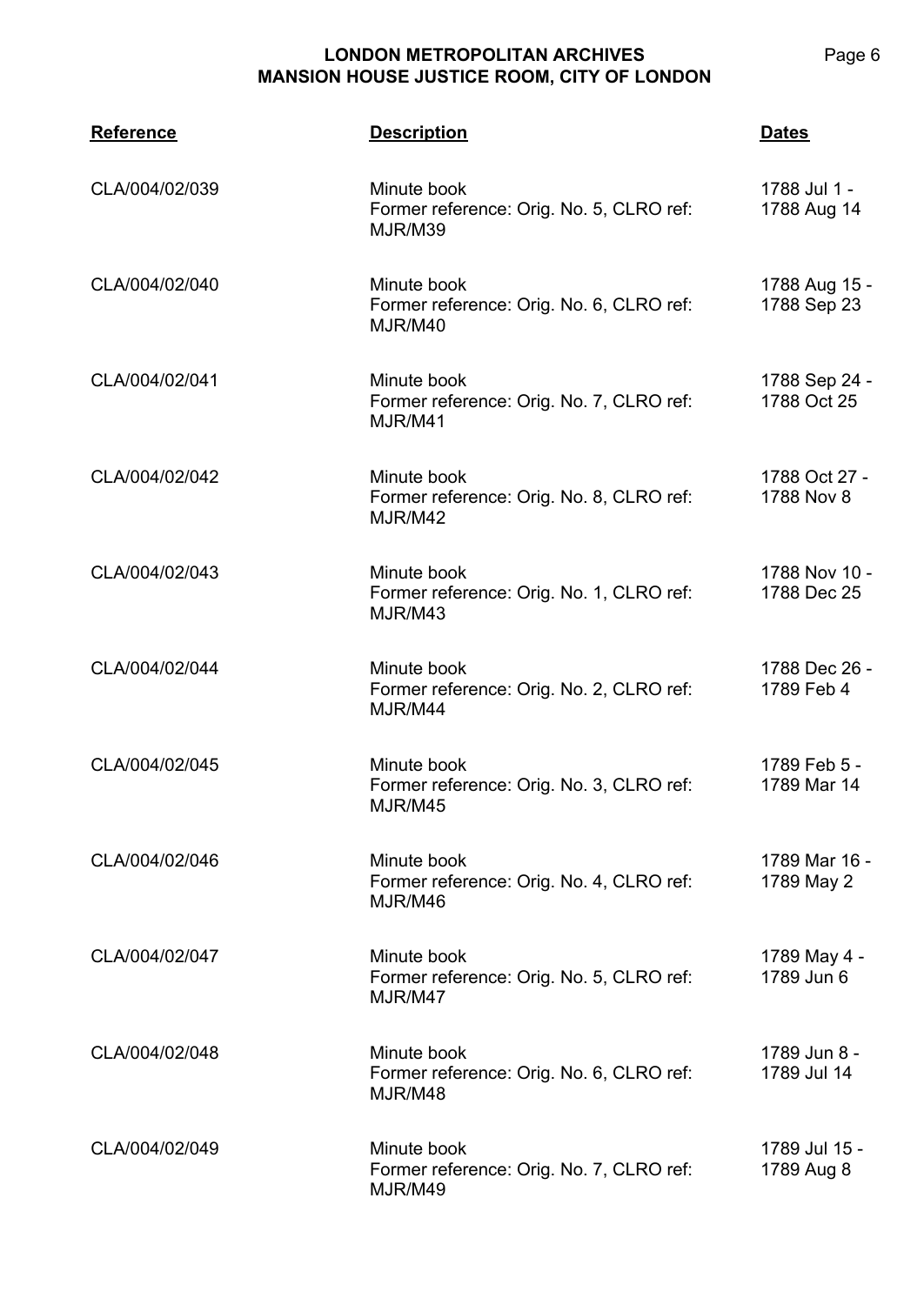| <b>Reference</b> | <b>Description</b>                                                 | <b>Dates</b>                 |
|------------------|--------------------------------------------------------------------|------------------------------|
| CLA/004/02/039   | Minute book<br>Former reference: Orig. No. 5, CLRO ref:<br>MJR/M39 | 1788 Jul 1 -<br>1788 Aug 14  |
| CLA/004/02/040   | Minute book<br>Former reference: Orig. No. 6, CLRO ref:<br>MJR/M40 | 1788 Aug 15 -<br>1788 Sep 23 |
| CLA/004/02/041   | Minute book<br>Former reference: Orig. No. 7, CLRO ref:<br>MJR/M41 | 1788 Sep 24 -<br>1788 Oct 25 |
| CLA/004/02/042   | Minute book<br>Former reference: Orig. No. 8, CLRO ref:<br>MJR/M42 | 1788 Oct 27 -<br>1788 Nov 8  |
| CLA/004/02/043   | Minute book<br>Former reference: Orig. No. 1, CLRO ref:<br>MJR/M43 | 1788 Nov 10 -<br>1788 Dec 25 |
| CLA/004/02/044   | Minute book<br>Former reference: Orig. No. 2, CLRO ref:<br>MJR/M44 | 1788 Dec 26 -<br>1789 Feb 4  |
| CLA/004/02/045   | Minute book<br>Former reference: Orig. No. 3, CLRO ref:<br>MJR/M45 | 1789 Feb 5 -<br>1789 Mar 14  |
| CLA/004/02/046   | Minute book<br>Former reference: Orig. No. 4, CLRO ref:<br>MJR/M46 | 1789 Mar 16 -<br>1789 May 2  |
| CLA/004/02/047   | Minute book<br>Former reference: Orig. No. 5, CLRO ref:<br>MJR/M47 | 1789 May 4 -<br>1789 Jun 6   |
| CLA/004/02/048   | Minute book<br>Former reference: Orig. No. 6, CLRO ref:<br>MJR/M48 | 1789 Jun 8 -<br>1789 Jul 14  |
| CLA/004/02/049   | Minute book<br>Former reference: Orig. No. 7, CLRO ref:<br>MJR/M49 | 1789 Jul 15 -<br>1789 Aug 8  |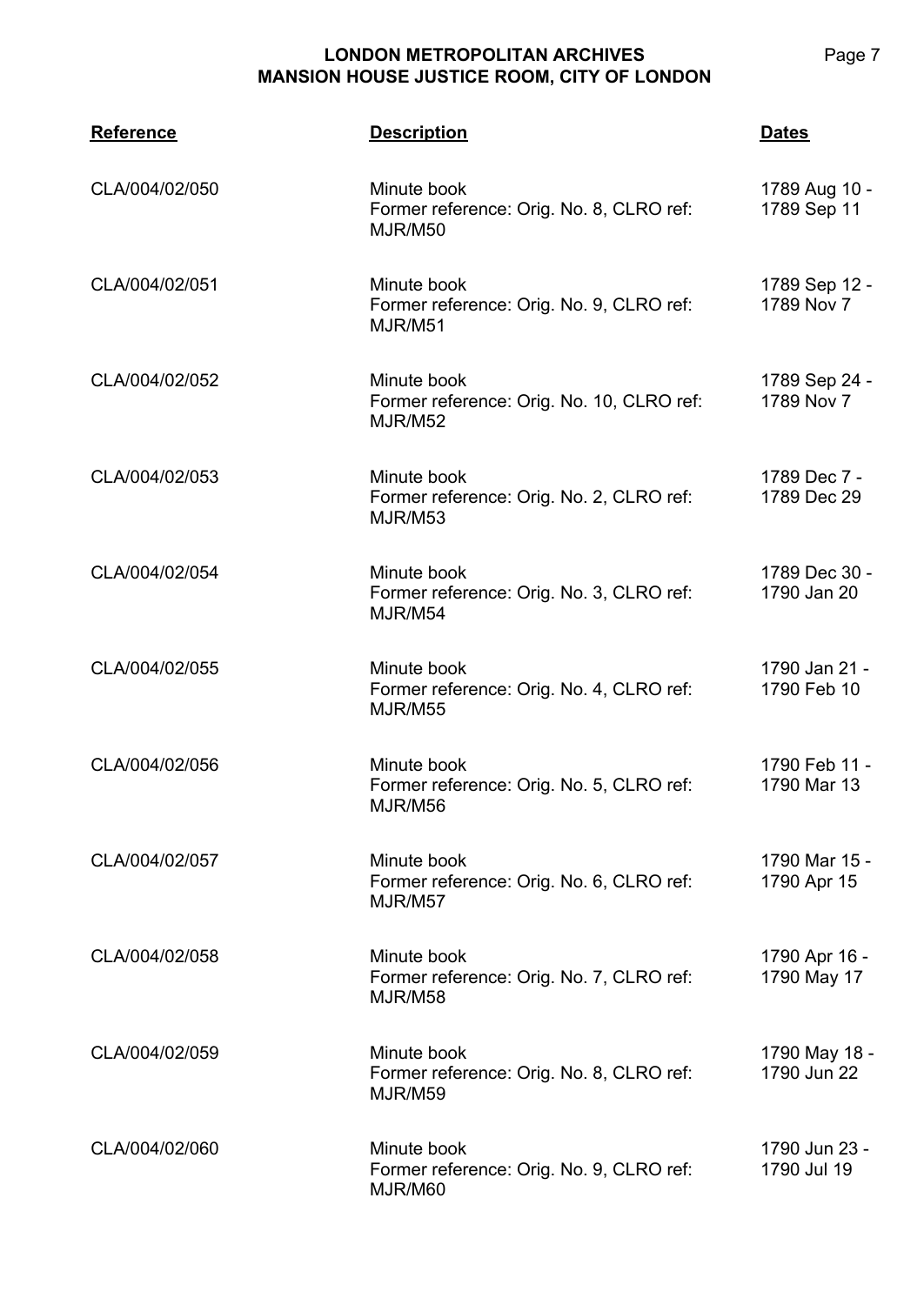| <b>Reference</b> | <b>Description</b>                                                  | <b>Dates</b>                 |
|------------------|---------------------------------------------------------------------|------------------------------|
| CLA/004/02/050   | Minute book<br>Former reference: Orig. No. 8, CLRO ref:<br>MJR/M50  | 1789 Aug 10 -<br>1789 Sep 11 |
| CLA/004/02/051   | Minute book<br>Former reference: Orig. No. 9, CLRO ref:<br>MJR/M51  | 1789 Sep 12 -<br>1789 Nov 7  |
| CLA/004/02/052   | Minute book<br>Former reference: Orig. No. 10, CLRO ref:<br>MJR/M52 | 1789 Sep 24 -<br>1789 Nov 7  |
| CLA/004/02/053   | Minute book<br>Former reference: Orig. No. 2, CLRO ref:<br>MJR/M53  | 1789 Dec 7 -<br>1789 Dec 29  |
| CLA/004/02/054   | Minute book<br>Former reference: Orig. No. 3, CLRO ref:<br>MJR/M54  | 1789 Dec 30 -<br>1790 Jan 20 |
| CLA/004/02/055   | Minute book<br>Former reference: Orig. No. 4, CLRO ref:<br>MJR/M55  | 1790 Jan 21 -<br>1790 Feb 10 |
| CLA/004/02/056   | Minute book<br>Former reference: Orig. No. 5, CLRO ref:<br>MJR/M56  | 1790 Feb 11 -<br>1790 Mar 13 |
| CLA/004/02/057   | Minute book<br>Former reference: Orig. No. 6, CLRO ref:<br>MJR/M57  | 1790 Mar 15 -<br>1790 Apr 15 |
| CLA/004/02/058   | Minute book<br>Former reference: Orig. No. 7, CLRO ref:<br>MJR/M58  | 1790 Apr 16 -<br>1790 May 17 |
| CLA/004/02/059   | Minute book<br>Former reference: Orig. No. 8, CLRO ref:<br>MJR/M59  | 1790 May 18 -<br>1790 Jun 22 |
| CLA/004/02/060   | Minute book<br>Former reference: Orig. No. 9, CLRO ref:<br>MJR/M60  | 1790 Jun 23 -<br>1790 Jul 19 |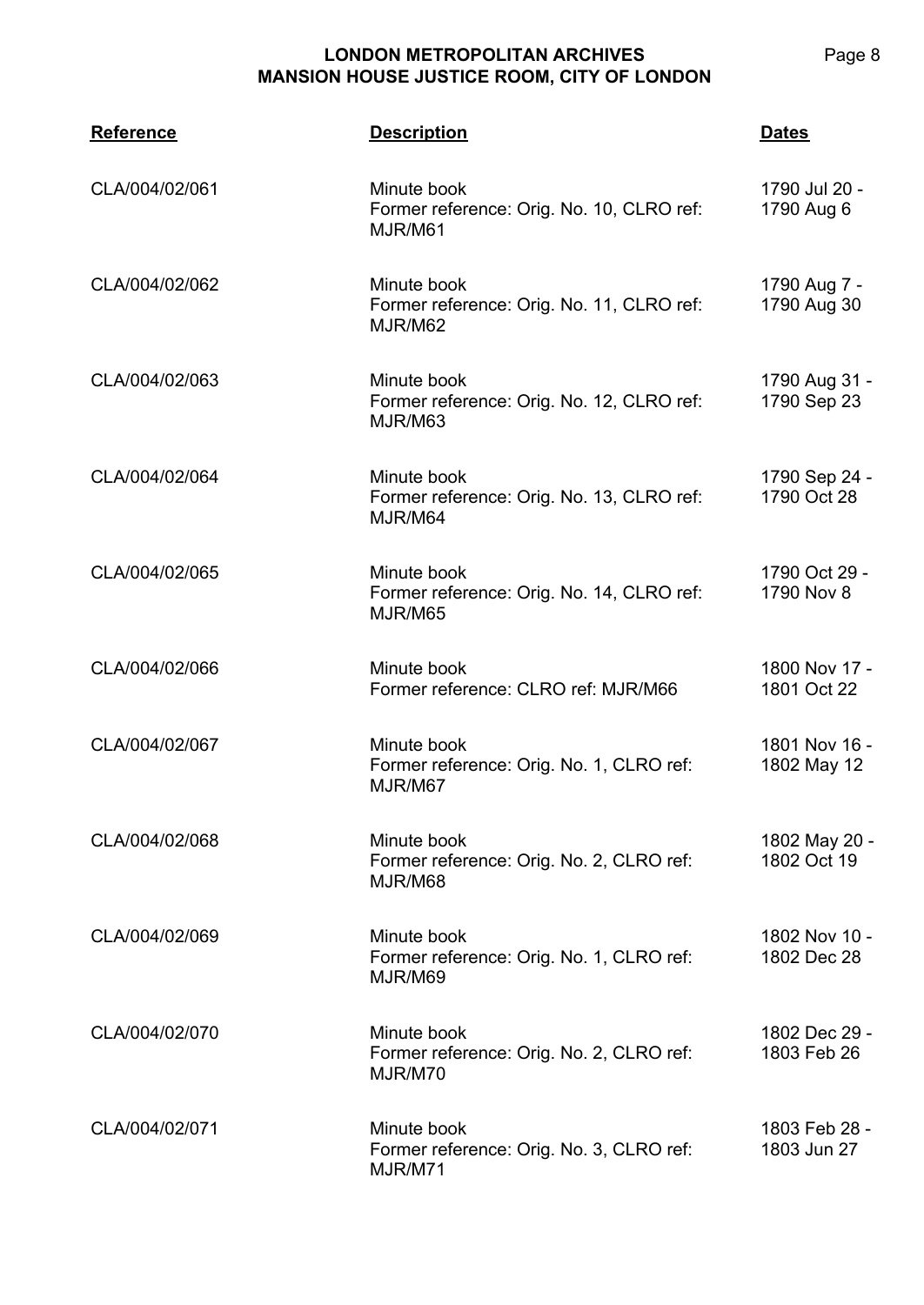| <b>Reference</b> | <b>Description</b>                                                  | <b>Dates</b>                 |
|------------------|---------------------------------------------------------------------|------------------------------|
| CLA/004/02/061   | Minute book<br>Former reference: Orig. No. 10, CLRO ref:<br>MJR/M61 | 1790 Jul 20 -<br>1790 Aug 6  |
| CLA/004/02/062   | Minute book<br>Former reference: Orig. No. 11, CLRO ref:<br>MJR/M62 | 1790 Aug 7 -<br>1790 Aug 30  |
| CLA/004/02/063   | Minute book<br>Former reference: Orig. No. 12, CLRO ref:<br>MJR/M63 | 1790 Aug 31 -<br>1790 Sep 23 |
| CLA/004/02/064   | Minute book<br>Former reference: Orig. No. 13, CLRO ref:<br>MJR/M64 | 1790 Sep 24 -<br>1790 Oct 28 |
| CLA/004/02/065   | Minute book<br>Former reference: Orig. No. 14, CLRO ref:<br>MJR/M65 | 1790 Oct 29 -<br>1790 Nov 8  |
| CLA/004/02/066   | Minute book<br>Former reference: CLRO ref: MJR/M66                  | 1800 Nov 17 -<br>1801 Oct 22 |
| CLA/004/02/067   | Minute book<br>Former reference: Orig. No. 1, CLRO ref:<br>MJR/M67  | 1801 Nov 16 -<br>1802 May 12 |
| CLA/004/02/068   | Minute book<br>Former reference: Orig. No. 2, CLRO ref:<br>MJR/M68  | 1802 May 20 -<br>1802 Oct 19 |
| CLA/004/02/069   | Minute book<br>Former reference: Orig. No. 1, CLRO ref:<br>MJR/M69  | 1802 Nov 10 -<br>1802 Dec 28 |
| CLA/004/02/070   | Minute book<br>Former reference: Orig. No. 2, CLRO ref:<br>MJR/M70  | 1802 Dec 29 -<br>1803 Feb 26 |
| CLA/004/02/071   | Minute book<br>Former reference: Orig. No. 3, CLRO ref:<br>MJR/M71  | 1803 Feb 28 -<br>1803 Jun 27 |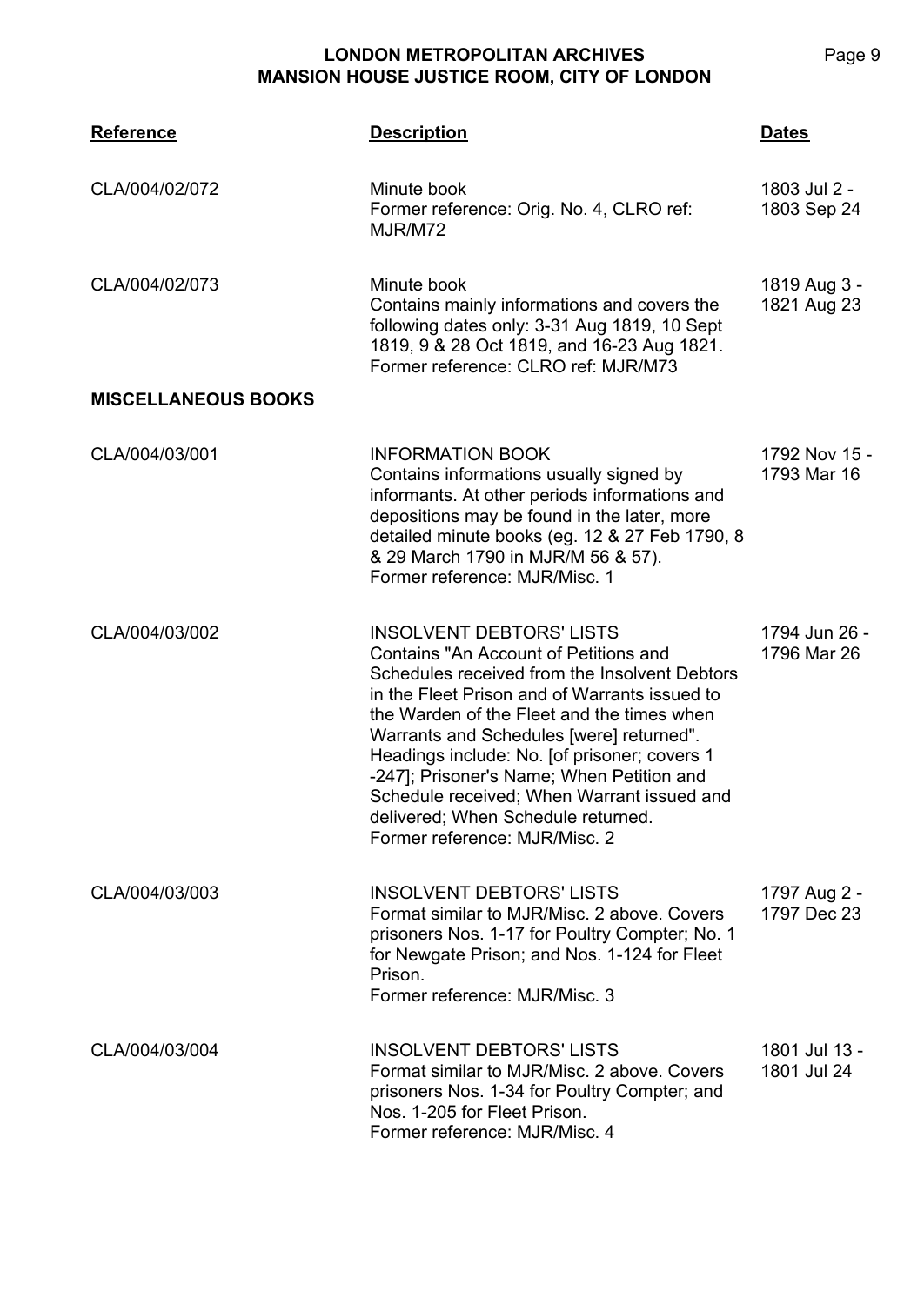| <b>Reference</b>           | <b>Description</b>                                                                                                                                                                                                                                                                                                                                                                                                                                                                     | <b>Dates</b>                 |
|----------------------------|----------------------------------------------------------------------------------------------------------------------------------------------------------------------------------------------------------------------------------------------------------------------------------------------------------------------------------------------------------------------------------------------------------------------------------------------------------------------------------------|------------------------------|
| CLA/004/02/072             | Minute book<br>Former reference: Orig. No. 4, CLRO ref:<br>MJR/M72                                                                                                                                                                                                                                                                                                                                                                                                                     | 1803 Jul 2 -<br>1803 Sep 24  |
| CLA/004/02/073             | Minute book<br>Contains mainly informations and covers the<br>following dates only: 3-31 Aug 1819, 10 Sept<br>1819, 9 & 28 Oct 1819, and 16-23 Aug 1821.<br>Former reference: CLRO ref: MJR/M73                                                                                                                                                                                                                                                                                        | 1819 Aug 3 -<br>1821 Aug 23  |
| <b>MISCELLANEOUS BOOKS</b> |                                                                                                                                                                                                                                                                                                                                                                                                                                                                                        |                              |
| CLA/004/03/001             | <b>INFORMATION BOOK</b><br>Contains informations usually signed by<br>informants. At other periods informations and<br>depositions may be found in the later, more<br>detailed minute books (eg. 12 & 27 Feb 1790, 8<br>& 29 March 1790 in MJR/M 56 & 57).<br>Former reference: MJR/Misc. 1                                                                                                                                                                                            | 1792 Nov 15 -<br>1793 Mar 16 |
| CLA/004/03/002             | <b>INSOLVENT DEBTORS' LISTS</b><br>Contains "An Account of Petitions and<br>Schedules received from the Insolvent Debtors<br>in the Fleet Prison and of Warrants issued to<br>the Warden of the Fleet and the times when<br>Warrants and Schedules [were] returned".<br>Headings include: No. [of prisoner; covers 1<br>-247]; Prisoner's Name; When Petition and<br>Schedule received; When Warrant issued and<br>delivered; When Schedule returned.<br>Former reference: MJR/Misc. 2 | 1794 Jun 26 -<br>1796 Mar 26 |
| CLA/004/03/003             | <b>INSOLVENT DEBTORS' LISTS</b><br>Format similar to MJR/Misc. 2 above. Covers<br>prisoners Nos. 1-17 for Poultry Compter; No. 1<br>for Newgate Prison; and Nos. 1-124 for Fleet<br>Prison.<br>Former reference: MJR/Misc. 3                                                                                                                                                                                                                                                           | 1797 Aug 2 -<br>1797 Dec 23  |
| CLA/004/03/004             | <b>INSOLVENT DEBTORS' LISTS</b><br>Format similar to MJR/Misc. 2 above. Covers<br>prisoners Nos. 1-34 for Poultry Compter; and<br>Nos. 1-205 for Fleet Prison.<br>Former reference: MJR/Misc. 4                                                                                                                                                                                                                                                                                        | 1801 Jul 13 -<br>1801 Jul 24 |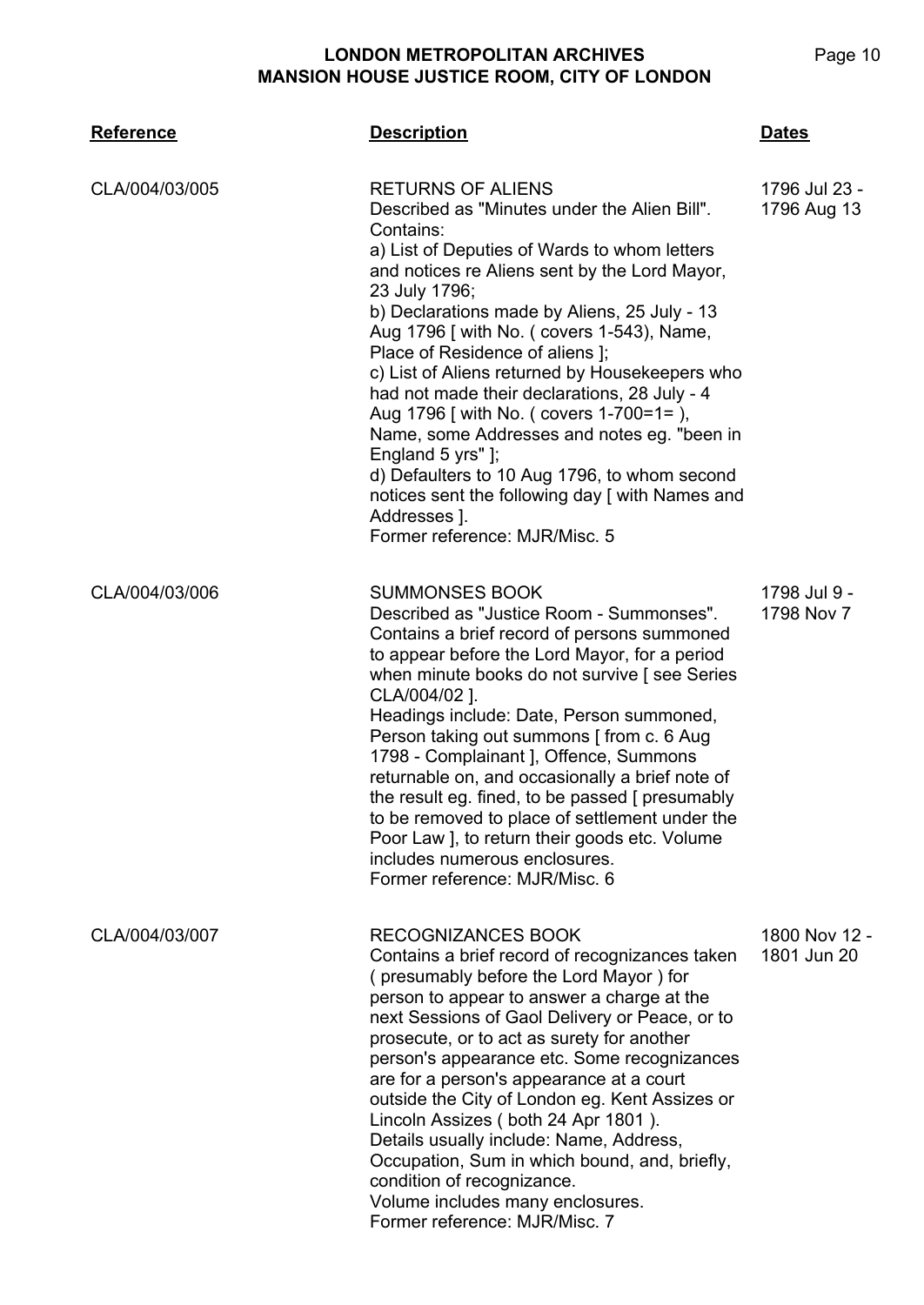| <b>Reference</b> | <b>Description</b>                                                                                                                                                                                                                                                                                                                                                                                                                                                                                                                                                                                                                                                                                            | <b>Dates</b>                 |
|------------------|---------------------------------------------------------------------------------------------------------------------------------------------------------------------------------------------------------------------------------------------------------------------------------------------------------------------------------------------------------------------------------------------------------------------------------------------------------------------------------------------------------------------------------------------------------------------------------------------------------------------------------------------------------------------------------------------------------------|------------------------------|
| CLA/004/03/005   | <b>RETURNS OF ALIENS</b><br>Described as "Minutes under the Alien Bill".<br>Contains:<br>a) List of Deputies of Wards to whom letters<br>and notices re Aliens sent by the Lord Mayor,<br>23 July 1796;<br>b) Declarations made by Aliens, 25 July - 13<br>Aug 1796 [ with No. ( covers 1-543), Name,<br>Place of Residence of aliens ];<br>c) List of Aliens returned by Housekeepers who<br>had not made their declarations, 28 July - 4<br>Aug 1796 [ with No. ( covers 1-700=1= ),<br>Name, some Addresses and notes eg. "been in<br>England 5 yrs"];<br>d) Defaulters to 10 Aug 1796, to whom second<br>notices sent the following day [ with Names and<br>Addresses ].<br>Former reference: MJR/Misc. 5 | 1796 Jul 23 -<br>1796 Aug 13 |
| CLA/004/03/006   | <b>SUMMONSES BOOK</b><br>Described as "Justice Room - Summonses".<br>Contains a brief record of persons summoned<br>to appear before the Lord Mayor, for a period<br>when minute books do not survive [see Series]<br>CLA/004/02 ].<br>Headings include: Date, Person summoned,<br>Person taking out summons [ from c. 6 Aug<br>1798 - Complainant J, Offence, Summons<br>returnable on, and occasionally a brief note of<br>the result eg. fined, to be passed [ presumably<br>to be removed to place of settlement under the<br>Poor Law J, to return their goods etc. Volume<br>includes numerous enclosures.<br>Former reference: MJR/Misc. 6                                                             | 1798 Jul 9 -<br>1798 Nov 7   |
| CLA/004/03/007   | <b>RECOGNIZANCES BOOK</b><br>Contains a brief record of recognizances taken<br>(presumably before the Lord Mayor) for<br>person to appear to answer a charge at the<br>next Sessions of Gaol Delivery or Peace, or to<br>prosecute, or to act as surety for another<br>person's appearance etc. Some recognizances<br>are for a person's appearance at a court<br>outside the City of London eg. Kent Assizes or<br>Lincoln Assizes (both 24 Apr 1801).<br>Details usually include: Name, Address,<br>Occupation, Sum in which bound, and, briefly,<br>condition of recognizance.<br>Volume includes many enclosures.<br>Former reference: MJR/Misc. 7                                                        | 1800 Nov 12 -<br>1801 Jun 20 |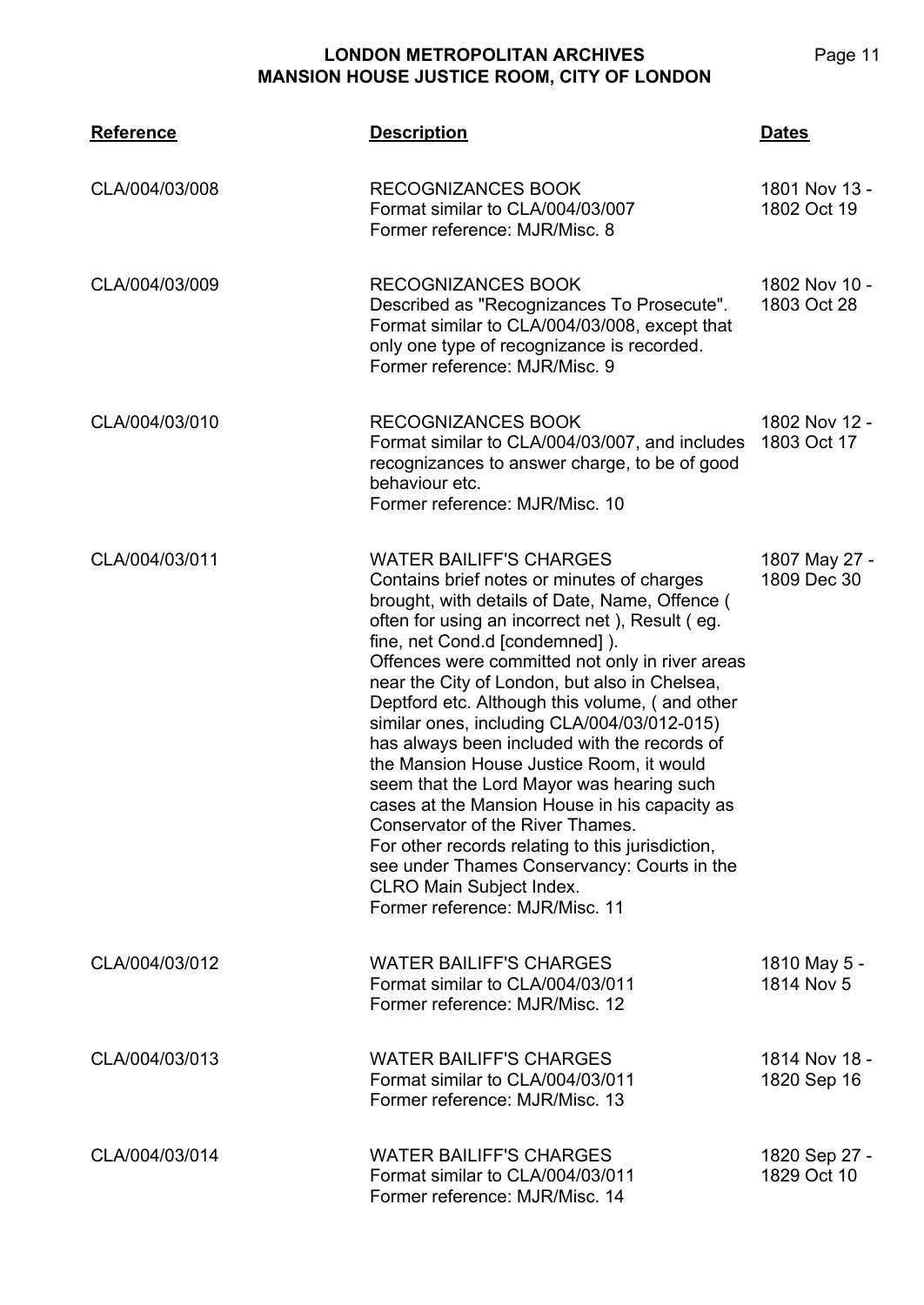| <b>Reference</b> | <b>Description</b>                                                                                                                                                                                                                                                                                                                                                                                                                                                                                                                                                                                                                                                                                                                                                                                                            | <b>Dates</b>                 |
|------------------|-------------------------------------------------------------------------------------------------------------------------------------------------------------------------------------------------------------------------------------------------------------------------------------------------------------------------------------------------------------------------------------------------------------------------------------------------------------------------------------------------------------------------------------------------------------------------------------------------------------------------------------------------------------------------------------------------------------------------------------------------------------------------------------------------------------------------------|------------------------------|
| CLA/004/03/008   | <b>RECOGNIZANCES BOOK</b><br>Format similar to CLA/004/03/007<br>Former reference: MJR/Misc. 8                                                                                                                                                                                                                                                                                                                                                                                                                                                                                                                                                                                                                                                                                                                                | 1801 Nov 13 -<br>1802 Oct 19 |
| CLA/004/03/009   | <b>RECOGNIZANCES BOOK</b><br>Described as "Recognizances To Prosecute".<br>Format similar to CLA/004/03/008, except that<br>only one type of recognizance is recorded.<br>Former reference: MJR/Misc. 9                                                                                                                                                                                                                                                                                                                                                                                                                                                                                                                                                                                                                       | 1802 Nov 10 -<br>1803 Oct 28 |
| CLA/004/03/010   | <b>RECOGNIZANCES BOOK</b><br>Format similar to CLA/004/03/007, and includes<br>recognizances to answer charge, to be of good<br>behaviour etc.<br>Former reference: MJR/Misc. 10                                                                                                                                                                                                                                                                                                                                                                                                                                                                                                                                                                                                                                              | 1802 Nov 12 -<br>1803 Oct 17 |
| CLA/004/03/011   | <b>WATER BAILIFF'S CHARGES</b><br>Contains brief notes or minutes of charges<br>brought, with details of Date, Name, Offence (<br>often for using an incorrect net), Result (eg.<br>fine, net Cond.d [condemned]).<br>Offences were committed not only in river areas<br>near the City of London, but also in Chelsea,<br>Deptford etc. Although this volume, (and other<br>similar ones, including CLA/004/03/012-015)<br>has always been included with the records of<br>the Mansion House Justice Room, it would<br>seem that the Lord Mayor was hearing such<br>cases at the Mansion House in his capacity as<br>Conservator of the River Thames.<br>For other records relating to this jurisdiction,<br>see under Thames Conservancy: Courts in the<br><b>CLRO Main Subject Index.</b><br>Former reference: MJR/Misc. 11 | 1807 May 27 -<br>1809 Dec 30 |
| CLA/004/03/012   | <b>WATER BAILIFF'S CHARGES</b><br>Format similar to CLA/004/03/011<br>Former reference: MJR/Misc. 12                                                                                                                                                                                                                                                                                                                                                                                                                                                                                                                                                                                                                                                                                                                          | 1810 May 5 -<br>1814 Nov 5   |
| CLA/004/03/013   | <b>WATER BAILIFF'S CHARGES</b><br>Format similar to CLA/004/03/011<br>Former reference: MJR/Misc. 13                                                                                                                                                                                                                                                                                                                                                                                                                                                                                                                                                                                                                                                                                                                          | 1814 Nov 18 -<br>1820 Sep 16 |
| CLA/004/03/014   | <b>WATER BAILIFF'S CHARGES</b><br>Format similar to CLA/004/03/011<br>Former reference: MJR/Misc. 14                                                                                                                                                                                                                                                                                                                                                                                                                                                                                                                                                                                                                                                                                                                          | 1820 Sep 27 -<br>1829 Oct 10 |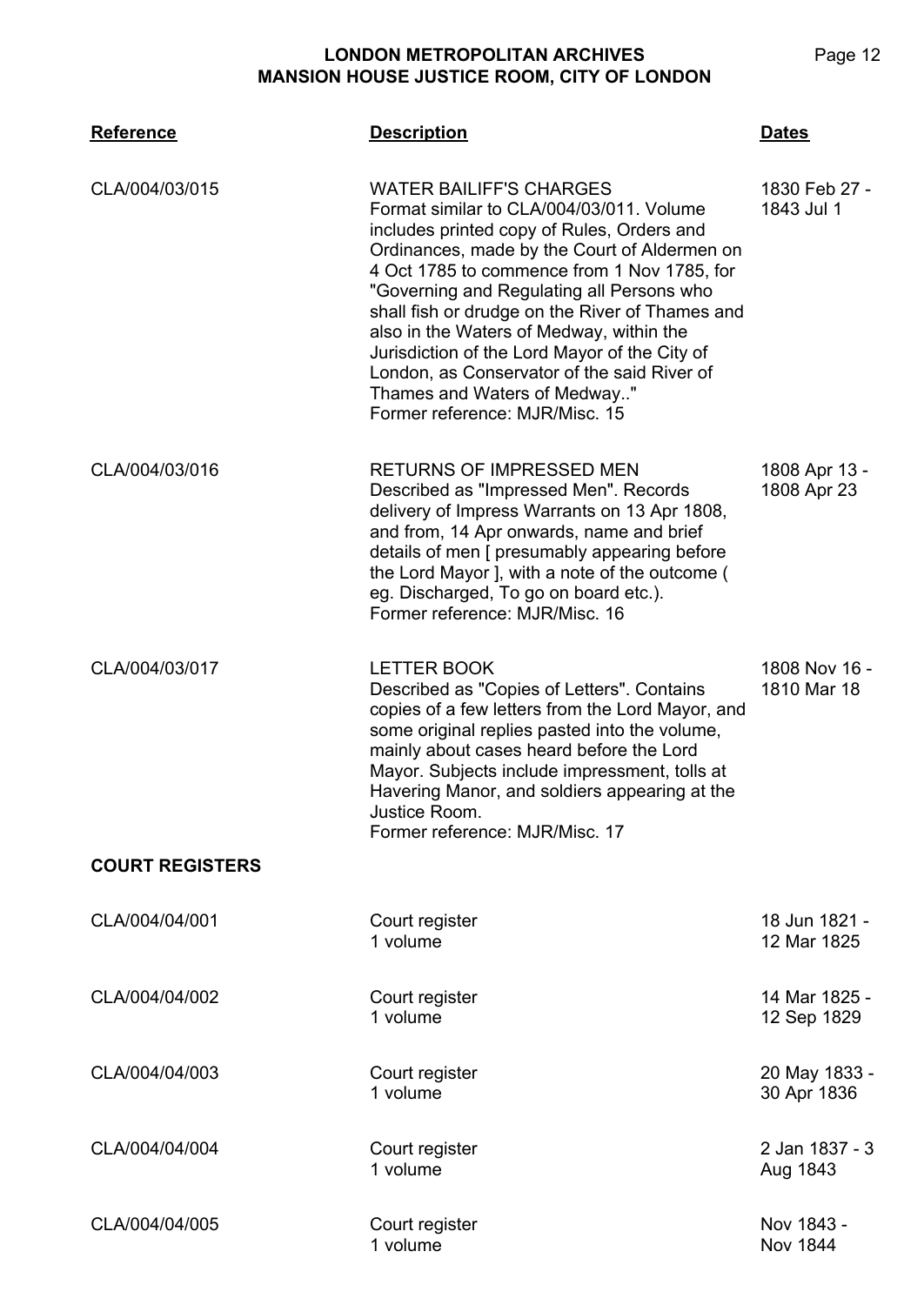| <b>Reference</b>       | <b>Description</b>                                                                                                                                                                                                                                                                                                                                                                                                                                                                                                                    | <b>Dates</b>                  |
|------------------------|---------------------------------------------------------------------------------------------------------------------------------------------------------------------------------------------------------------------------------------------------------------------------------------------------------------------------------------------------------------------------------------------------------------------------------------------------------------------------------------------------------------------------------------|-------------------------------|
| CLA/004/03/015         | <b>WATER BAILIFF'S CHARGES</b><br>Format similar to CLA/004/03/011. Volume<br>includes printed copy of Rules, Orders and<br>Ordinances, made by the Court of Aldermen on<br>4 Oct 1785 to commence from 1 Nov 1785, for<br>"Governing and Regulating all Persons who<br>shall fish or drudge on the River of Thames and<br>also in the Waters of Medway, within the<br>Jurisdiction of the Lord Mayor of the City of<br>London, as Conservator of the said River of<br>Thames and Waters of Medway"<br>Former reference: MJR/Misc. 15 | 1830 Feb 27 -<br>1843 Jul 1   |
| CLA/004/03/016         | <b>RETURNS OF IMPRESSED MEN</b><br>Described as "Impressed Men". Records<br>delivery of Impress Warrants on 13 Apr 1808,<br>and from, 14 Apr onwards, name and brief<br>details of men [ presumably appearing before<br>the Lord Mayor J, with a note of the outcome (<br>eg. Discharged, To go on board etc.).<br>Former reference: MJR/Misc. 16                                                                                                                                                                                     | 1808 Apr 13 -<br>1808 Apr 23  |
| CLA/004/03/017         | <b>LETTER BOOK</b><br>Described as "Copies of Letters". Contains<br>copies of a few letters from the Lord Mayor, and<br>some original replies pasted into the volume,<br>mainly about cases heard before the Lord<br>Mayor. Subjects include impressment, tolls at<br>Havering Manor, and soldiers appearing at the<br>Justice Room.<br>Former reference: MJR/Misc. 17                                                                                                                                                                | 1808 Nov 16 -<br>1810 Mar 18  |
| <b>COURT REGISTERS</b> |                                                                                                                                                                                                                                                                                                                                                                                                                                                                                                                                       |                               |
| CLA/004/04/001         | Court register<br>1 volume                                                                                                                                                                                                                                                                                                                                                                                                                                                                                                            | 18 Jun 1821 -<br>12 Mar 1825  |
| CLA/004/04/002         | Court register<br>1 volume                                                                                                                                                                                                                                                                                                                                                                                                                                                                                                            | 14 Mar 1825 -<br>12 Sep 1829  |
| CLA/004/04/003         | Court register<br>1 volume                                                                                                                                                                                                                                                                                                                                                                                                                                                                                                            | 20 May 1833 -<br>30 Apr 1836  |
| CLA/004/04/004         | Court register<br>1 volume                                                                                                                                                                                                                                                                                                                                                                                                                                                                                                            | 2 Jan 1837 - 3<br>Aug 1843    |
| CLA/004/04/005         | Court register<br>1 volume                                                                                                                                                                                                                                                                                                                                                                                                                                                                                                            | Nov 1843 -<br><b>Nov 1844</b> |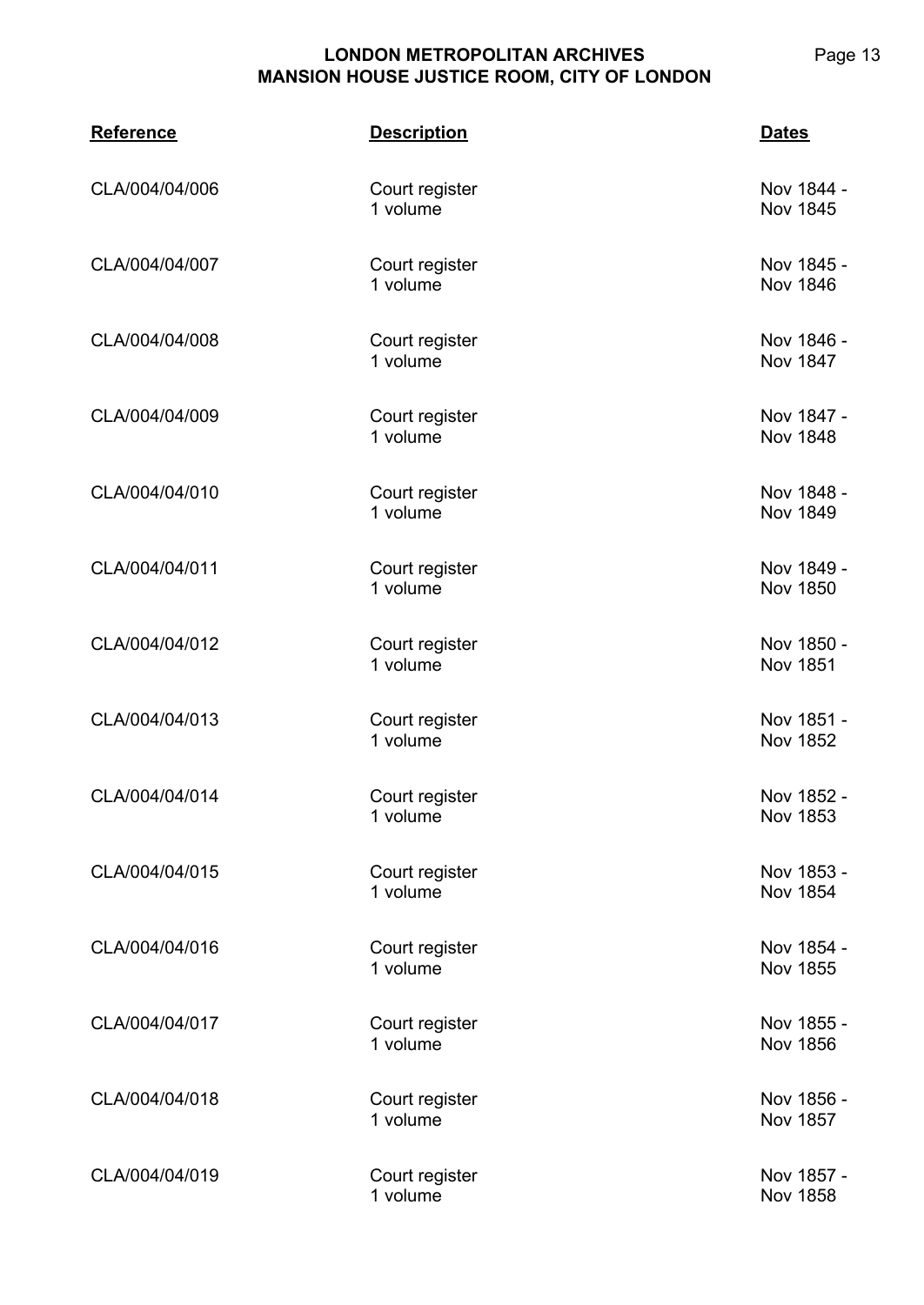| <b>Reference</b> | <b>Description</b>         | <b>Dates</b>                  |
|------------------|----------------------------|-------------------------------|
| CLA/004/04/006   | Court register<br>1 volume | Nov 1844 -<br>Nov 1845        |
| CLA/004/04/007   | Court register<br>1 volume | Nov 1845 -<br><b>Nov 1846</b> |
| CLA/004/04/008   | Court register<br>1 volume | Nov 1846 -<br><b>Nov 1847</b> |
| CLA/004/04/009   | Court register<br>1 volume | Nov 1847 -<br><b>Nov 1848</b> |
| CLA/004/04/010   | Court register<br>1 volume | Nov 1848 -<br><b>Nov 1849</b> |
| CLA/004/04/011   | Court register<br>1 volume | Nov 1849 -<br>Nov 1850        |
| CLA/004/04/012   | Court register<br>1 volume | Nov 1850 -<br><b>Nov 1851</b> |
| CLA/004/04/013   | Court register<br>1 volume | Nov 1851 -<br>Nov 1852        |
| CLA/004/04/014   | Court register<br>1 volume | Nov 1852 -<br><b>Nov 1853</b> |
| CLA/004/04/015   | Court register<br>1 volume | Nov 1853 -<br><b>Nov 1854</b> |
| CLA/004/04/016   | Court register<br>1 volume | Nov 1854 -<br><b>Nov 1855</b> |
| CLA/004/04/017   | Court register<br>1 volume | Nov 1855 -<br><b>Nov 1856</b> |
| CLA/004/04/018   | Court register<br>1 volume | Nov 1856 -<br>Nov 1857        |
| CLA/004/04/019   | Court register<br>1 volume | Nov 1857 -<br><b>Nov 1858</b> |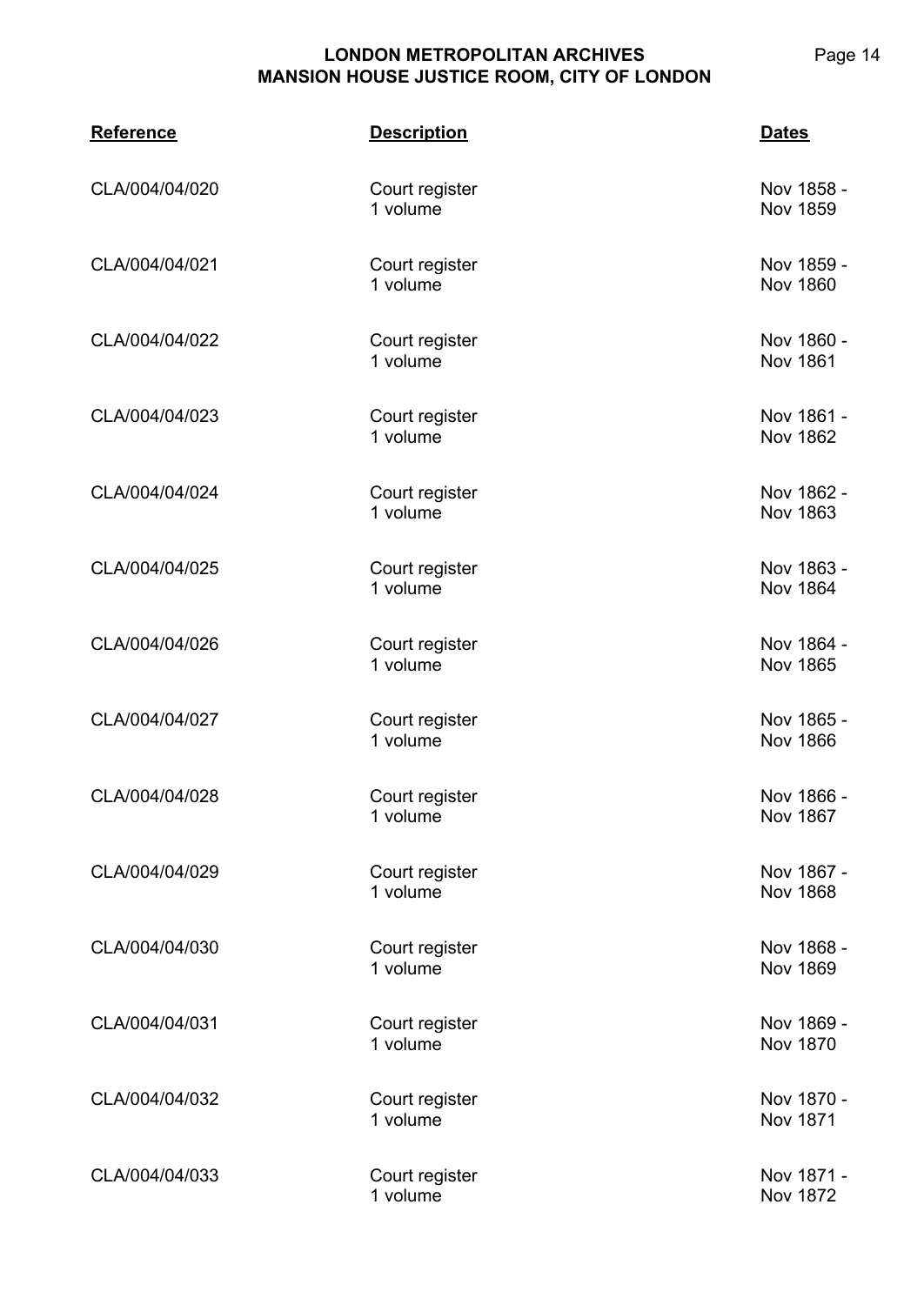| <b>Reference</b> | <b>Description</b>         | <b>Dates</b>                  |
|------------------|----------------------------|-------------------------------|
| CLA/004/04/020   | Court register<br>1 volume | Nov 1858 -<br>Nov 1859        |
| CLA/004/04/021   | Court register<br>1 volume | Nov 1859 -<br><b>Nov 1860</b> |
| CLA/004/04/022   | Court register<br>1 volume | Nov 1860 -<br><b>Nov 1861</b> |
| CLA/004/04/023   | Court register<br>1 volume | Nov 1861 -<br><b>Nov 1862</b> |
| CLA/004/04/024   | Court register<br>1 volume | Nov 1862 -<br>Nov 1863        |
| CLA/004/04/025   | Court register<br>1 volume | Nov 1863 -<br>Nov 1864        |
| CLA/004/04/026   | Court register<br>1 volume | Nov 1864 -<br>Nov 1865        |
| CLA/004/04/027   | Court register<br>1 volume | Nov 1865 -<br><b>Nov 1866</b> |
| CLA/004/04/028   | Court register<br>1 volume | Nov 1866 -<br><b>Nov 1867</b> |
| CLA/004/04/029   | Court register<br>1 volume | Nov 1867 -<br><b>Nov 1868</b> |
| CLA/004/04/030   | Court register<br>1 volume | Nov 1868 -<br><b>Nov 1869</b> |
| CLA/004/04/031   | Court register<br>1 volume | Nov 1869 -<br><b>Nov 1870</b> |
| CLA/004/04/032   | Court register<br>1 volume | Nov 1870 -<br><b>Nov 1871</b> |
| CLA/004/04/033   | Court register<br>1 volume | Nov 1871 -<br><b>Nov 1872</b> |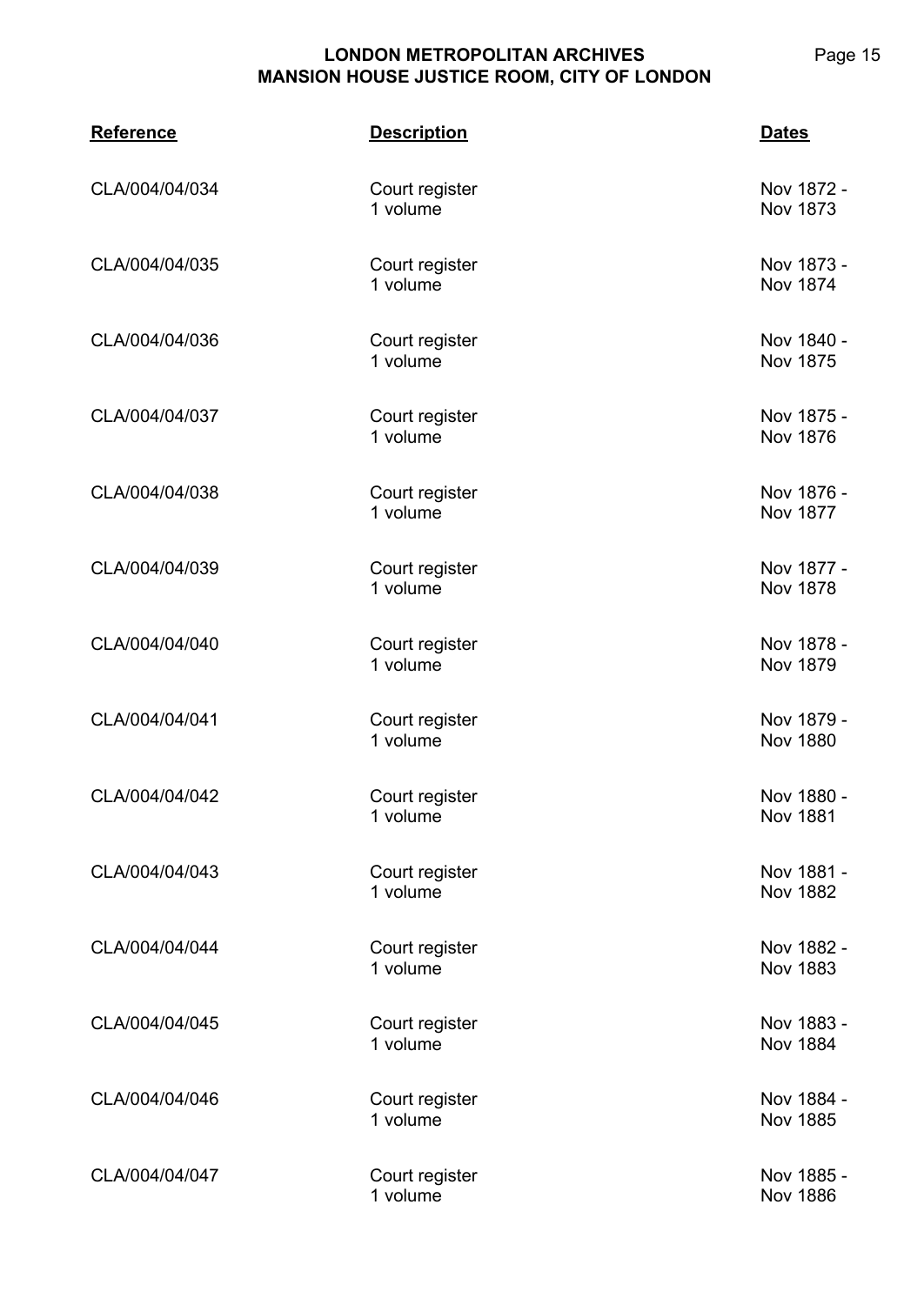| <b>Reference</b> | <b>Description</b>         | <b>Dates</b>                  |
|------------------|----------------------------|-------------------------------|
| CLA/004/04/034   | Court register<br>1 volume | Nov 1872 -<br>Nov 1873        |
| CLA/004/04/035   | Court register<br>1 volume | Nov 1873 -<br>Nov 1874        |
| CLA/004/04/036   | Court register<br>1 volume | Nov 1840 -<br><b>Nov 1875</b> |
| CLA/004/04/037   | Court register<br>1 volume | Nov 1875 -<br><b>Nov 1876</b> |
| CLA/004/04/038   | Court register<br>1 volume | Nov 1876 -<br><b>Nov 1877</b> |
| CLA/004/04/039   | Court register<br>1 volume | Nov 1877 -<br><b>Nov 1878</b> |
| CLA/004/04/040   | Court register<br>1 volume | Nov 1878 -<br>Nov 1879        |
| CLA/004/04/041   | Court register<br>1 volume | Nov 1879 -<br><b>Nov 1880</b> |
| CLA/004/04/042   | Court register<br>1 volume | Nov 1880 -<br><b>Nov 1881</b> |
| CLA/004/04/043   | Court register<br>1 volume | Nov 1881 -<br><b>Nov 1882</b> |
| CLA/004/04/044   | Court register<br>1 volume | Nov 1882 -<br><b>Nov 1883</b> |
| CLA/004/04/045   | Court register<br>1 volume | Nov 1883 -<br>Nov 1884        |
| CLA/004/04/046   | Court register<br>1 volume | Nov 1884 -<br><b>Nov 1885</b> |
| CLA/004/04/047   | Court register<br>1 volume | Nov 1885 -<br><b>Nov 1886</b> |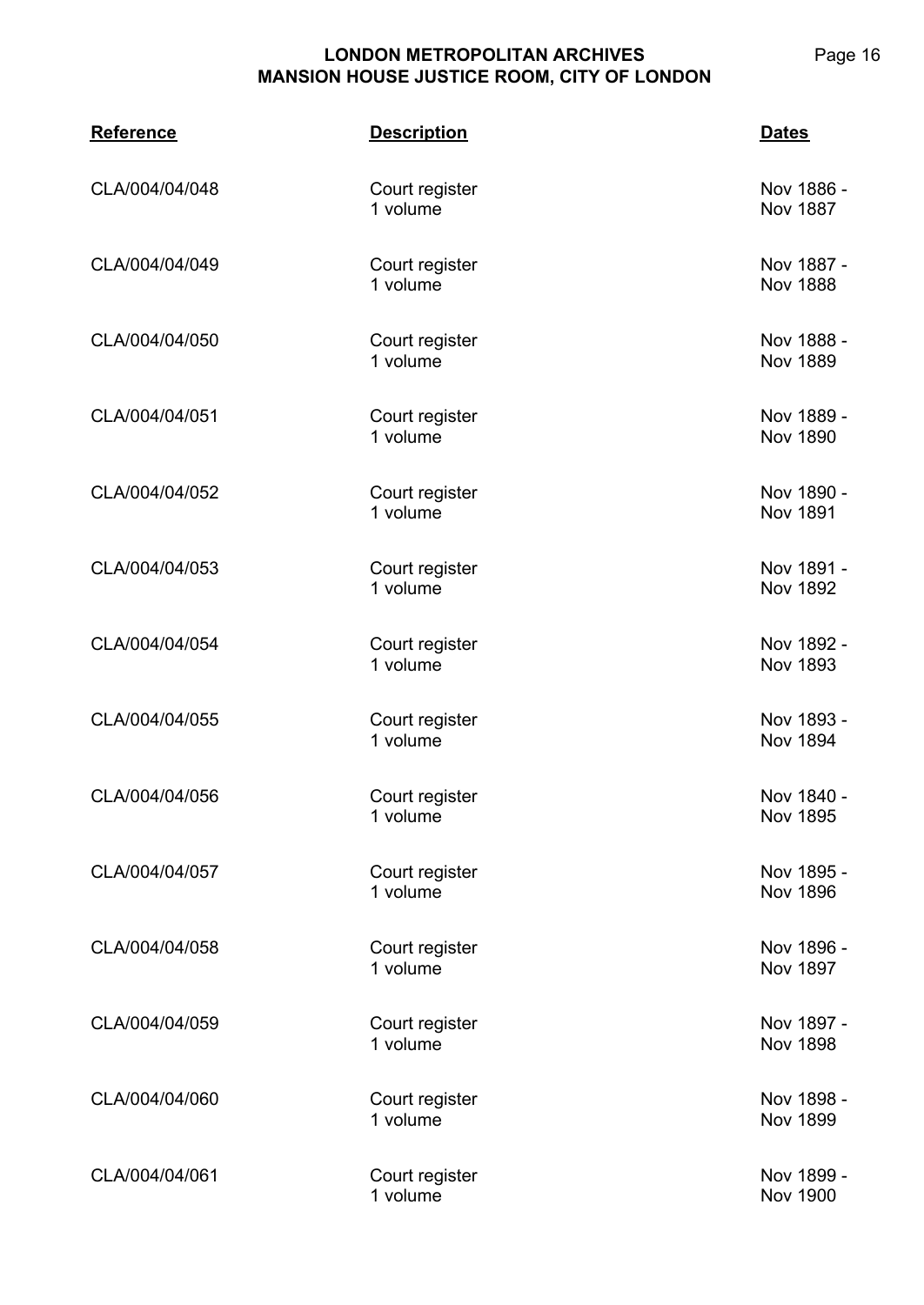| <b>Reference</b> | <b>Description</b>         | <b>Dates</b>                  |
|------------------|----------------------------|-------------------------------|
| CLA/004/04/048   | Court register<br>1 volume | Nov 1886 -<br><b>Nov 1887</b> |
| CLA/004/04/049   | Court register<br>1 volume | Nov 1887 -<br><b>Nov 1888</b> |
| CLA/004/04/050   | Court register<br>1 volume | Nov 1888 -<br><b>Nov 1889</b> |
| CLA/004/04/051   | Court register<br>1 volume | Nov 1889 -<br><b>Nov 1890</b> |
| CLA/004/04/052   | Court register<br>1 volume | Nov 1890 -<br><b>Nov 1891</b> |
| CLA/004/04/053   | Court register<br>1 volume | Nov 1891 -<br><b>Nov 1892</b> |
| CLA/004/04/054   | Court register<br>1 volume | Nov 1892 -<br>Nov 1893        |
| CLA/004/04/055   | Court register<br>1 volume | Nov 1893 -<br>Nov 1894        |
| CLA/004/04/056   | Court register<br>1 volume | Nov 1840 -<br><b>Nov 1895</b> |
| CLA/004/04/057   | Court register<br>1 volume | Nov 1895 -<br><b>Nov 1896</b> |
| CLA/004/04/058   | Court register<br>1 volume | Nov 1896 -<br><b>Nov 1897</b> |
| CLA/004/04/059   | Court register<br>1 volume | Nov 1897 -<br><b>Nov 1898</b> |
| CLA/004/04/060   | Court register<br>1 volume | Nov 1898 -<br><b>Nov 1899</b> |
| CLA/004/04/061   | Court register<br>1 volume | Nov 1899 -<br><b>Nov 1900</b> |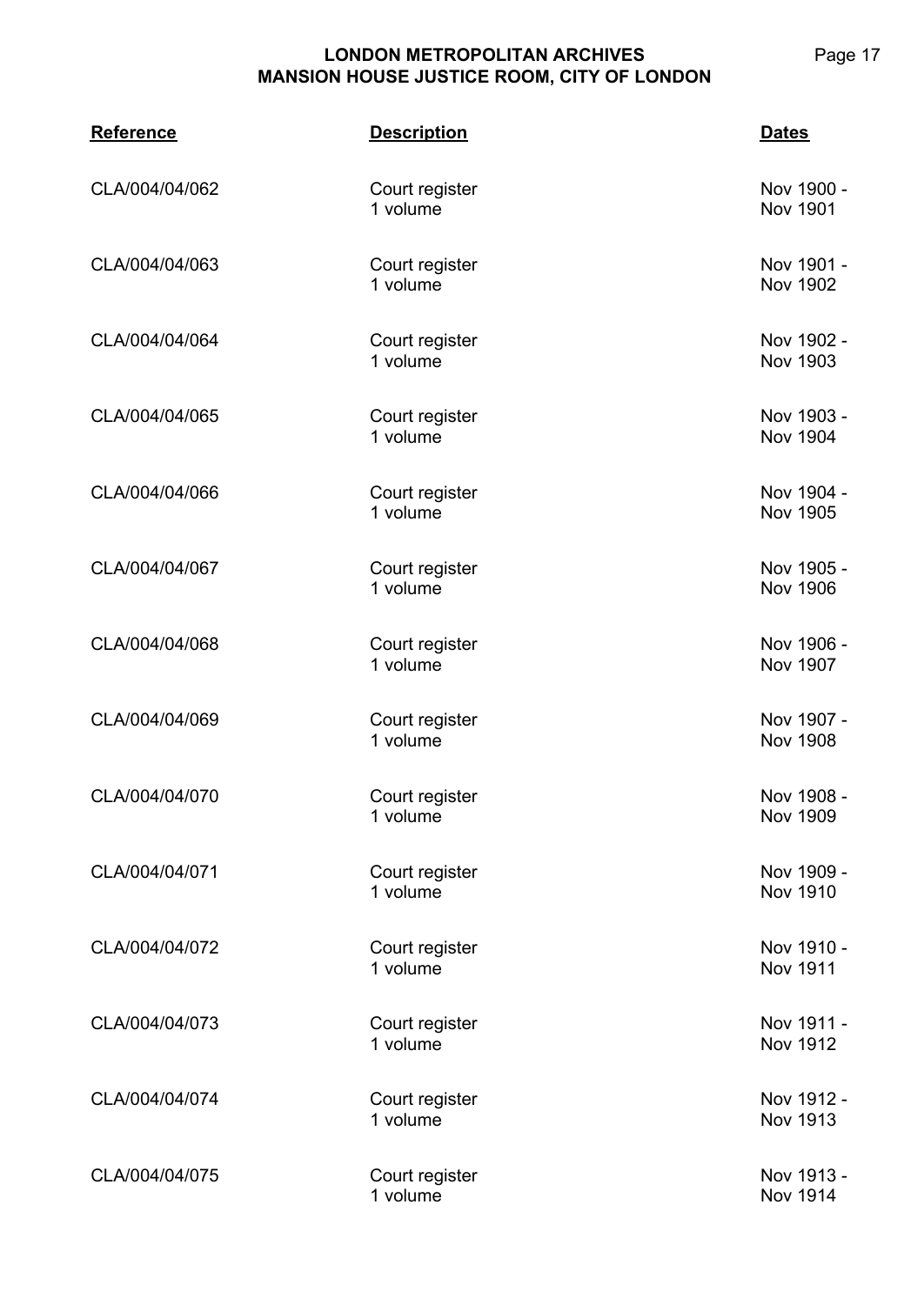| <b>Reference</b> | <b>Description</b>         | <b>Dates</b>                  |
|------------------|----------------------------|-------------------------------|
| CLA/004/04/062   | Court register<br>1 volume | Nov 1900 -<br><b>Nov 1901</b> |
| CLA/004/04/063   | Court register<br>1 volume | Nov 1901 -<br>Nov 1902        |
| CLA/004/04/064   | Court register<br>1 volume | Nov 1902 -<br>Nov 1903        |
| CLA/004/04/065   | Court register<br>1 volume | Nov 1903 -<br>Nov 1904        |
| CLA/004/04/066   | Court register<br>1 volume | Nov 1904 -<br>Nov 1905        |
| CLA/004/04/067   | Court register<br>1 volume | Nov 1905 -<br>Nov 1906        |
| CLA/004/04/068   | Court register<br>1 volume | Nov 1906 -<br>Nov 1907        |
| CLA/004/04/069   | Court register<br>1 volume | Nov 1907 -<br><b>Nov 1908</b> |
| CLA/004/04/070   | Court register<br>1 volume | Nov 1908 -<br><b>Nov 1909</b> |
| CLA/004/04/071   | Court register<br>1 volume | Nov 1909 -<br>Nov 1910        |
| CLA/004/04/072   | Court register<br>1 volume | Nov 1910 -<br><b>Nov 1911</b> |
| CLA/004/04/073   | Court register<br>1 volume | Nov 1911 -<br>Nov 1912        |
| CLA/004/04/074   | Court register<br>1 volume | Nov 1912 -<br>Nov 1913        |
| CLA/004/04/075   | Court register<br>1 volume | Nov 1913 -<br>Nov 1914        |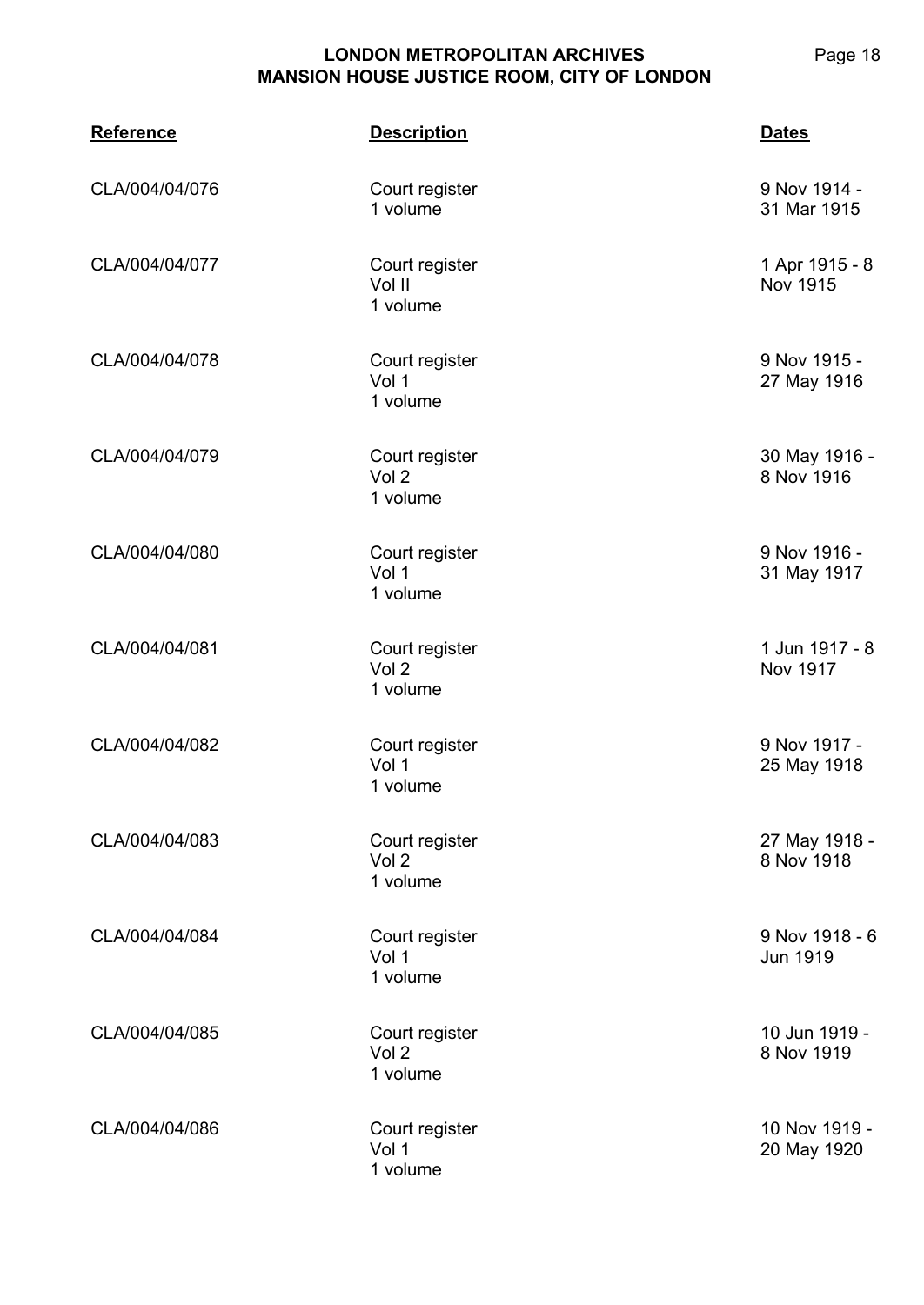| <b>Reference</b> | <b>Description</b>                             | <b>Dates</b>                      |
|------------------|------------------------------------------------|-----------------------------------|
| CLA/004/04/076   | Court register<br>1 volume                     | 9 Nov 1914 -<br>31 Mar 1915       |
| CLA/004/04/077   | Court register<br>Vol II<br>1 volume           | 1 Apr 1915 - 8<br><b>Nov 1915</b> |
| CLA/004/04/078   | Court register<br>Vol 1<br>1 volume            | 9 Nov 1915 -<br>27 May 1916       |
| CLA/004/04/079   | Court register<br>Vol <sub>2</sub><br>1 volume | 30 May 1916 -<br>8 Nov 1916       |
| CLA/004/04/080   | Court register<br>Vol 1<br>1 volume            | 9 Nov 1916 -<br>31 May 1917       |
| CLA/004/04/081   | Court register<br>Vol 2<br>1 volume            | 1 Jun 1917 - 8<br><b>Nov 1917</b> |
| CLA/004/04/082   | Court register<br>Vol 1<br>1 volume            | 9 Nov 1917 -<br>25 May 1918       |
| CLA/004/04/083   | Court register<br>Vol <sub>2</sub><br>1 volume | 27 May 1918 -<br>8 Nov 1918       |
| CLA/004/04/084   | Court register<br>Vol 1<br>1 volume            | 9 Nov 1918 - 6<br><b>Jun 1919</b> |
| CLA/004/04/085   | Court register<br>Vol 2<br>1 volume            | 10 Jun 1919 -<br>8 Nov 1919       |
| CLA/004/04/086   | Court register<br>Vol 1<br>1 volume            | 10 Nov 1919 -<br>20 May 1920      |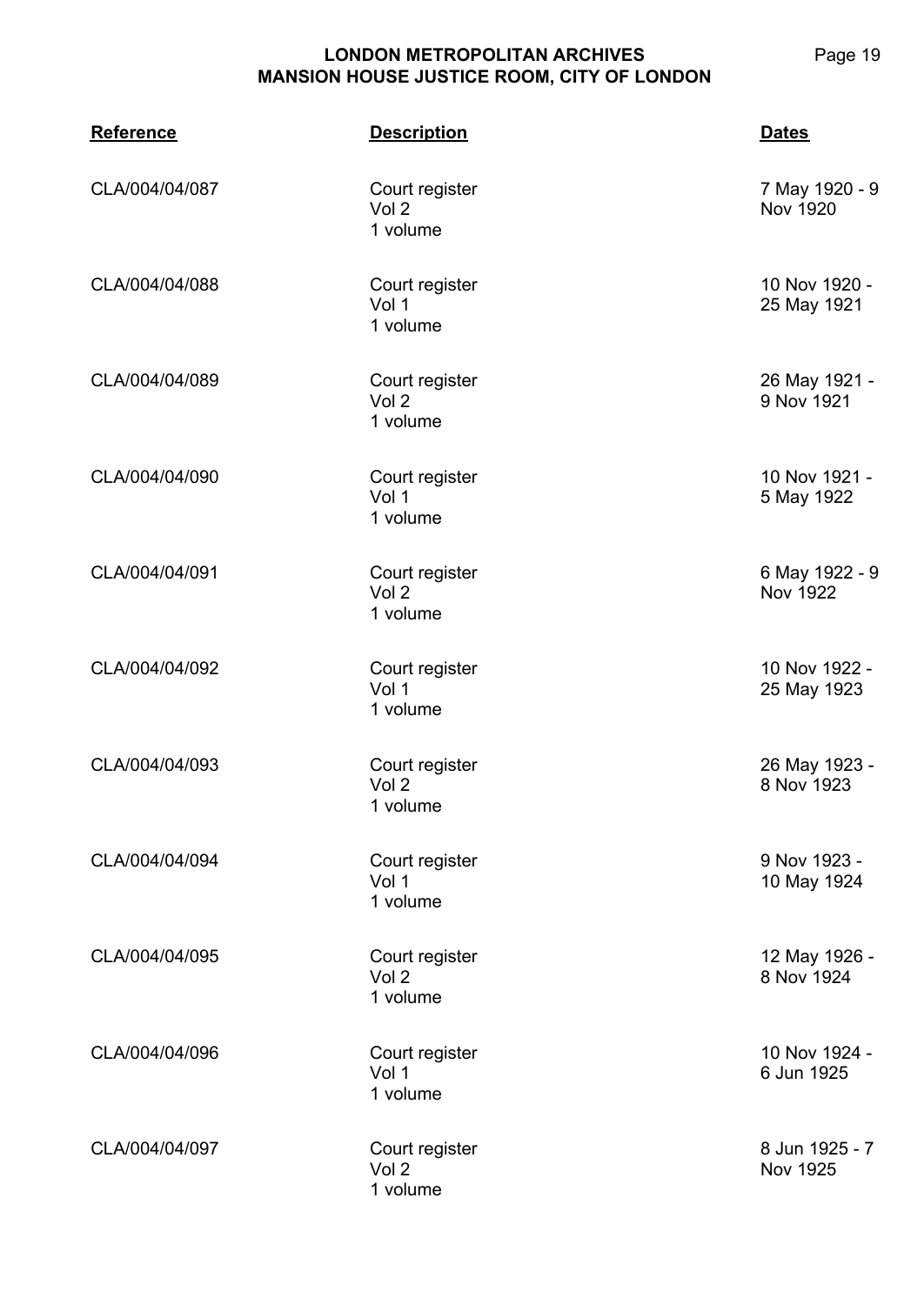**CLA/004 Reference Description Dates** CLA/004/04/087 Court register Vol 2 1 volume 7 May 1920 - 9 Nov 1920 CLA/004/04/088 Court register Vol 1 1 volume 10 Nov 1920 - 25 May 1921 CLA/004/04/089 Court register Vol 2 1 volume 26 May 1921 - 9 Nov 1921 CLA/004/04/090 Court register Vol 1 1 volume 10 Nov 1921 - 5 May 1922 CLA/004/04/091 Court register Vol 2 1 volume 6 May 1922 - 9 Nov 1922 CLA/004/04/092 Court register Vol 1 1 volume 10 Nov 1922 - 25 May 1923 CLA/004/04/093 Court register Vol 2 1 volume 26 May 1923 - 8 Nov 1923 CLA/004/04/094 Court register Vol 1 1 volume 9 Nov 1923 - 10 May 1924 CLA/004/04/095 Court register Vol 2 1 volume 12 May 1926 - 8 Nov 1924 CLA/004/04/096 Court register Vol 1 1 volume 10 Nov 1924 - 6 Jun 1925

CLA/004/04/097 Court register

Vol 2 1 volume

8 Jun 1925 - 7 Nov 1925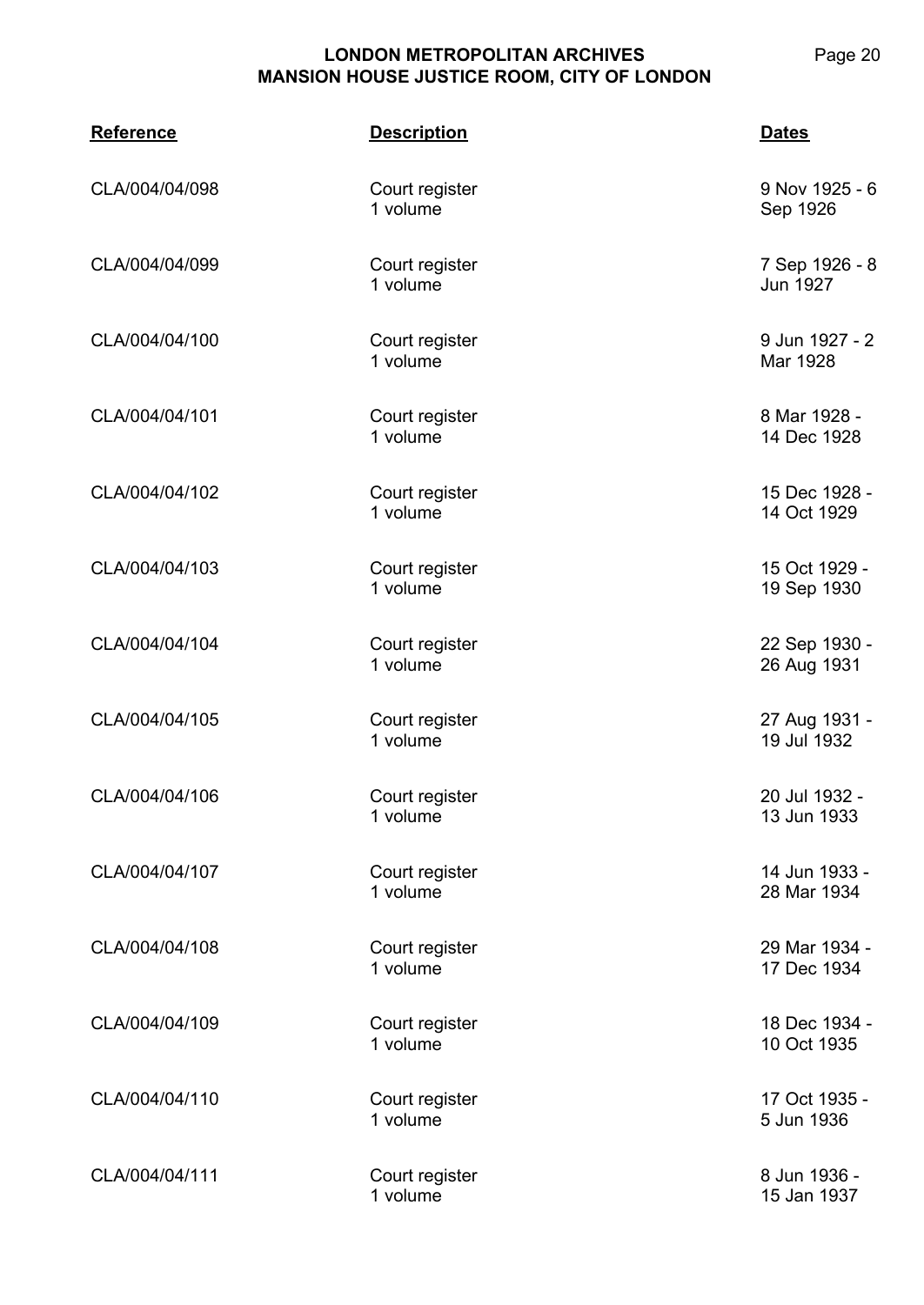**CLA/004 Reference Description Dates** CLA/004/04/098 Court register 1 volume 9 Nov 1925 - 6 Sep 1926 CLA/004/04/099 Court register 1 volume 7 Sep 1926 - 8 Jun 1927 CLA/004/04/100 Court register 1 volume 9 Jun 1927 - 2 Mar 1928 CLA/004/04/101 Court register 1 volume 8 Mar 1928 - 14 Dec 1928 CLA/004/04/102 Court register 1 volume 15 Dec 1928 - 14 Oct 1929 CLA/004/04/103 Court register 1 volume 15 Oct 1929 - 19 Sep 1930 CLA/004/04/104 Court register 1 volume 22 Sep 1930 - 26 Aug 1931 CLA/004/04/105 Court register 1 volume 27 Aug 1931 - 19 Jul 1932 CLA/004/04/106 Court register 1 volume 20 Jul 1932 - 13 Jun 1933 CLA/004/04/107 Court register 1 volume 14 Jun 1933 - 28 Mar 1934 CLA/004/04/108 Court register 1 volume 29 Mar 1934 - 17 Dec 1934 CLA/004/04/109 Court register 1 volume 18 Dec 1934 - 10 Oct 1935 CLA/004/04/110 Court register 1 volume 17 Oct 1935 - 5 Jun 1936

CLA/004/04/111 Court register 1 volume 8 Jun 1936 - 15 Jan 1937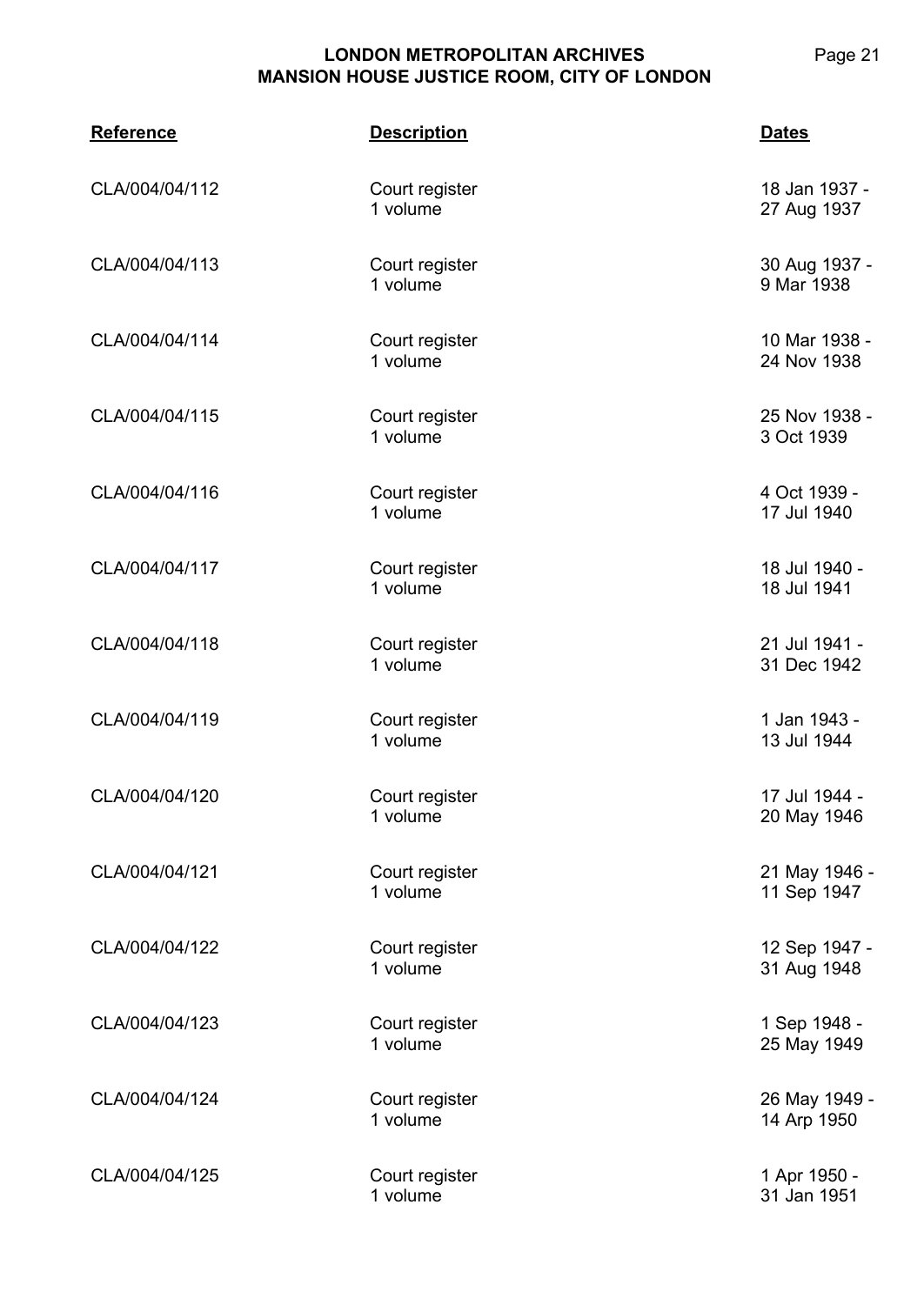| <b>Reference</b> | <b>Description</b>         | <b>Dates</b>                 |
|------------------|----------------------------|------------------------------|
| CLA/004/04/112   | Court register<br>1 volume | 18 Jan 1937 -<br>27 Aug 1937 |
| CLA/004/04/113   | Court register<br>1 volume | 30 Aug 1937 -<br>9 Mar 1938  |
| CLA/004/04/114   | Court register<br>1 volume | 10 Mar 1938 -<br>24 Nov 1938 |
| CLA/004/04/115   | Court register<br>1 volume | 25 Nov 1938 -<br>3 Oct 1939  |
| CLA/004/04/116   | Court register<br>1 volume | 4 Oct 1939 -<br>17 Jul 1940  |
| CLA/004/04/117   | Court register<br>1 volume | 18 Jul 1940 -<br>18 Jul 1941 |
| CLA/004/04/118   | Court register<br>1 volume | 21 Jul 1941 -<br>31 Dec 1942 |
| CLA/004/04/119   | Court register<br>1 volume | 1 Jan 1943 -<br>13 Jul 1944  |
| CLA/004/04/120   | Court register<br>1 volume | 17 Jul 1944 -<br>20 May 1946 |
| CLA/004/04/121   | Court register<br>1 volume | 21 May 1946 -<br>11 Sep 1947 |
| CLA/004/04/122   | Court register<br>1 volume | 12 Sep 1947 -<br>31 Aug 1948 |
| CLA/004/04/123   | Court register<br>1 volume | 1 Sep 1948 -<br>25 May 1949  |
| CLA/004/04/124   | Court register<br>1 volume | 26 May 1949 -<br>14 Arp 1950 |
| CLA/004/04/125   | Court register<br>1 volume | 1 Apr 1950 -<br>31 Jan 1951  |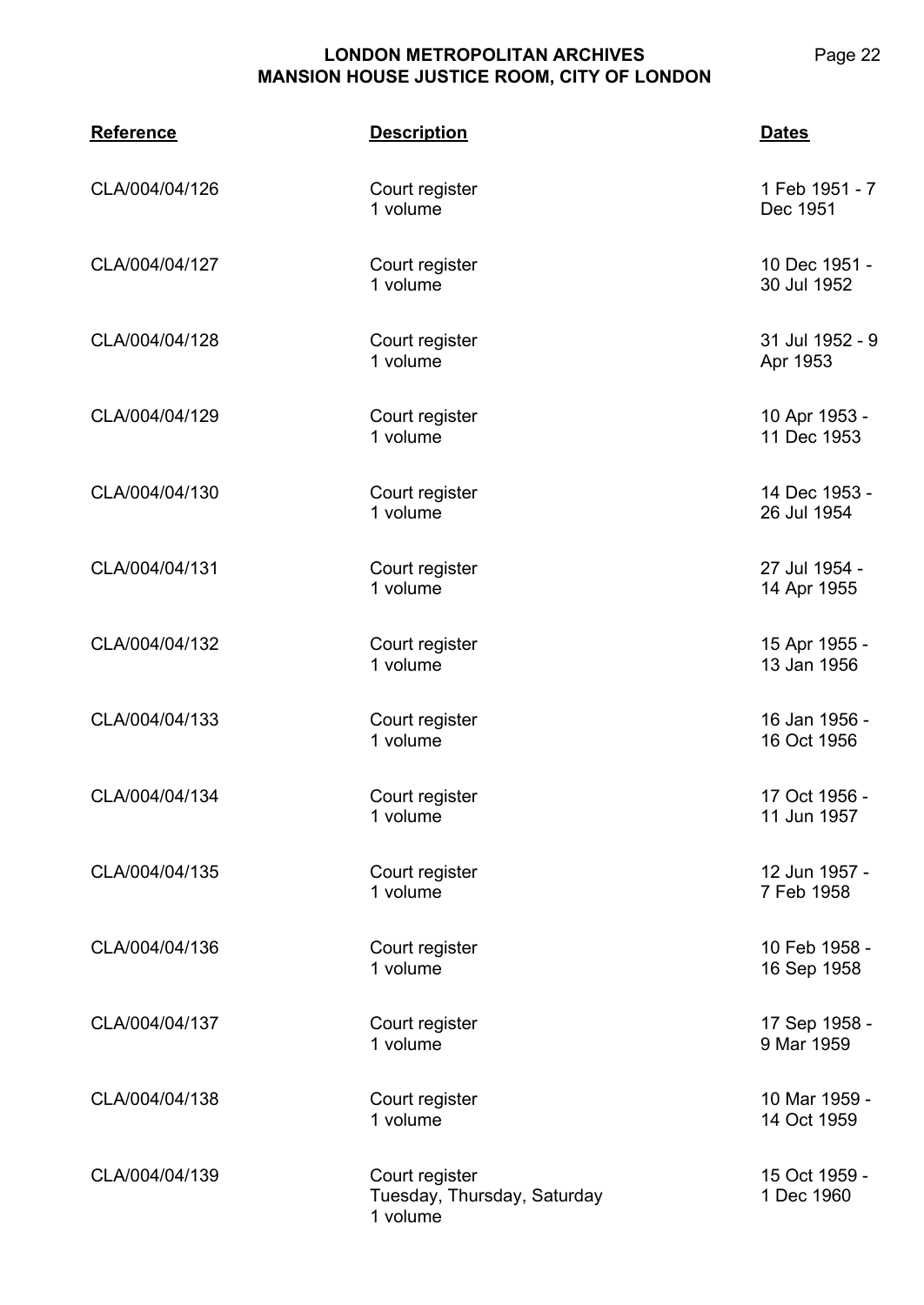**CLA/004 Reference Description Dates** CLA/004/04/126 Court register 1 volume 1 Feb 1951 - 7 Dec 1951 CLA/004/04/127 Court register 1 volume 10 Dec 1951 - 30 Jul 1952 CLA/004/04/128 Court register 1 volume 31 Jul 1952 - 9 Apr 1953 CLA/004/04/129 Court register 1 volume 10 Apr 1953 - 11 Dec 1953 CLA/004/04/130 Court register 1 volume 14 Dec 1953 - 26 Jul 1954 CLA/004/04/131 Court register 1 volume 27 Jul 1954 - 14 Apr 1955 CLA/004/04/132 Court register 1 volume 15 Apr 1955 - 13 Jan 1956 CLA/004/04/133 Court register 1 volume 16 Jan 1956 - 16 Oct 1956 CLA/004/04/134 Court register 1 volume 17 Oct 1956 - 11 Jun 1957 CLA/004/04/135 Court register 1 volume 12 Jun 1957 - 7 Feb 1958 CLA/004/04/136 Court register 1 volume 10 Feb 1958 - 16 Sep 1958 CLA/004/04/137 Court register 1 volume 17 Sep 1958 - 9 Mar 1959 CLA/004/04/138 Court register 1 volume 10 Mar 1959 - 14 Oct 1959 CLA/004/04/139 Court register Tuesday, Thursday, Saturday 1 volume 15 Oct 1959 - 1 Dec 1960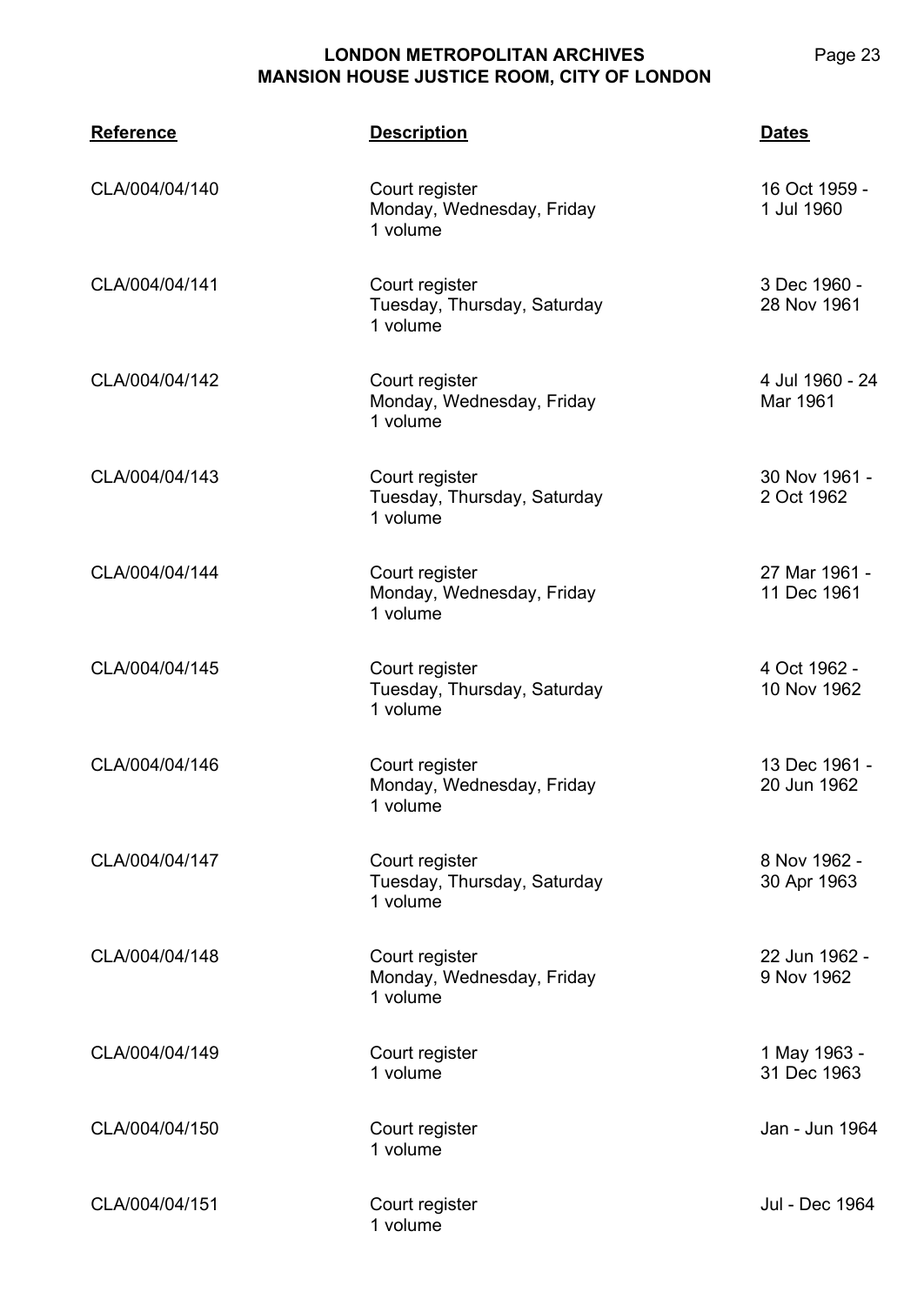| <b>Reference</b> | <b>Description</b>                                        | <b>Dates</b>                 |
|------------------|-----------------------------------------------------------|------------------------------|
| CLA/004/04/140   | Court register<br>Monday, Wednesday, Friday<br>1 volume   | 16 Oct 1959 -<br>1 Jul 1960  |
| CLA/004/04/141   | Court register<br>Tuesday, Thursday, Saturday<br>1 volume | 3 Dec 1960 -<br>28 Nov 1961  |
| CLA/004/04/142   | Court register<br>Monday, Wednesday, Friday<br>1 volume   | 4 Jul 1960 - 24<br>Mar 1961  |
| CLA/004/04/143   | Court register<br>Tuesday, Thursday, Saturday<br>1 volume | 30 Nov 1961 -<br>2 Oct 1962  |
| CLA/004/04/144   | Court register<br>Monday, Wednesday, Friday<br>1 volume   | 27 Mar 1961 -<br>11 Dec 1961 |
| CLA/004/04/145   | Court register<br>Tuesday, Thursday, Saturday<br>1 volume | 4 Oct 1962 -<br>10 Nov 1962  |
| CLA/004/04/146   | Court register<br>Monday, Wednesday, Friday<br>1 volume   | 13 Dec 1961 -<br>20 Jun 1962 |
| CLA/004/04/147   | Court register<br>Tuesday, Thursday, Saturday<br>1 volume | 8 Nov 1962 -<br>30 Apr 1963  |
| CLA/004/04/148   | Court register<br>Monday, Wednesday, Friday<br>1 volume   | 22 Jun 1962 -<br>9 Nov 1962  |
| CLA/004/04/149   | Court register<br>1 volume                                | 1 May 1963 -<br>31 Dec 1963  |
| CLA/004/04/150   | Court register<br>1 volume                                | Jan - Jun 1964               |
| CLA/004/04/151   | Court register<br>1 volume                                | Jul - Dec 1964               |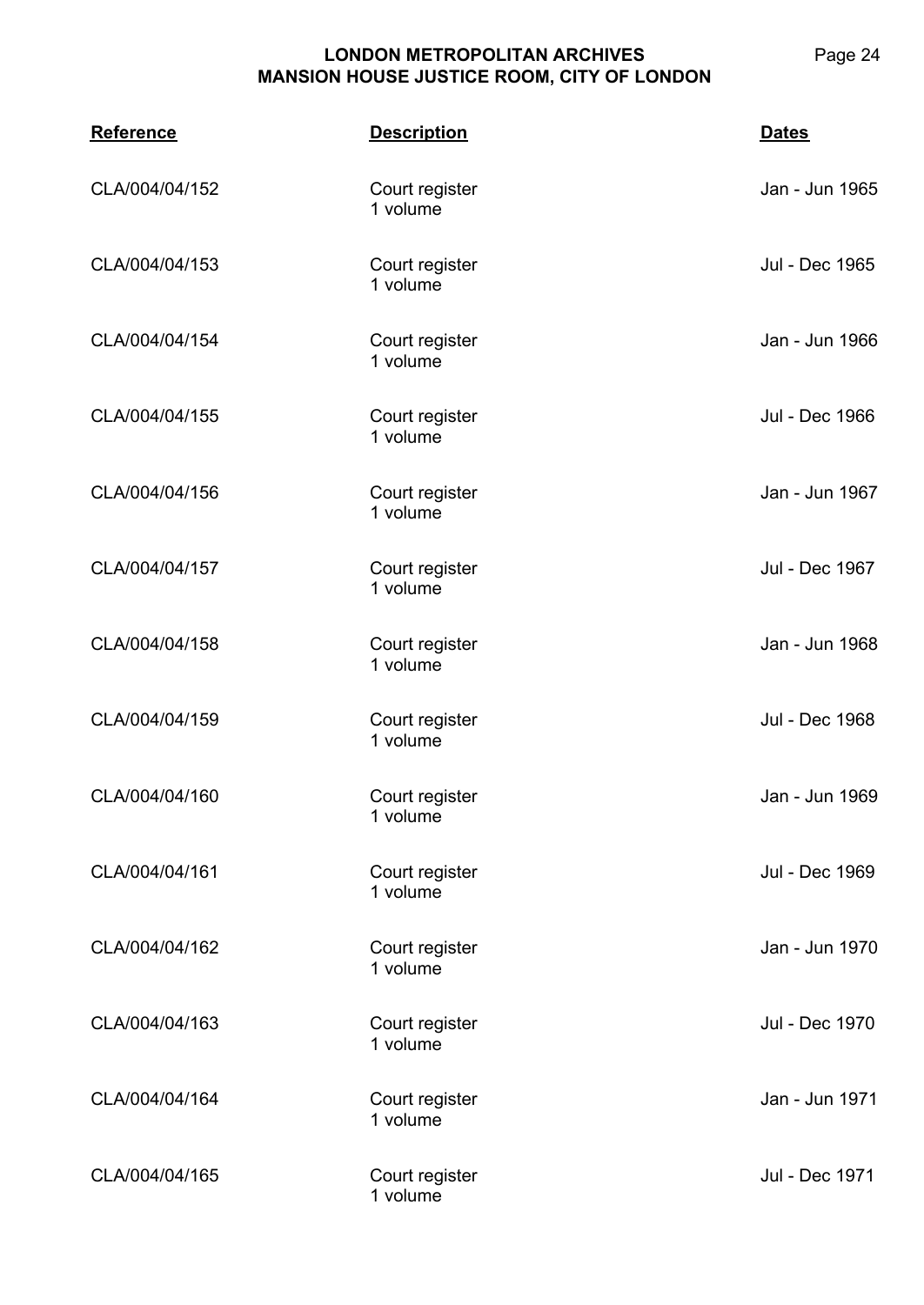| <b>Reference</b> | <b>Description</b>         | <b>Dates</b>   |
|------------------|----------------------------|----------------|
| CLA/004/04/152   | Court register<br>1 volume | Jan - Jun 1965 |
| CLA/004/04/153   | Court register<br>1 volume | Jul - Dec 1965 |
| CLA/004/04/154   | Court register<br>1 volume | Jan - Jun 1966 |
| CLA/004/04/155   | Court register<br>1 volume | Jul - Dec 1966 |
| CLA/004/04/156   | Court register<br>1 volume | Jan - Jun 1967 |
| CLA/004/04/157   | Court register<br>1 volume | Jul - Dec 1967 |
| CLA/004/04/158   | Court register<br>1 volume | Jan - Jun 1968 |
| CLA/004/04/159   | Court register<br>1 volume | Jul - Dec 1968 |
| CLA/004/04/160   | Court register<br>1 volume | Jan - Jun 1969 |
| CLA/004/04/161   | Court register<br>1 volume | Jul - Dec 1969 |
| CLA/004/04/162   | Court register<br>1 volume | Jan - Jun 1970 |
| CLA/004/04/163   | Court register<br>1 volume | Jul - Dec 1970 |
| CLA/004/04/164   | Court register<br>1 volume | Jan - Jun 1971 |
| CLA/004/04/165   | Court register<br>1 volume | Jul - Dec 1971 |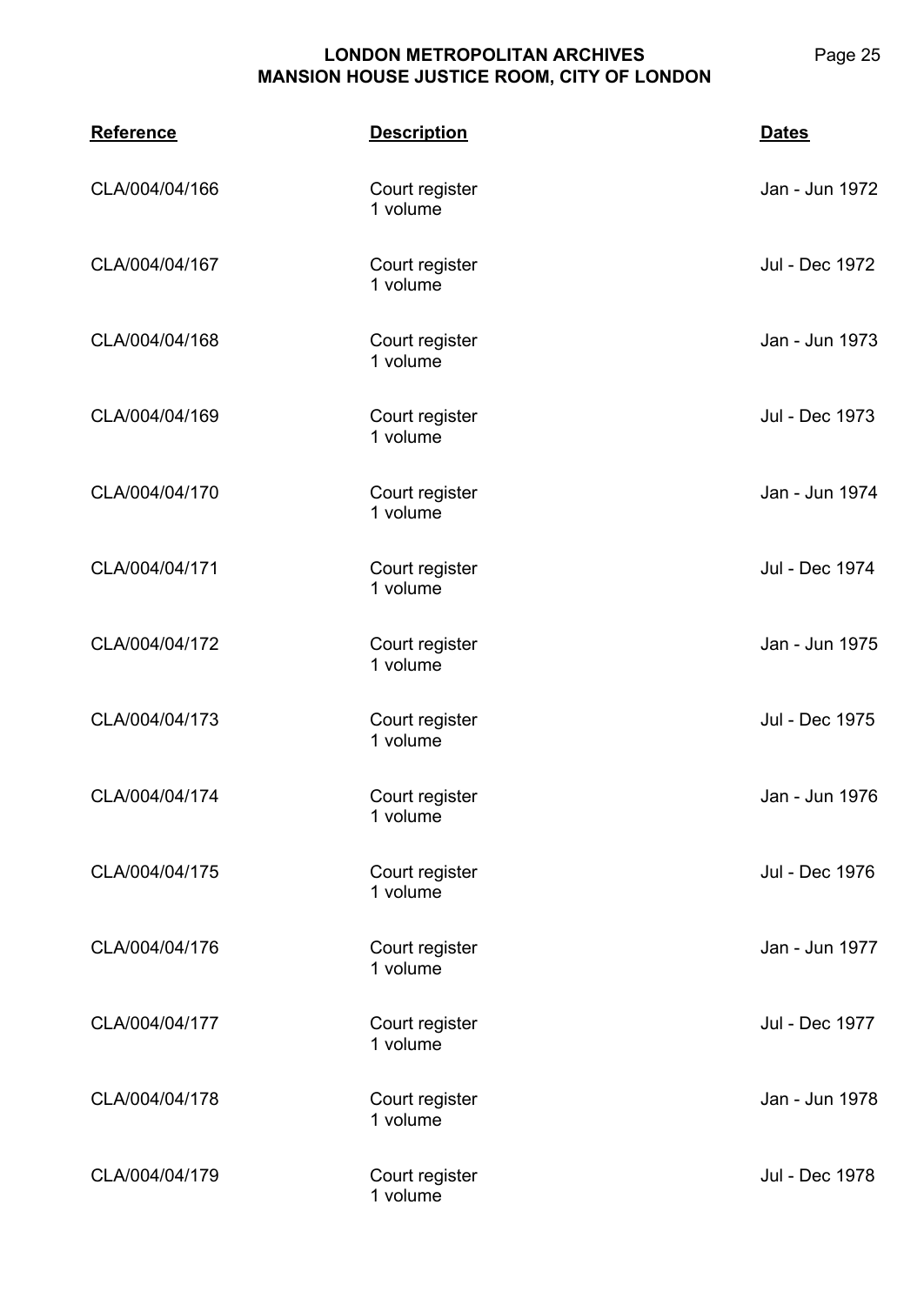| <b>Reference</b> | <b>Description</b>         | <b>Dates</b>   |
|------------------|----------------------------|----------------|
| CLA/004/04/166   | Court register<br>1 volume | Jan - Jun 1972 |
| CLA/004/04/167   | Court register<br>1 volume | Jul - Dec 1972 |
| CLA/004/04/168   | Court register<br>1 volume | Jan - Jun 1973 |
| CLA/004/04/169   | Court register<br>1 volume | Jul - Dec 1973 |
| CLA/004/04/170   | Court register<br>1 volume | Jan - Jun 1974 |
| CLA/004/04/171   | Court register<br>1 volume | Jul - Dec 1974 |
| CLA/004/04/172   | Court register<br>1 volume | Jan - Jun 1975 |
| CLA/004/04/173   | Court register<br>1 volume | Jul - Dec 1975 |
| CLA/004/04/174   | Court register<br>1 volume | Jan - Jun 1976 |
| CLA/004/04/175   | Court register<br>1 volume | Jul - Dec 1976 |
| CLA/004/04/176   | Court register<br>1 volume | Jan - Jun 1977 |
| CLA/004/04/177   | Court register<br>1 volume | Jul - Dec 1977 |
| CLA/004/04/178   | Court register<br>1 volume | Jan - Jun 1978 |
| CLA/004/04/179   | Court register<br>1 volume | Jul - Dec 1978 |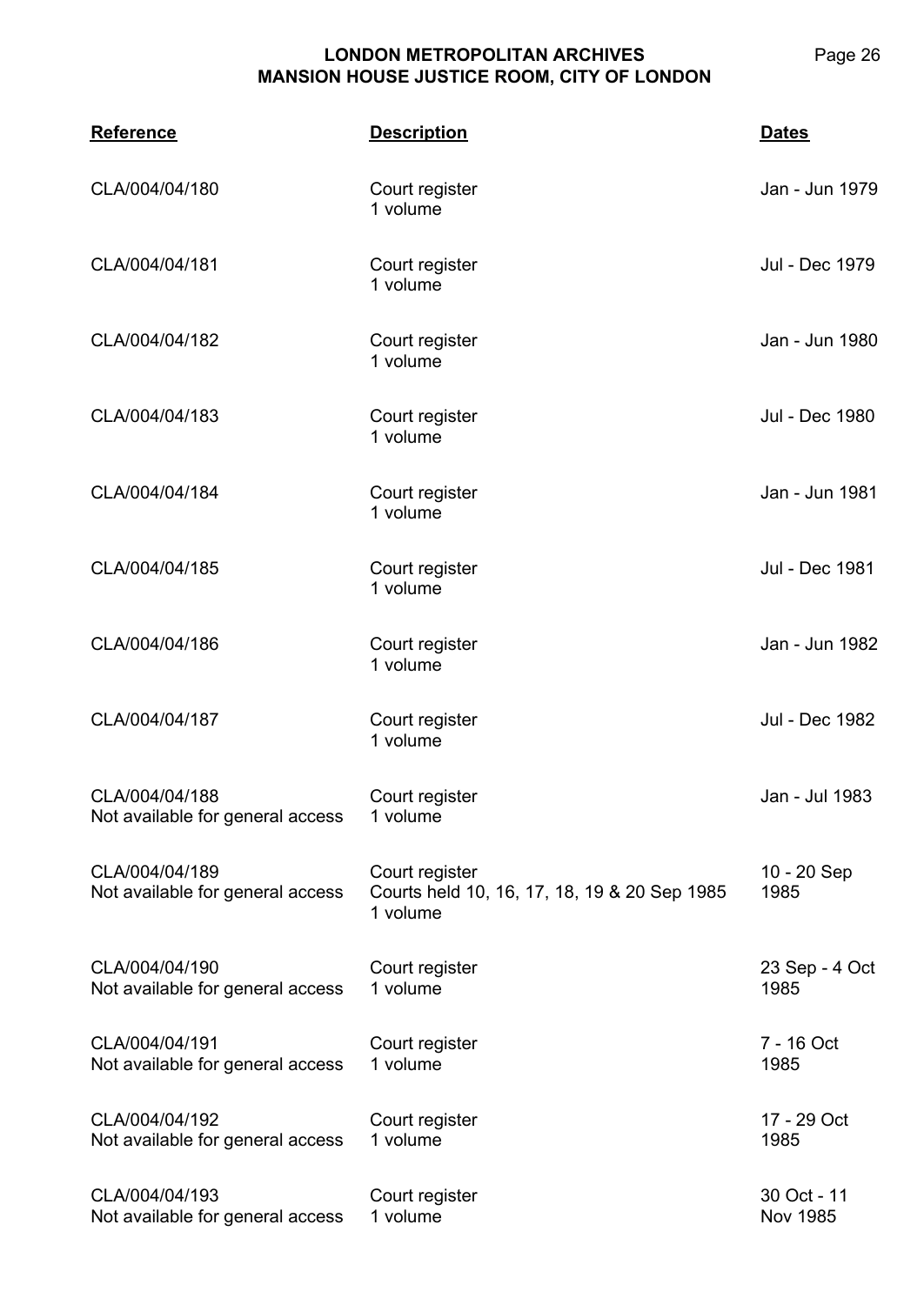| <b>Reference</b>                                   | <b>Description</b>                                                         | <b>Dates</b>            |
|----------------------------------------------------|----------------------------------------------------------------------------|-------------------------|
| CLA/004/04/180                                     | Court register<br>1 volume                                                 | Jan - Jun 1979          |
| CLA/004/04/181                                     | Court register<br>1 volume                                                 | Jul - Dec 1979          |
| CLA/004/04/182                                     | Court register<br>1 volume                                                 | Jan - Jun 1980          |
| CLA/004/04/183                                     | Court register<br>1 volume                                                 | Jul - Dec 1980          |
| CLA/004/04/184                                     | Court register<br>1 volume                                                 | Jan - Jun 1981          |
| CLA/004/04/185                                     | Court register<br>1 volume                                                 | Jul - Dec 1981          |
| CLA/004/04/186                                     | Court register<br>1 volume                                                 | Jan - Jun 1982          |
| CLA/004/04/187                                     | Court register<br>1 volume                                                 | Jul - Dec 1982          |
| CLA/004/04/188<br>Not available for general access | Court register<br>1 volume                                                 | Jan - Jul 1983          |
| CLA/004/04/189<br>Not available for general access | Court register<br>Courts held 10, 16, 17, 18, 19 & 20 Sep 1985<br>1 volume | 10 - 20 Sep<br>1985     |
| CLA/004/04/190<br>Not available for general access | Court register<br>1 volume                                                 | 23 Sep - 4 Oct<br>1985  |
| CLA/004/04/191<br>Not available for general access | Court register<br>1 volume                                                 | 7 - 16 Oct<br>1985      |
| CLA/004/04/192<br>Not available for general access | Court register<br>1 volume                                                 | 17 - 29 Oct<br>1985     |
| CLA/004/04/193<br>Not available for general access | Court register<br>1 volume                                                 | 30 Oct - 11<br>Nov 1985 |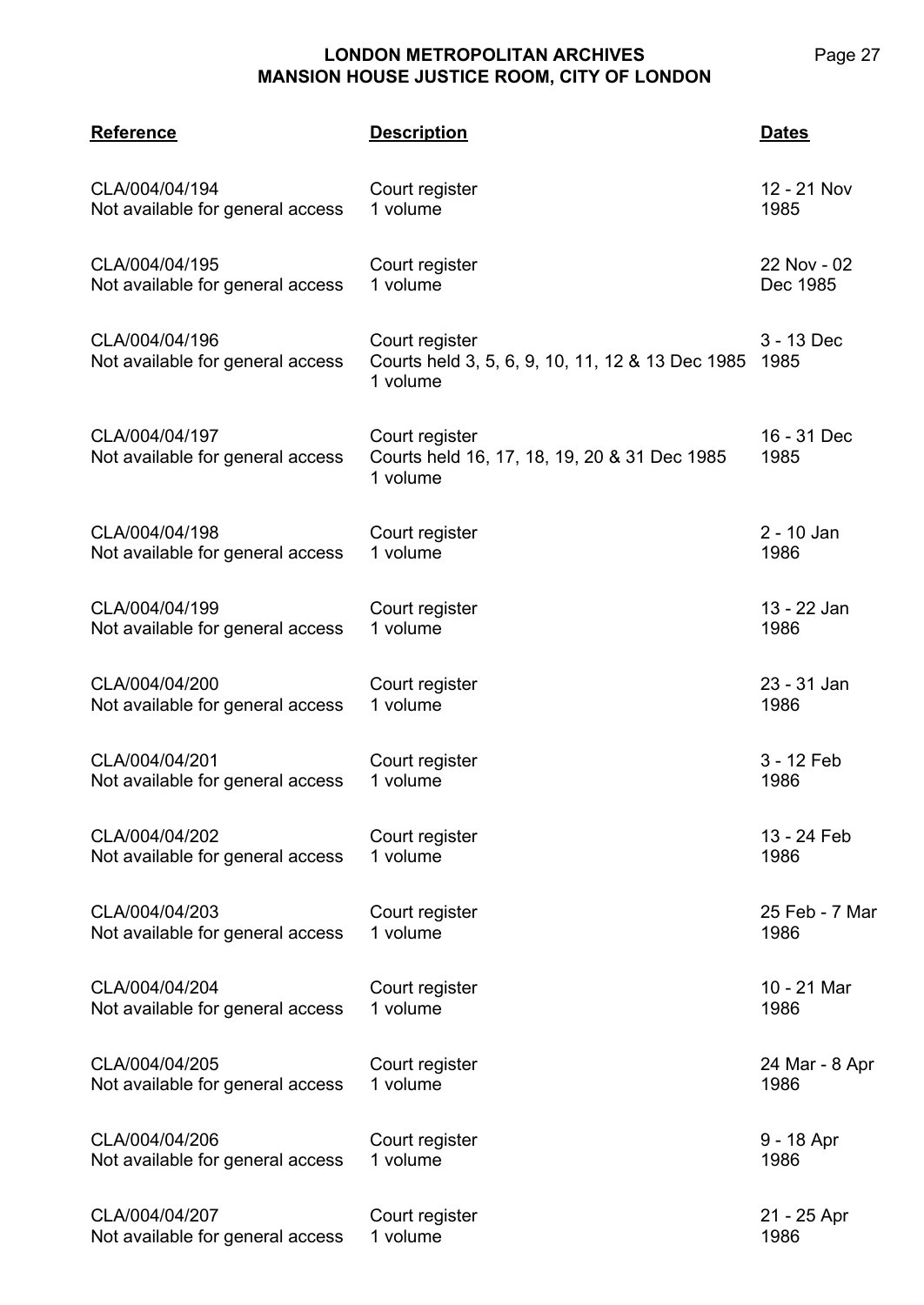| <b>Reference</b>                                   | <b>Description</b>                                                             | <b>Dates</b>        |
|----------------------------------------------------|--------------------------------------------------------------------------------|---------------------|
| CLA/004/04/194                                     | Court register                                                                 | 12 - 21 Nov         |
| Not available for general access                   | 1 volume                                                                       | 1985                |
| CLA/004/04/195                                     | Court register                                                                 | 22 Nov - 02         |
| Not available for general access                   | 1 volume                                                                       | Dec 1985            |
| CLA/004/04/196<br>Not available for general access | Court register<br>Courts held 3, 5, 6, 9, 10, 11, 12 & 13 Dec 1985<br>1 volume | 3 - 13 Dec<br>1985  |
| CLA/004/04/197<br>Not available for general access | Court register<br>Courts held 16, 17, 18, 19, 20 & 31 Dec 1985<br>1 volume     | 16 - 31 Dec<br>1985 |
| CLA/004/04/198                                     | Court register                                                                 | 2 - 10 Jan          |
| Not available for general access                   | 1 volume                                                                       | 1986                |
| CLA/004/04/199                                     | Court register                                                                 | 13 - 22 Jan         |
| Not available for general access                   | 1 volume                                                                       | 1986                |
| CLA/004/04/200                                     | Court register                                                                 | 23 - 31 Jan         |
| Not available for general access                   | 1 volume                                                                       | 1986                |
| CLA/004/04/201                                     | Court register                                                                 | 3 - 12 Feb          |
| Not available for general access                   | 1 volume                                                                       | 1986                |
| CLA/004/04/202                                     | Court register                                                                 | 13 - 24 Feb         |
| Not available for general access                   | 1 volume                                                                       | 1986                |
| CLA/004/04/203                                     | Court register                                                                 | 25 Feb - 7 Mar      |
| Not available for general access                   | 1 volume                                                                       | 1986                |
| CLA/004/04/204                                     | Court register                                                                 | 10 - 21 Mar         |
| Not available for general access                   | 1 volume                                                                       | 1986                |
| CLA/004/04/205                                     | Court register                                                                 | 24 Mar - 8 Apr      |
| Not available for general access                   | 1 volume                                                                       | 1986                |
| CLA/004/04/206                                     | Court register                                                                 | 9 - 18 Apr          |
| Not available for general access                   | 1 volume                                                                       | 1986                |
| CLA/004/04/207                                     | Court register                                                                 | 21 - 25 Apr         |
| Not available for general access                   | 1 volume                                                                       | 1986                |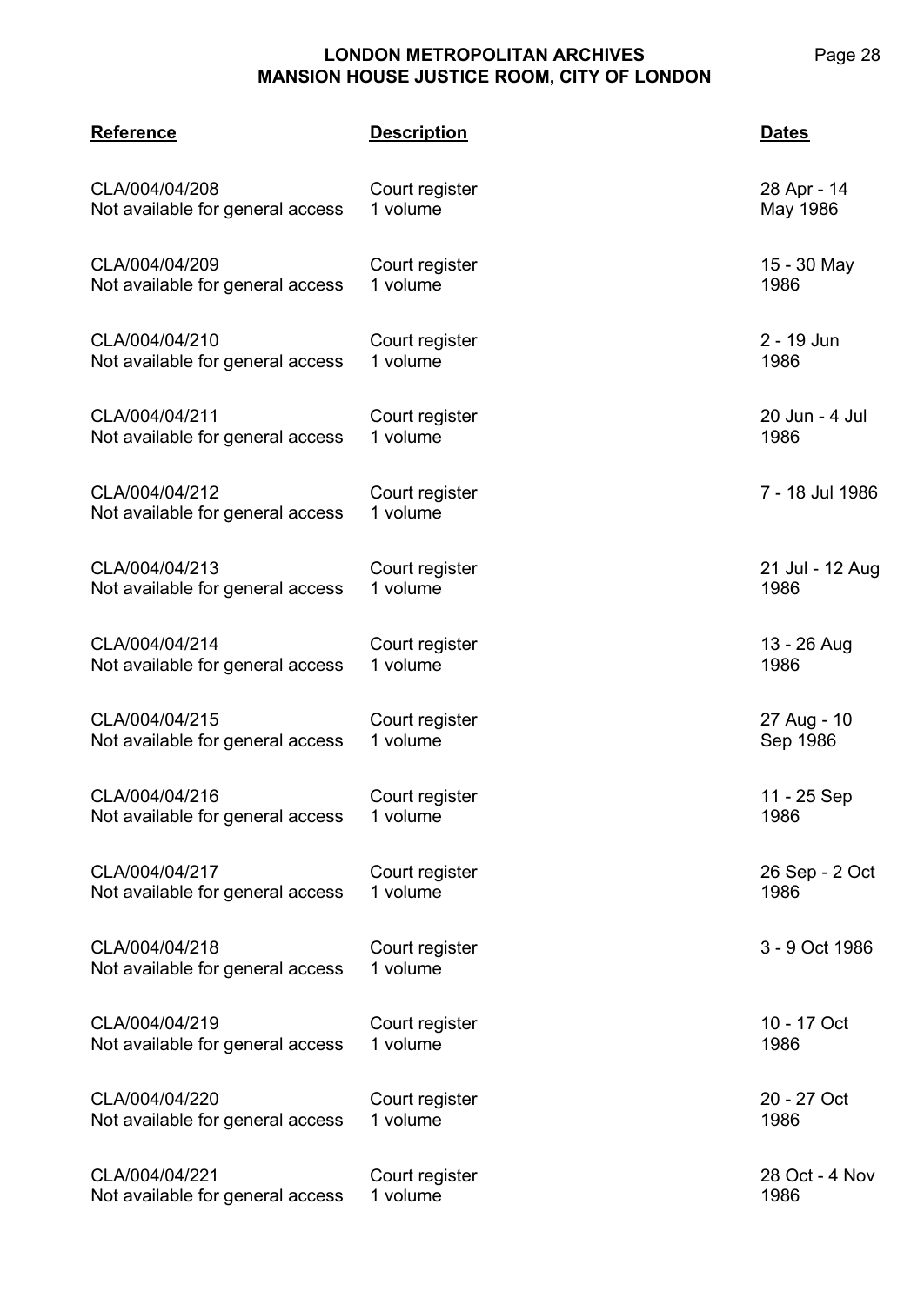# **LONDON METROPOLITAN ARCHIVES MANSION HOUSE JUSTICE ROOM,**

| ARCHIVES         |     | Page |
|------------------|-----|------|
| , CITY OF LONDON |     |      |
|                  | - - |      |

| <b>Reference</b>                                   | <b>Description</b>         | <b>Dates</b>    |
|----------------------------------------------------|----------------------------|-----------------|
| CLA/004/04/208                                     | Court register             | 28 Apr - 14     |
| Not available for general access                   | 1 volume                   | May 1986        |
| CLA/004/04/209                                     | Court register             | 15 - 30 May     |
| Not available for general access                   | 1 volume                   | 1986            |
| CLA/004/04/210                                     | Court register             | 2 - 19 Jun      |
| Not available for general access                   | 1 volume                   | 1986            |
| CLA/004/04/211                                     | Court register             | 20 Jun - 4 Jul  |
| Not available for general access                   | 1 volume                   | 1986            |
| CLA/004/04/212<br>Not available for general access | Court register<br>1 volume | 7 - 18 Jul 1986 |
| CLA/004/04/213                                     | Court register             | 21 Jul - 12 Aug |
| Not available for general access                   | 1 volume                   | 1986            |
| CLA/004/04/214                                     | Court register             | 13 - 26 Aug     |
| Not available for general access                   | 1 volume                   | 1986            |
| CLA/004/04/215                                     | Court register             | 27 Aug - 10     |
| Not available for general access                   | 1 volume                   | Sep 1986        |
| CLA/004/04/216                                     | Court register             | 11 - 25 Sep     |
| Not available for general access                   | 1 volume                   | 1986            |
| CLA/004/04/217                                     | Court register             | 26 Sep - 2 Oct  |
| Not available for general access                   | 1 volume                   | 1986            |
| CLA/004/04/218<br>Not available for general access | Court register<br>1 volume | 3 - 9 Oct 1986  |
| CLA/004/04/219                                     | Court register             | 10 - 17 Oct     |
| Not available for general access                   | 1 volume                   | 1986            |
| CLA/004/04/220                                     | Court register             | 20 - 27 Oct     |
| Not available for general access                   | 1 volume                   | 1986            |
| CLA/004/04/221                                     | Court register             | 28 Oct - 4 Nov  |
| Not available for general access                   | 1 volume                   | 1986            |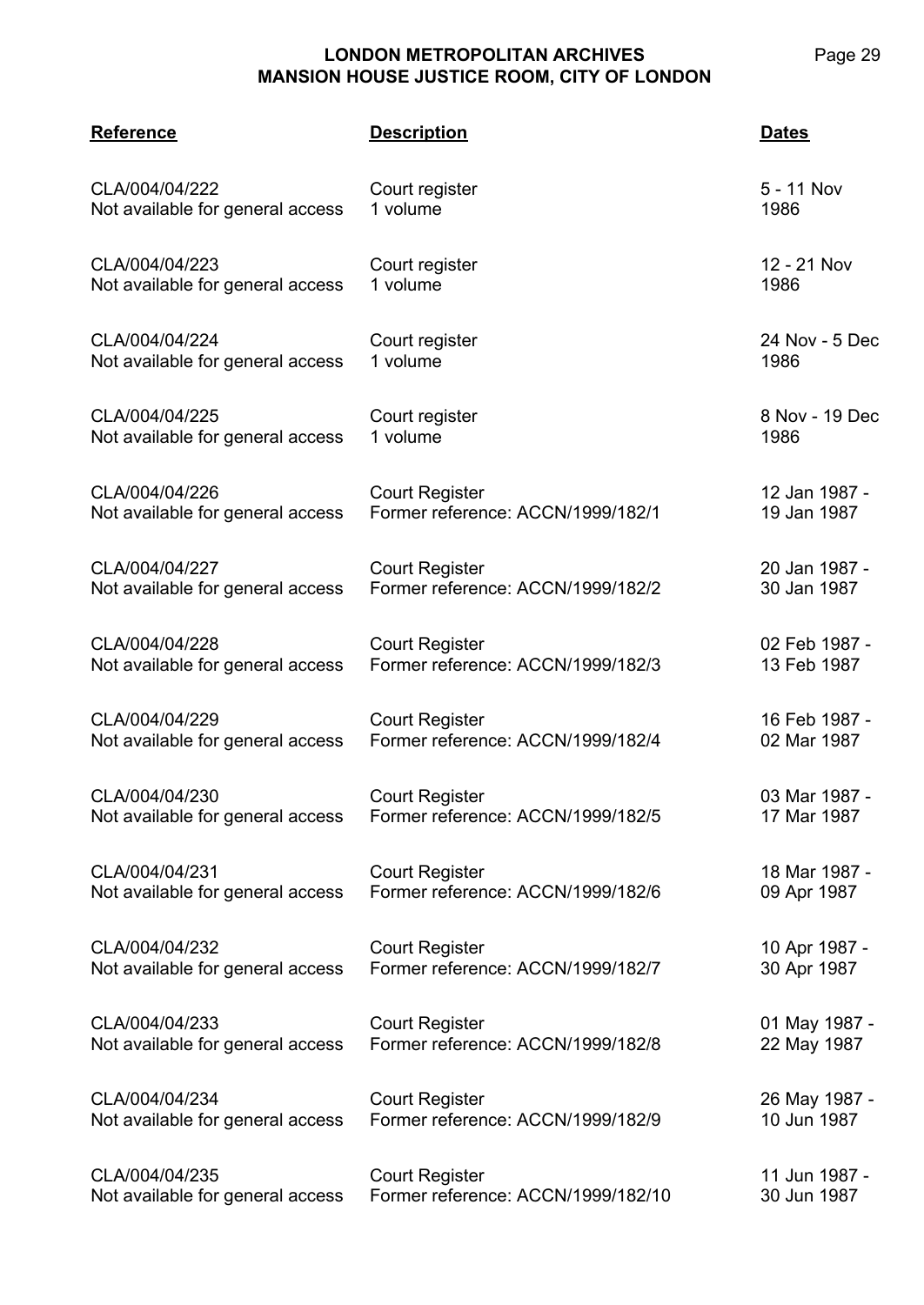| <b>Reference</b>                 | <b>Description</b>                 | <u>Dates</u>   |
|----------------------------------|------------------------------------|----------------|
| CLA/004/04/222                   | Court register                     | 5 - 11 Nov     |
| Not available for general access | 1 volume                           | 1986           |
| CLA/004/04/223                   | Court register                     | 12 - 21 Nov    |
| Not available for general access | 1 volume                           | 1986           |
| CLA/004/04/224                   | Court register                     | 24 Nov - 5 Dec |
| Not available for general access | 1 volume                           | 1986           |
| CLA/004/04/225                   | Court register                     | 8 Nov - 19 Dec |
| Not available for general access | 1 volume                           | 1986           |
| CLA/004/04/226                   | <b>Court Register</b>              | 12 Jan 1987 -  |
| Not available for general access | Former reference: ACCN/1999/182/1  | 19 Jan 1987    |
| CLA/004/04/227                   | <b>Court Register</b>              | 20 Jan 1987 -  |
| Not available for general access | Former reference: ACCN/1999/182/2  | 30 Jan 1987    |
| CLA/004/04/228                   | <b>Court Register</b>              | 02 Feb 1987 -  |
| Not available for general access | Former reference: ACCN/1999/182/3  | 13 Feb 1987    |
| CLA/004/04/229                   | <b>Court Register</b>              | 16 Feb 1987 -  |
| Not available for general access | Former reference: ACCN/1999/182/4  | 02 Mar 1987    |
| CLA/004/04/230                   | <b>Court Register</b>              | 03 Mar 1987 -  |
| Not available for general access | Former reference: ACCN/1999/182/5  | 17 Mar 1987    |
| CLA/004/04/231                   | <b>Court Register</b>              | 18 Mar 1987 -  |
| Not available for general access | Former reference: ACCN/1999/182/6  | 09 Apr 1987    |
| CLA/004/04/232                   | <b>Court Register</b>              | 10 Apr 1987 -  |
| Not available for general access | Former reference: ACCN/1999/182/7  | 30 Apr 1987    |
| CLA/004/04/233                   | <b>Court Register</b>              | 01 May 1987 -  |
| Not available for general access | Former reference: ACCN/1999/182/8  | 22 May 1987    |
| CLA/004/04/234                   | <b>Court Register</b>              | 26 May 1987 -  |
| Not available for general access | Former reference: ACCN/1999/182/9  | 10 Jun 1987    |
| CLA/004/04/235                   | <b>Court Register</b>              | 11 Jun 1987 -  |
| Not available for general access | Former reference: ACCN/1999/182/10 | 30 Jun 1987    |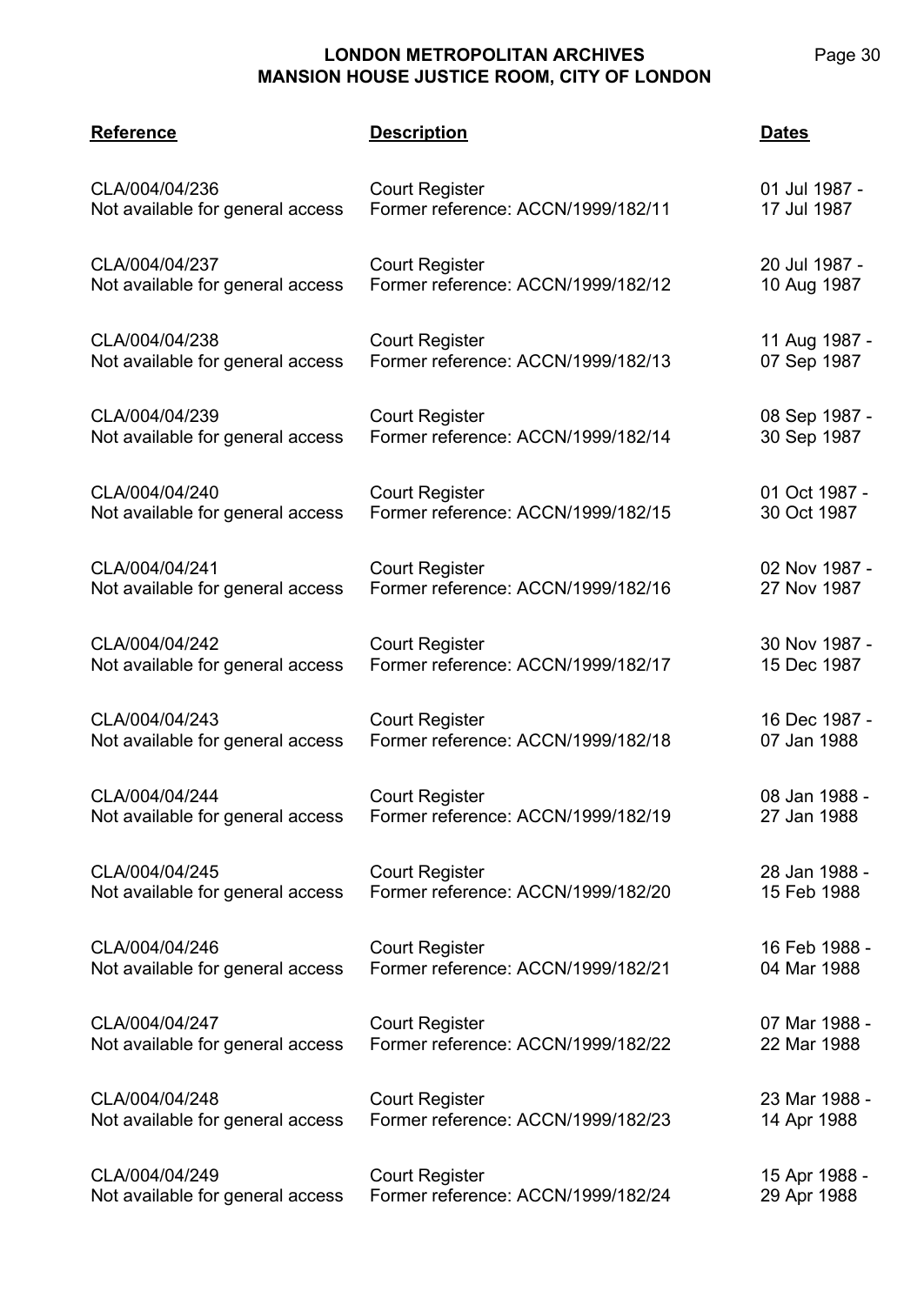| <b>Reference</b>                 | <b>Description</b>                 | <b>Dates</b>  |
|----------------------------------|------------------------------------|---------------|
| CLA/004/04/236                   | <b>Court Register</b>              | 01 Jul 1987 - |
| Not available for general access | Former reference: ACCN/1999/182/11 | 17 Jul 1987   |
| CLA/004/04/237                   | <b>Court Register</b>              | 20 Jul 1987 - |
| Not available for general access | Former reference: ACCN/1999/182/12 | 10 Aug 1987   |
| CLA/004/04/238                   | <b>Court Register</b>              | 11 Aug 1987 - |
| Not available for general access | Former reference: ACCN/1999/182/13 | 07 Sep 1987   |
| CLA/004/04/239                   | <b>Court Register</b>              | 08 Sep 1987 - |
| Not available for general access | Former reference: ACCN/1999/182/14 | 30 Sep 1987   |
| CLA/004/04/240                   | <b>Court Register</b>              | 01 Oct 1987 - |
| Not available for general access | Former reference: ACCN/1999/182/15 | 30 Oct 1987   |
| CLA/004/04/241                   | <b>Court Register</b>              | 02 Nov 1987 - |
| Not available for general access | Former reference: ACCN/1999/182/16 | 27 Nov 1987   |
| CLA/004/04/242                   | <b>Court Register</b>              | 30 Nov 1987 - |
| Not available for general access | Former reference: ACCN/1999/182/17 | 15 Dec 1987   |
| CLA/004/04/243                   | <b>Court Register</b>              | 16 Dec 1987 - |
| Not available for general access | Former reference: ACCN/1999/182/18 | 07 Jan 1988   |
| CLA/004/04/244                   | <b>Court Register</b>              | 08 Jan 1988 - |
| Not available for general access | Former reference: ACCN/1999/182/19 | 27 Jan 1988   |
| CLA/004/04/245                   | <b>Court Register</b>              | 28 Jan 1988 - |
| Not available for general access | Former reference: ACCN/1999/182/20 | 15 Feb 1988   |
| CLA/004/04/246                   | <b>Court Register</b>              | 16 Feb 1988 - |
| Not available for general access | Former reference: ACCN/1999/182/21 | 04 Mar 1988   |
| CLA/004/04/247                   | <b>Court Register</b>              | 07 Mar 1988 - |
| Not available for general access | Former reference: ACCN/1999/182/22 | 22 Mar 1988   |
| CLA/004/04/248                   | <b>Court Register</b>              | 23 Mar 1988 - |
| Not available for general access | Former reference: ACCN/1999/182/23 | 14 Apr 1988   |
| CLA/004/04/249                   | <b>Court Register</b>              | 15 Apr 1988 - |
| Not available for general access | Former reference: ACCN/1999/182/24 | 29 Apr 1988   |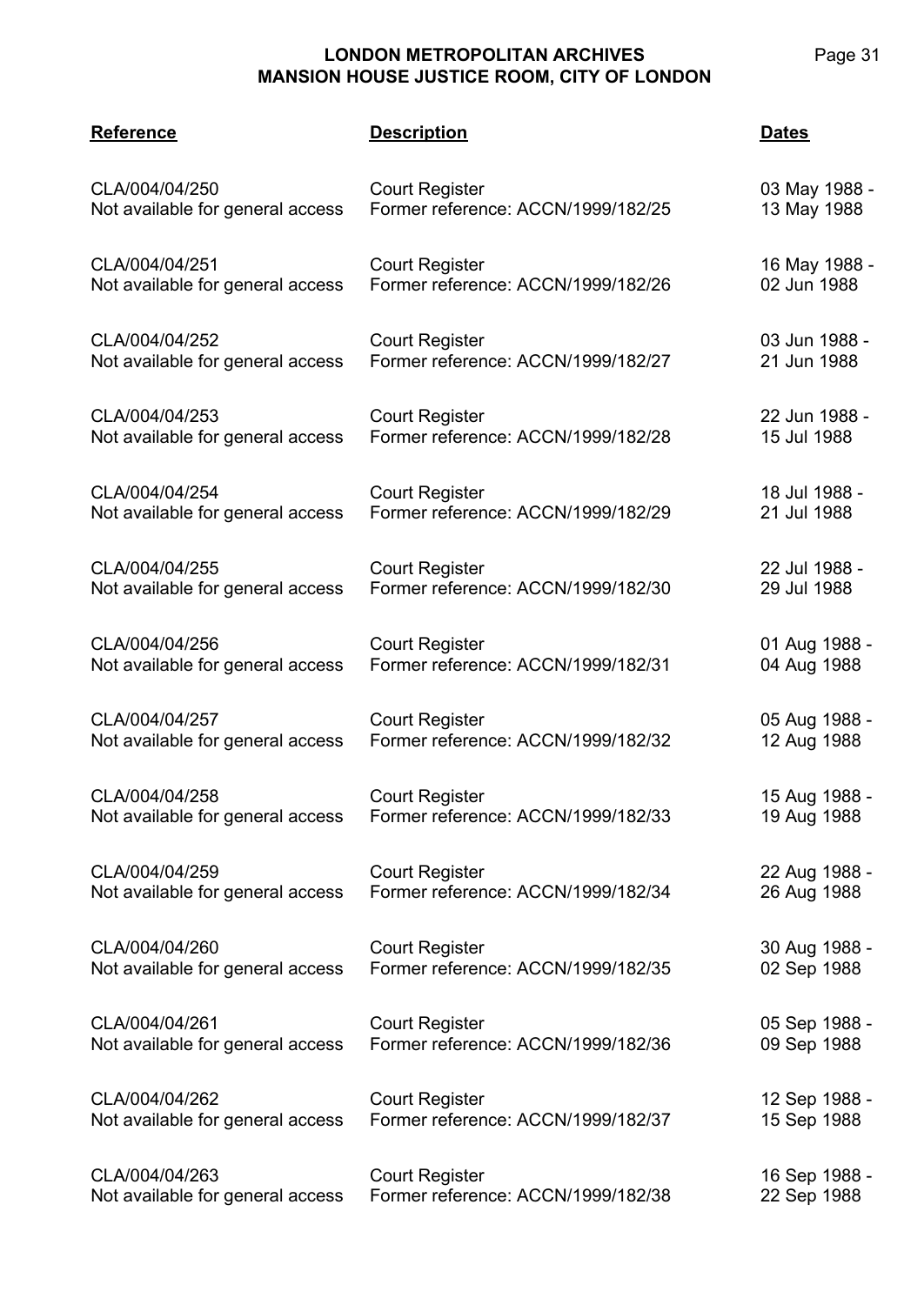# **LONDON METROPOLITAN ARCHIVES**

**MANSION HOUSE JUSTICE ROOM, CITY OF LONDON CLA/004 Reference Description Dates** CLA/004/04/250 Not available for general access Court Register Former reference: ACCN/1999/182/25 03 May 1988 - 13 May 1988 CLA/004/04/251 Not available for general access Court Register Former reference: ACCN/1999/182/26 16 May 1988 - 02 Jun 1988 CLA/004/04/252 Not available for general access Court Register Former reference: ACCN/1999/182/27 03 Jun 1988 - 21 Jun 1988 CLA/004/04/253 Not available for general access Court Register Former reference: ACCN/1999/182/28 22 Jun 1988 - 15 Jul 1988 CLA/004/04/254 Not available for general access Court Register Former reference: ACCN/1999/182/29 18 Jul 1988 - 21 Jul 1988 CLA/004/04/255 Not available for general access Court Register Former reference: ACCN/1999/182/30 22 Jul 1988 - 29 Jul 1988 CLA/004/04/256 Not available for general access Court Register Former reference: ACCN/1999/182/31 01 Aug 1988 - 04 Aug 1988

CLA/004/04/257 Not available for general access Court Register Former reference: ACCN/1999/182/32

CLA/004/04/258 Not available for general access Court Register Former reference: ACCN/1999/182/33 15 Aug 1988 - 19 Aug 1988

Court Register

Court Register

Court Register

CLA/004/04/259 Not available for general access

CLA/004/04/260 Not available for general access

CLA/004/04/261 Not available for general access

CLA/004/04/262 Not available for general access Court Register Former reference: ACCN/1999/182/37 12 Sep 1988 - 15 Sep 1988

Former reference: ACCN/1999/182/34

Former reference: ACCN/1999/182/35

Former reference: ACCN/1999/182/36

CLA/004/04/263 Not available for general access Court Register Former reference: ACCN/1999/182/38 16 Sep 1988 - 22 Sep 1988

05 Aug 1988 - 12 Aug 1988

22 Aug 1988 - 26 Aug 1988

30 Aug 1988 - 02 Sep 1988

05 Sep 1988 - 09 Sep 1988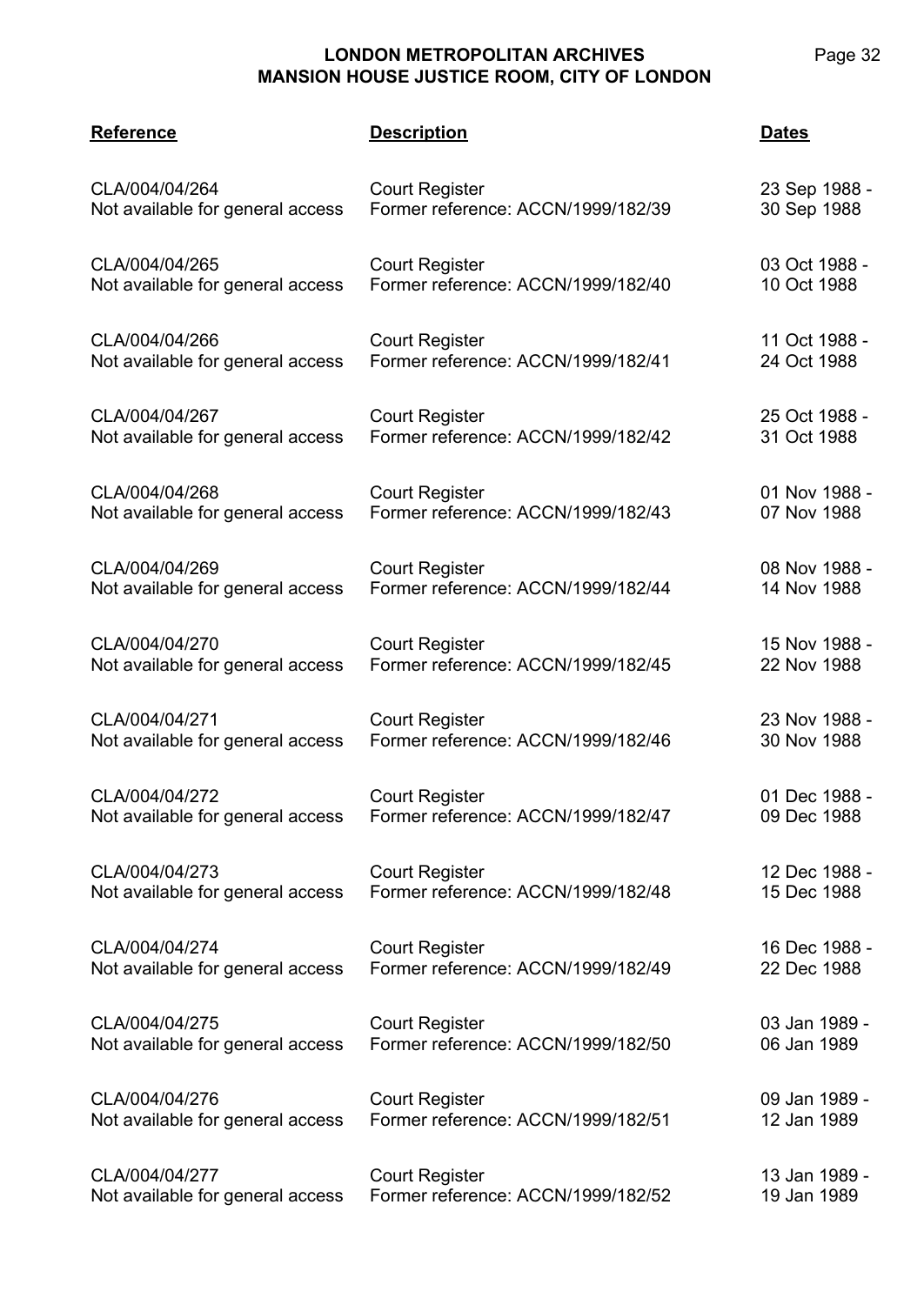| Page | . . |
|------|-----|
|      |     |

| <b>Reference</b>                 | <b>Description</b>                 | <b>Dates</b>  |
|----------------------------------|------------------------------------|---------------|
| CLA/004/04/264                   | <b>Court Register</b>              | 23 Sep 1988 - |
| Not available for general access | Former reference: ACCN/1999/182/39 | 30 Sep 1988   |
| CLA/004/04/265                   | <b>Court Register</b>              | 03 Oct 1988 - |
| Not available for general access | Former reference: ACCN/1999/182/40 | 10 Oct 1988   |
| CLA/004/04/266                   | <b>Court Register</b>              | 11 Oct 1988 - |
| Not available for general access | Former reference: ACCN/1999/182/41 | 24 Oct 1988   |
| CLA/004/04/267                   | <b>Court Register</b>              | 25 Oct 1988 - |
| Not available for general access | Former reference: ACCN/1999/182/42 | 31 Oct 1988   |
| CLA/004/04/268                   | <b>Court Register</b>              | 01 Nov 1988 - |
| Not available for general access | Former reference: ACCN/1999/182/43 | 07 Nov 1988   |
| CLA/004/04/269                   | <b>Court Register</b>              | 08 Nov 1988 - |
| Not available for general access | Former reference: ACCN/1999/182/44 | 14 Nov 1988   |
| CLA/004/04/270                   | <b>Court Register</b>              | 15 Nov 1988 - |
| Not available for general access | Former reference: ACCN/1999/182/45 | 22 Nov 1988   |
| CLA/004/04/271                   | <b>Court Register</b>              | 23 Nov 1988 - |
| Not available for general access | Former reference: ACCN/1999/182/46 | 30 Nov 1988   |
| CLA/004/04/272                   | <b>Court Register</b>              | 01 Dec 1988 - |
| Not available for general access | Former reference: ACCN/1999/182/47 | 09 Dec 1988   |
| CLA/004/04/273                   | <b>Court Register</b>              | 12 Dec 1988 - |
| Not available for general access | Former reference: ACCN/1999/182/48 | 15 Dec 1988   |
| CLA/004/04/274                   | <b>Court Register</b>              | 16 Dec 1988 - |
| Not available for general access | Former reference: ACCN/1999/182/49 | 22 Dec 1988   |
| CLA/004/04/275                   | <b>Court Register</b>              | 03 Jan 1989 - |
| Not available for general access | Former reference: ACCN/1999/182/50 | 06 Jan 1989   |
| CLA/004/04/276                   | <b>Court Register</b>              | 09 Jan 1989 - |
| Not available for general access | Former reference: ACCN/1999/182/51 | 12 Jan 1989   |
| CLA/004/04/277                   | <b>Court Register</b>              | 13 Jan 1989 - |
| Not available for general access | Former reference: ACCN/1999/182/52 | 19 Jan 1989   |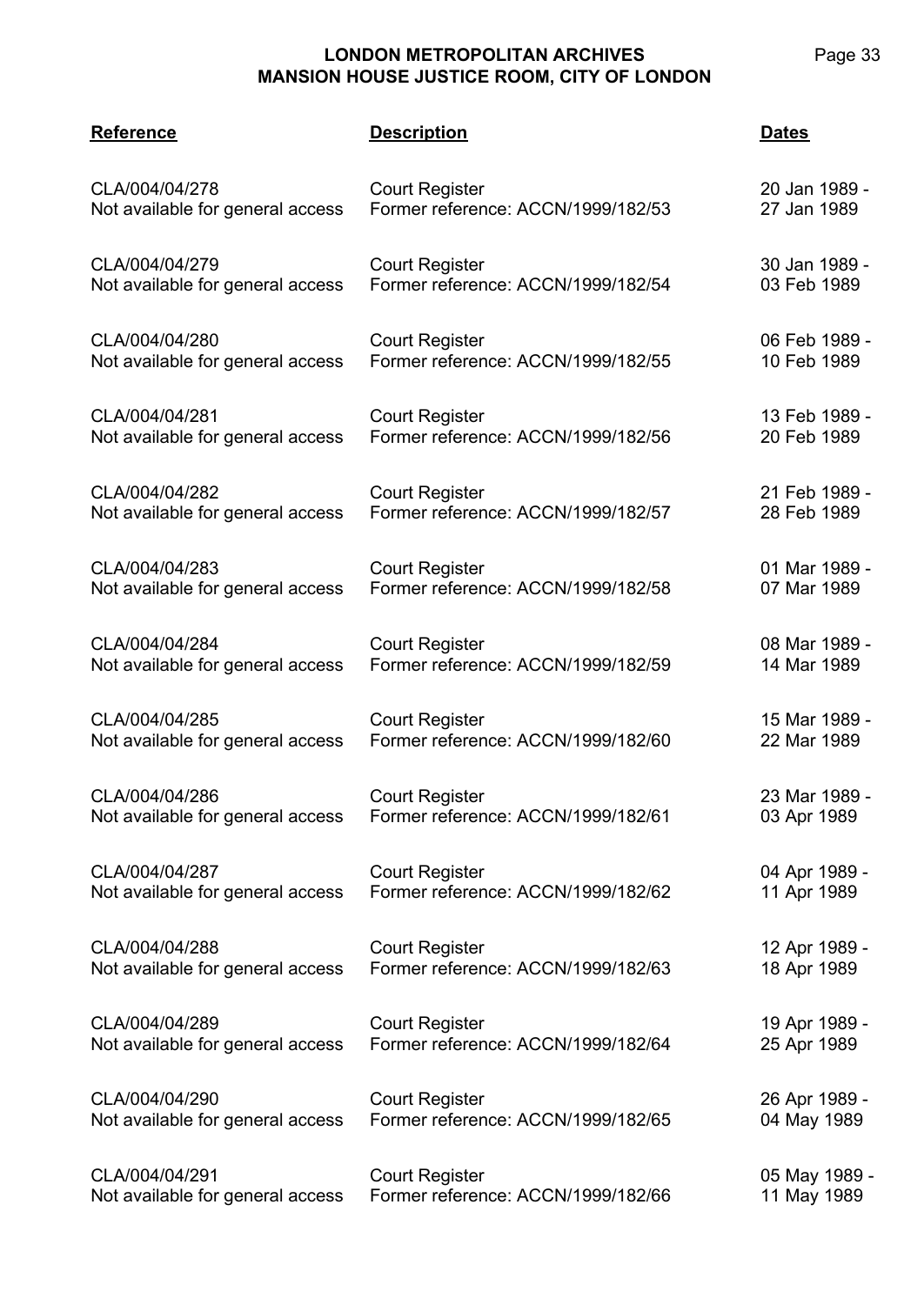| <b>Reference</b>                 | <b>Description</b>                 | <b>Dates</b>  |
|----------------------------------|------------------------------------|---------------|
| CLA/004/04/278                   | <b>Court Register</b>              | 20 Jan 1989 - |
| Not available for general access | Former reference: ACCN/1999/182/53 | 27 Jan 1989   |
| CLA/004/04/279                   | <b>Court Register</b>              | 30 Jan 1989 - |
| Not available for general access | Former reference: ACCN/1999/182/54 | 03 Feb 1989   |
| CLA/004/04/280                   | <b>Court Register</b>              | 06 Feb 1989 - |
| Not available for general access | Former reference: ACCN/1999/182/55 | 10 Feb 1989   |
| CLA/004/04/281                   | <b>Court Register</b>              | 13 Feb 1989 - |
| Not available for general access | Former reference: ACCN/1999/182/56 | 20 Feb 1989   |
| CLA/004/04/282                   | <b>Court Register</b>              | 21 Feb 1989 - |
| Not available for general access | Former reference: ACCN/1999/182/57 | 28 Feb 1989   |
| CLA/004/04/283                   | <b>Court Register</b>              | 01 Mar 1989 - |
| Not available for general access | Former reference: ACCN/1999/182/58 | 07 Mar 1989   |
| CLA/004/04/284                   | <b>Court Register</b>              | 08 Mar 1989 - |
| Not available for general access | Former reference: ACCN/1999/182/59 | 14 Mar 1989   |
| CLA/004/04/285                   | <b>Court Register</b>              | 15 Mar 1989 - |
| Not available for general access | Former reference: ACCN/1999/182/60 | 22 Mar 1989   |
| CLA/004/04/286                   | <b>Court Register</b>              | 23 Mar 1989 - |
| Not available for general access | Former reference: ACCN/1999/182/61 | 03 Apr 1989   |
| CLA/004/04/287                   | <b>Court Register</b>              | 04 Apr 1989 - |
| Not available for general access | Former reference: ACCN/1999/182/62 | 11 Apr 1989   |
| CLA/004/04/288                   | <b>Court Register</b>              | 12 Apr 1989 - |
| Not available for general access | Former reference: ACCN/1999/182/63 | 18 Apr 1989   |
| CLA/004/04/289                   | <b>Court Register</b>              | 19 Apr 1989 - |
| Not available for general access | Former reference: ACCN/1999/182/64 | 25 Apr 1989   |
| CLA/004/04/290                   | <b>Court Register</b>              | 26 Apr 1989 - |
| Not available for general access | Former reference: ACCN/1999/182/65 | 04 May 1989   |
| CLA/004/04/291                   | <b>Court Register</b>              | 05 May 1989 - |
| Not available for general access | Former reference: ACCN/1999/182/66 | 11 May 1989   |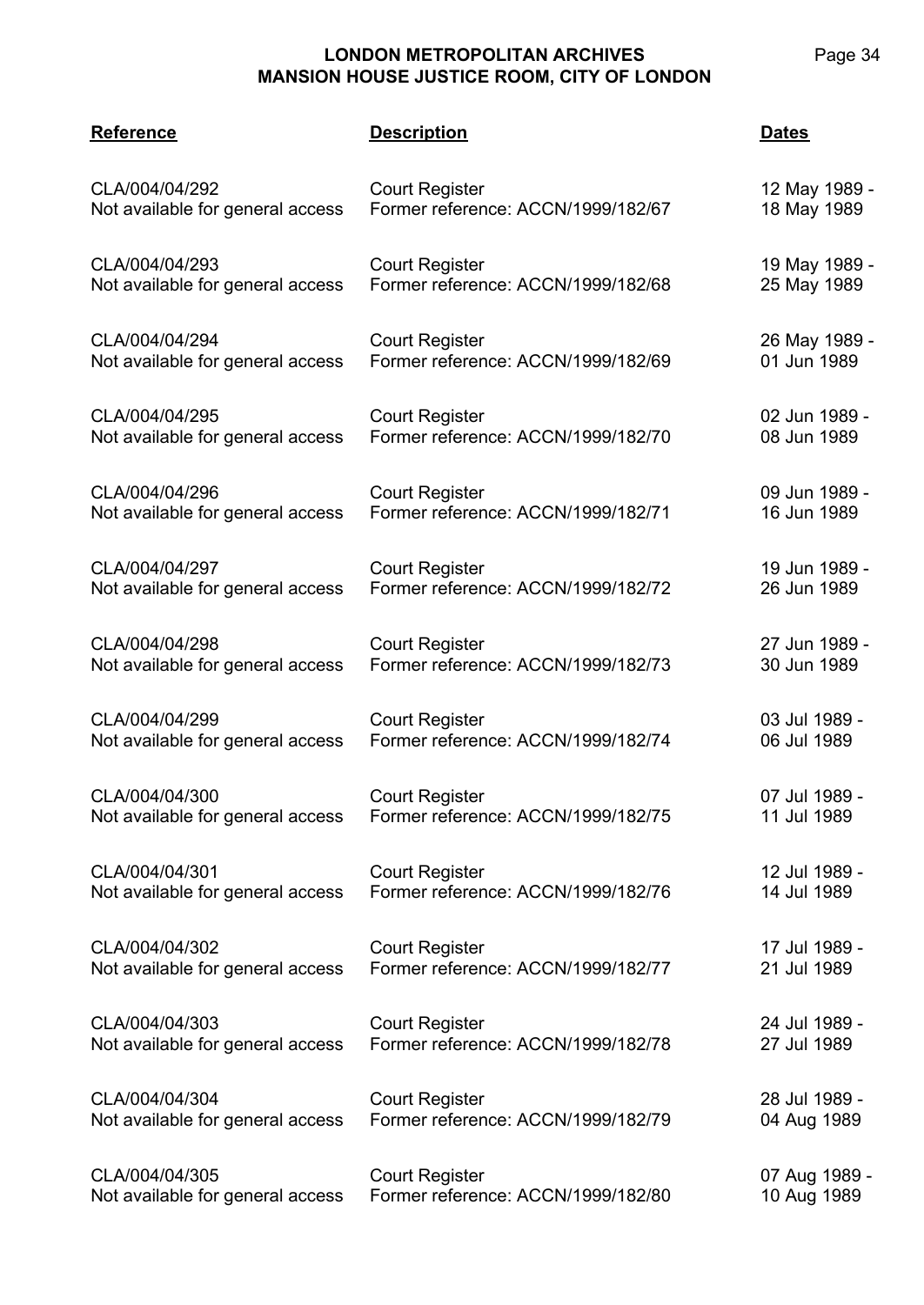| <b>Reference</b>                 | <b>Description</b>                 | <b>Dates</b>  |
|----------------------------------|------------------------------------|---------------|
| CLA/004/04/292                   | <b>Court Register</b>              | 12 May 1989 - |
| Not available for general access | Former reference: ACCN/1999/182/67 | 18 May 1989   |
| CLA/004/04/293                   | <b>Court Register</b>              | 19 May 1989 - |
| Not available for general access | Former reference: ACCN/1999/182/68 | 25 May 1989   |
| CLA/004/04/294                   | <b>Court Register</b>              | 26 May 1989 - |
| Not available for general access | Former reference: ACCN/1999/182/69 | 01 Jun 1989   |
| CLA/004/04/295                   | <b>Court Register</b>              | 02 Jun 1989 - |
| Not available for general access | Former reference: ACCN/1999/182/70 | 08 Jun 1989   |
| CLA/004/04/296                   | <b>Court Register</b>              | 09 Jun 1989 - |
| Not available for general access | Former reference: ACCN/1999/182/71 | 16 Jun 1989   |
| CLA/004/04/297                   | <b>Court Register</b>              | 19 Jun 1989 - |
| Not available for general access | Former reference: ACCN/1999/182/72 | 26 Jun 1989   |
| CLA/004/04/298                   | <b>Court Register</b>              | 27 Jun 1989 - |
| Not available for general access | Former reference: ACCN/1999/182/73 | 30 Jun 1989   |
| CLA/004/04/299                   | <b>Court Register</b>              | 03 Jul 1989 - |
| Not available for general access | Former reference: ACCN/1999/182/74 | 06 Jul 1989   |
| CLA/004/04/300                   | <b>Court Register</b>              | 07 Jul 1989 - |
| Not available for general access | Former reference: ACCN/1999/182/75 | 11 Jul 1989   |
| CLA/004/04/301                   | <b>Court Register</b>              | 12 Jul 1989 - |
| Not available for general access | Former reference: ACCN/1999/182/76 | 14 Jul 1989   |
| CLA/004/04/302                   | <b>Court Register</b>              | 17 Jul 1989 - |
| Not available for general access | Former reference: ACCN/1999/182/77 | 21 Jul 1989   |
| CLA/004/04/303                   | <b>Court Register</b>              | 24 Jul 1989 - |
| Not available for general access | Former reference: ACCN/1999/182/78 | 27 Jul 1989   |
| CLA/004/04/304                   | <b>Court Register</b>              | 28 Jul 1989 - |
| Not available for general access | Former reference: ACCN/1999/182/79 | 04 Aug 1989   |
| CLA/004/04/305                   | <b>Court Register</b>              | 07 Aug 1989 - |
| Not available for general access | Former reference: ACCN/1999/182/80 | 10 Aug 1989   |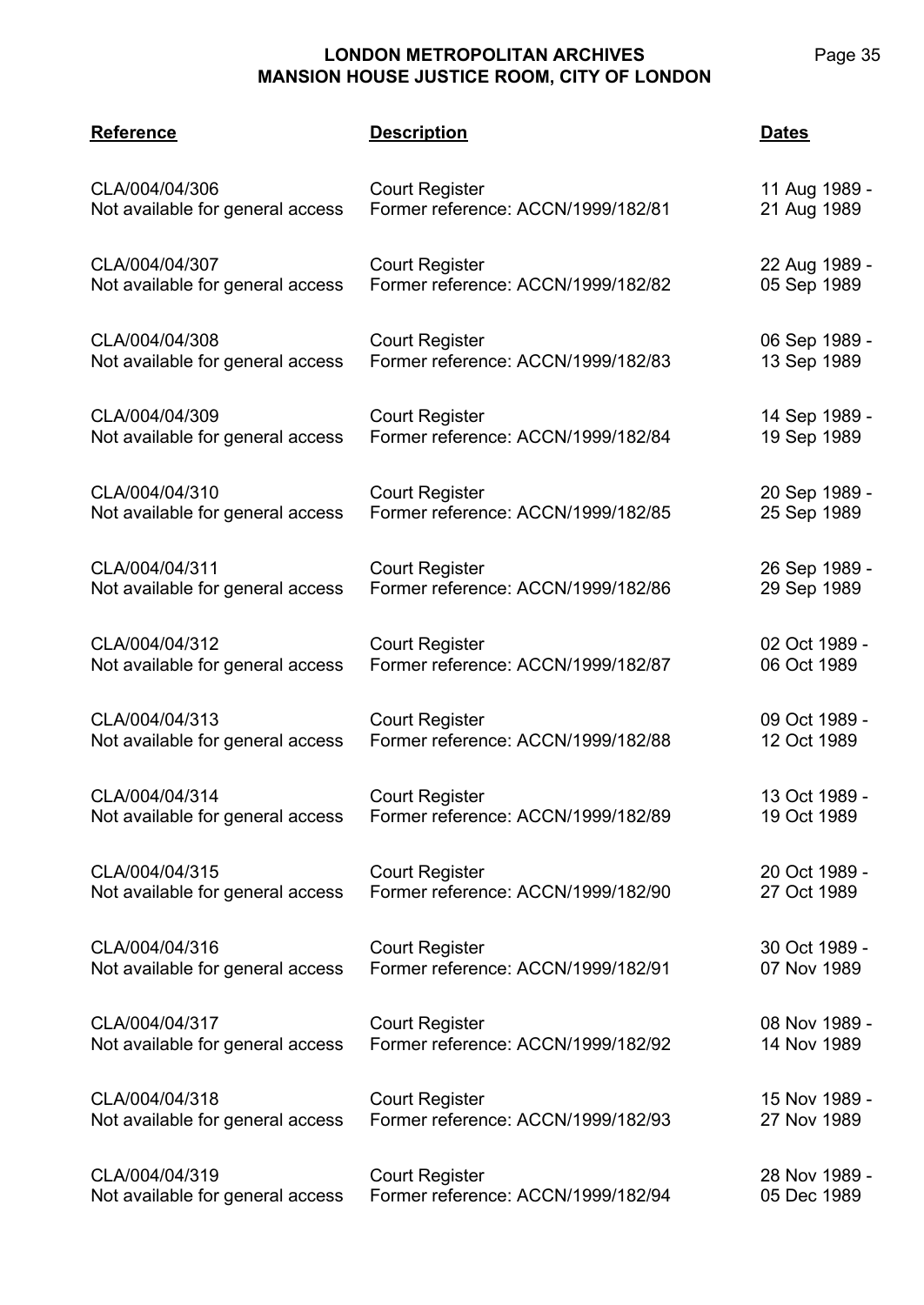|  | age |  | つに |
|--|-----|--|----|
|--|-----|--|----|

| <b>Reference</b>                 | <b>Description</b>                 | Dates         |
|----------------------------------|------------------------------------|---------------|
| CLA/004/04/306                   | <b>Court Register</b>              | 11 Aug 1989 - |
| Not available for general access | Former reference: ACCN/1999/182/81 | 21 Aug 1989   |
| CLA/004/04/307                   | <b>Court Register</b>              | 22 Aug 1989 - |
| Not available for general access | Former reference: ACCN/1999/182/82 | 05 Sep 1989   |
| CLA/004/04/308                   | <b>Court Register</b>              | 06 Sep 1989 - |
| Not available for general access | Former reference: ACCN/1999/182/83 | 13 Sep 1989   |
| CLA/004/04/309                   | <b>Court Register</b>              | 14 Sep 1989 - |
| Not available for general access | Former reference: ACCN/1999/182/84 | 19 Sep 1989   |
| CLA/004/04/310                   | <b>Court Register</b>              | 20 Sep 1989 - |
| Not available for general access | Former reference: ACCN/1999/182/85 | 25 Sep 1989   |
| CLA/004/04/311                   | <b>Court Register</b>              | 26 Sep 1989 - |
| Not available for general access | Former reference: ACCN/1999/182/86 | 29 Sep 1989   |
| CLA/004/04/312                   | <b>Court Register</b>              | 02 Oct 1989 - |
| Not available for general access | Former reference: ACCN/1999/182/87 | 06 Oct 1989   |
| CLA/004/04/313                   | <b>Court Register</b>              | 09 Oct 1989 - |
| Not available for general access | Former reference: ACCN/1999/182/88 | 12 Oct 1989   |
| CLA/004/04/314                   | <b>Court Register</b>              | 13 Oct 1989 - |
| Not available for general access | Former reference: ACCN/1999/182/89 | 19 Oct 1989   |
| CLA/004/04/315                   | <b>Court Register</b>              | 20 Oct 1989 - |
| Not available for general access | Former reference: ACCN/1999/182/90 | 27 Oct 1989   |
| CLA/004/04/316                   | <b>Court Register</b>              | 30 Oct 1989 - |
| Not available for general access | Former reference: ACCN/1999/182/91 | 07 Nov 1989   |
| CLA/004/04/317                   | <b>Court Register</b>              | 08 Nov 1989 - |
| Not available for general access | Former reference: ACCN/1999/182/92 | 14 Nov 1989   |
| CLA/004/04/318                   | <b>Court Register</b>              | 15 Nov 1989 - |
| Not available for general access | Former reference: ACCN/1999/182/93 | 27 Nov 1989   |
| CLA/004/04/319                   | <b>Court Register</b>              | 28 Nov 1989 - |
| Not available for general access | Former reference: ACCN/1999/182/94 | 05 Dec 1989   |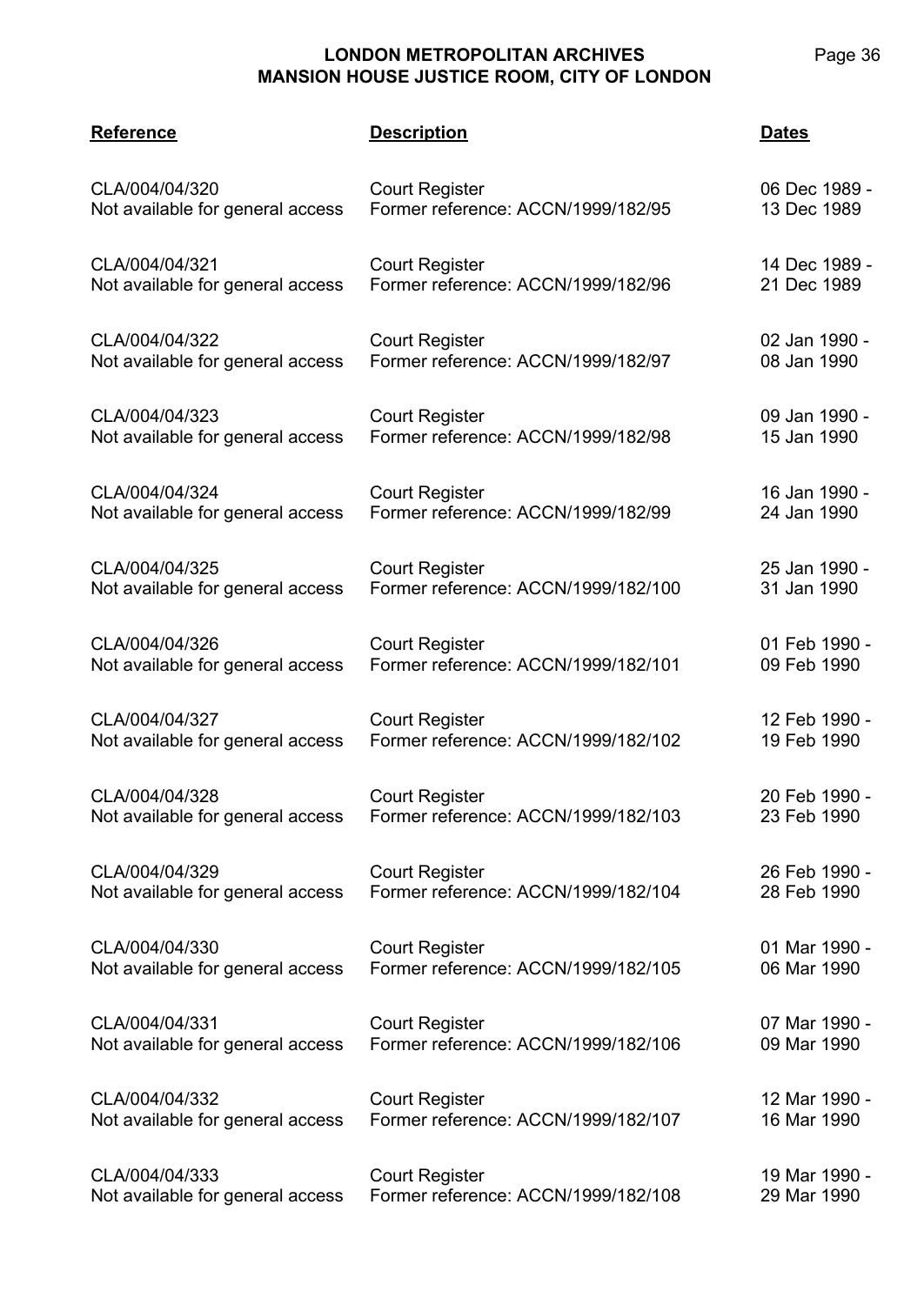| Page 36 |  |
|---------|--|
|         |  |

| <b>Reference</b>                 | <b>Description</b>                  | <b>Dates</b>  |
|----------------------------------|-------------------------------------|---------------|
| CLA/004/04/320                   | <b>Court Register</b>               | 06 Dec 1989 - |
| Not available for general access | Former reference: ACCN/1999/182/95  | 13 Dec 1989   |
| CLA/004/04/321                   | <b>Court Register</b>               | 14 Dec 1989 - |
| Not available for general access | Former reference: ACCN/1999/182/96  | 21 Dec 1989   |
| CLA/004/04/322                   | <b>Court Register</b>               | 02 Jan 1990 - |
| Not available for general access | Former reference: ACCN/1999/182/97  | 08 Jan 1990   |
| CLA/004/04/323                   | <b>Court Register</b>               | 09 Jan 1990 - |
| Not available for general access | Former reference: ACCN/1999/182/98  | 15 Jan 1990   |
| CLA/004/04/324                   | <b>Court Register</b>               | 16 Jan 1990 - |
| Not available for general access | Former reference: ACCN/1999/182/99  | 24 Jan 1990   |
| CLA/004/04/325                   | <b>Court Register</b>               | 25 Jan 1990 - |
| Not available for general access | Former reference: ACCN/1999/182/100 | 31 Jan 1990   |
| CLA/004/04/326                   | <b>Court Register</b>               | 01 Feb 1990 - |
| Not available for general access | Former reference: ACCN/1999/182/101 | 09 Feb 1990   |
| CLA/004/04/327                   | <b>Court Register</b>               | 12 Feb 1990 - |
| Not available for general access | Former reference: ACCN/1999/182/102 | 19 Feb 1990   |
| CLA/004/04/328                   | <b>Court Register</b>               | 20 Feb 1990 - |
| Not available for general access | Former reference: ACCN/1999/182/103 | 23 Feb 1990   |
| CLA/004/04/329                   | <b>Court Register</b>               | 26 Feb 1990 - |
| Not available for general access | Former reference: ACCN/1999/182/104 | 28 Feb 1990   |
| CLA/004/04/330                   | <b>Court Register</b>               | 01 Mar 1990 - |
| Not available for general access | Former reference: ACCN/1999/182/105 | 06 Mar 1990   |
| CLA/004/04/331                   | <b>Court Register</b>               | 07 Mar 1990 - |
| Not available for general access | Former reference: ACCN/1999/182/106 | 09 Mar 1990   |
| CLA/004/04/332                   | <b>Court Register</b>               | 12 Mar 1990 - |
| Not available for general access | Former reference: ACCN/1999/182/107 | 16 Mar 1990   |
| CLA/004/04/333                   | <b>Court Register</b>               | 19 Mar 1990 - |
| Not available for general access | Former reference: ACCN/1999/182/108 | 29 Mar 1990   |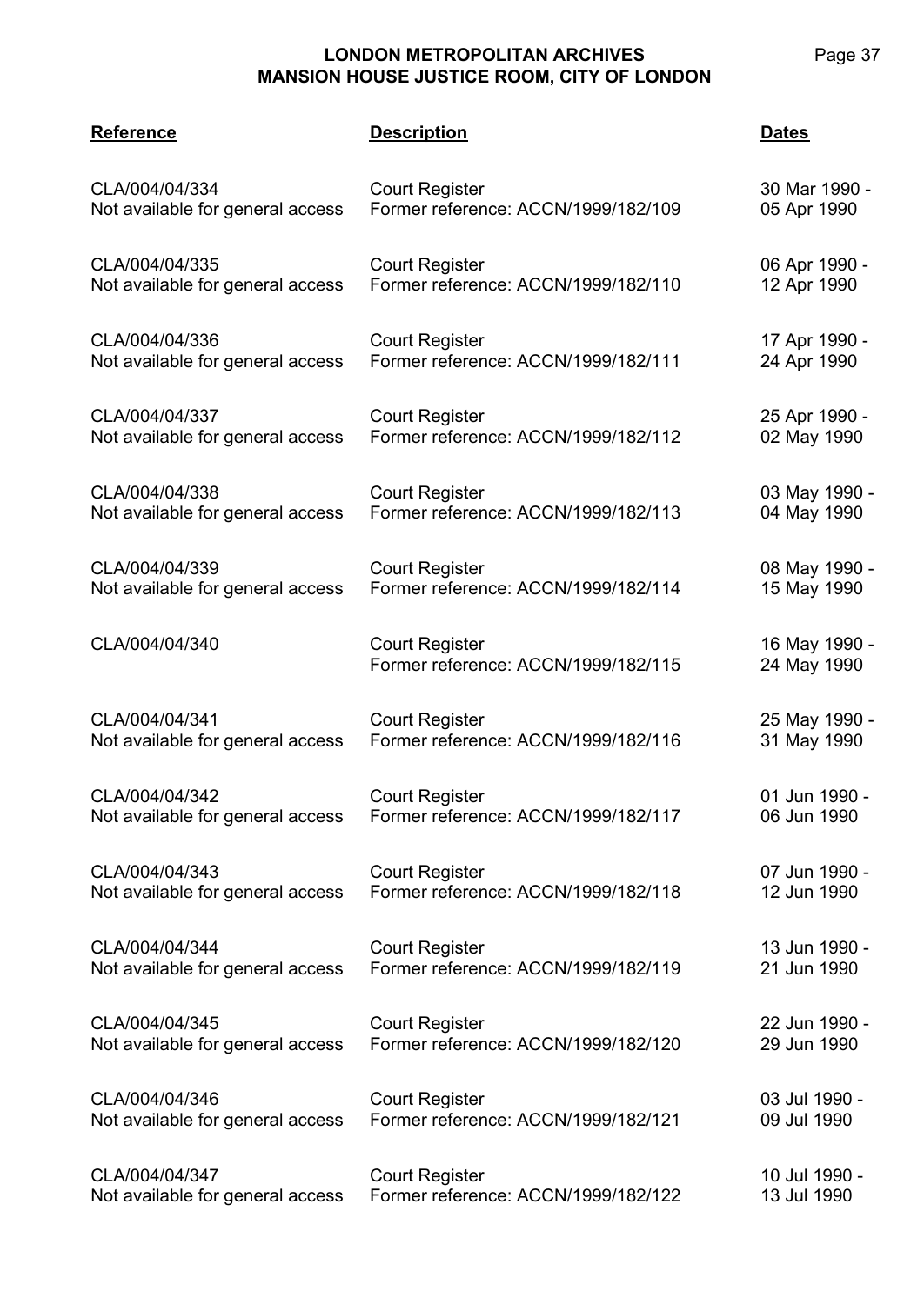| <b>Reference</b>                 | <b>Description</b>                                           | <b>Dates</b>                 |
|----------------------------------|--------------------------------------------------------------|------------------------------|
| CLA/004/04/334                   | <b>Court Register</b>                                        | 30 Mar 1990 -                |
| Not available for general access | Former reference: ACCN/1999/182/109                          | 05 Apr 1990                  |
| CLA/004/04/335                   | <b>Court Register</b>                                        | 06 Apr 1990 -                |
| Not available for general access | Former reference: ACCN/1999/182/110                          | 12 Apr 1990                  |
| CLA/004/04/336                   | <b>Court Register</b>                                        | 17 Apr 1990 -                |
| Not available for general access | Former reference: ACCN/1999/182/111                          | 24 Apr 1990                  |
| CLA/004/04/337                   | <b>Court Register</b>                                        | 25 Apr 1990 -                |
| Not available for general access | Former reference: ACCN/1999/182/112                          | 02 May 1990                  |
| CLA/004/04/338                   | <b>Court Register</b>                                        | 03 May 1990 -                |
| Not available for general access | Former reference: ACCN/1999/182/113                          | 04 May 1990                  |
| CLA/004/04/339                   | <b>Court Register</b>                                        | 08 May 1990 -                |
| Not available for general access | Former reference: ACCN/1999/182/114                          | 15 May 1990                  |
| CLA/004/04/340                   | <b>Court Register</b><br>Former reference: ACCN/1999/182/115 | 16 May 1990 -<br>24 May 1990 |
| CLA/004/04/341                   | <b>Court Register</b>                                        | 25 May 1990 -                |
| Not available for general access | Former reference: ACCN/1999/182/116                          | 31 May 1990                  |
| CLA/004/04/342                   | <b>Court Register</b>                                        | 01 Jun 1990 -                |
| Not available for general access | Former reference: ACCN/1999/182/117                          | 06 Jun 1990                  |
| CLA/004/04/343                   | <b>Court Register</b>                                        | 07 Jun 1990 -                |
| Not available for general access | Former reference: ACCN/1999/182/118                          | 12 Jun 1990                  |
| CLA/004/04/344                   | <b>Court Register</b>                                        | 13 Jun 1990 -                |
| Not available for general access | Former reference: ACCN/1999/182/119                          | 21 Jun 1990                  |
| CLA/004/04/345                   | <b>Court Register</b>                                        | 22 Jun 1990 -                |
| Not available for general access | Former reference: ACCN/1999/182/120                          | 29 Jun 1990                  |
| CLA/004/04/346                   | <b>Court Register</b>                                        | 03 Jul 1990 -                |
| Not available for general access | Former reference: ACCN/1999/182/121                          | 09 Jul 1990                  |
| CLA/004/04/347                   | <b>Court Register</b>                                        | 10 Jul 1990 -                |
| Not available for general access | Former reference: ACCN/1999/182/122                          | 13 Jul 1990                  |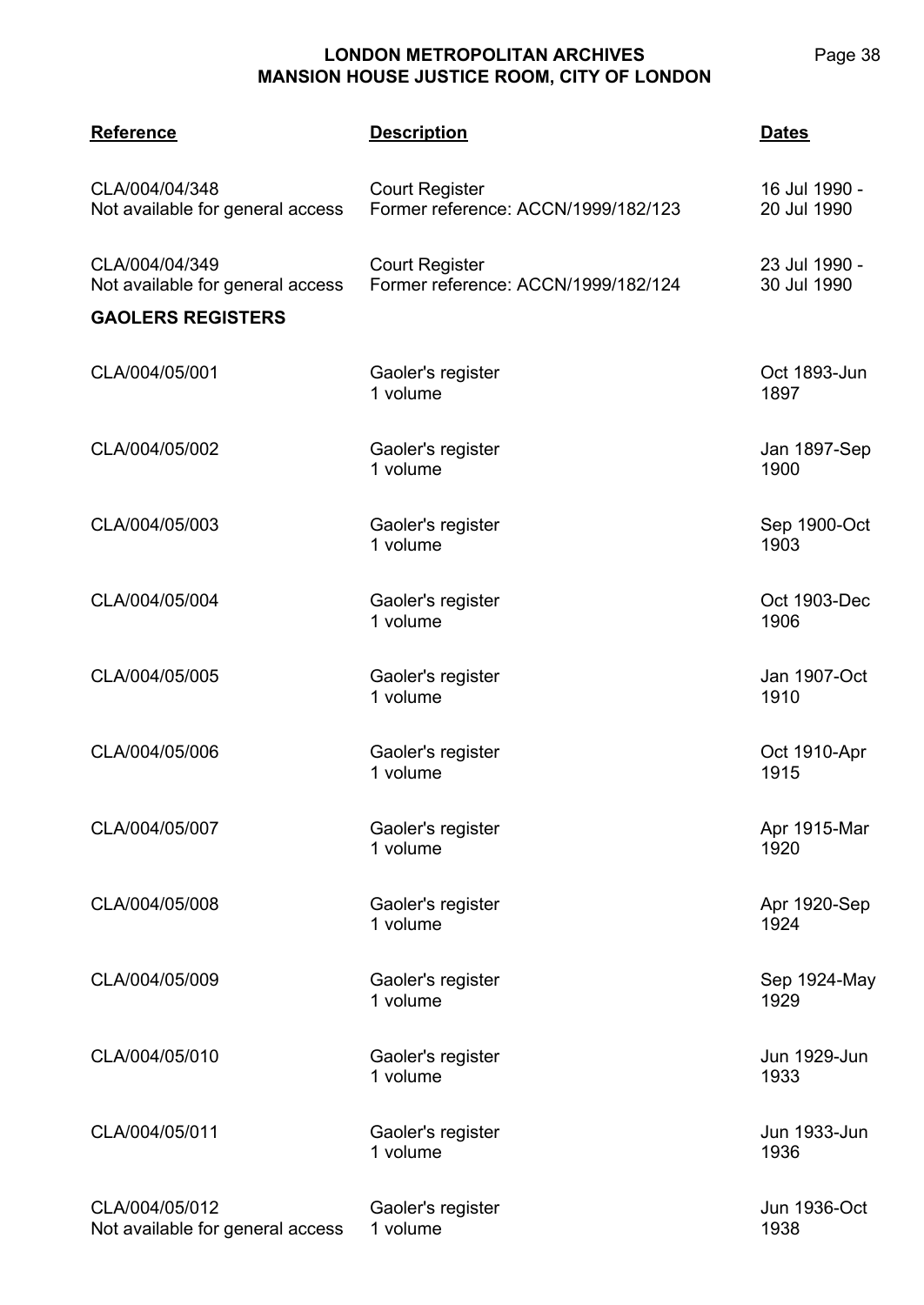| <b>Reference</b>                                   | <b>Description</b>                                           | <u>Dates</u>                 |
|----------------------------------------------------|--------------------------------------------------------------|------------------------------|
| CLA/004/04/348<br>Not available for general access | <b>Court Register</b><br>Former reference: ACCN/1999/182/123 | 16 Jul 1990 -<br>20 Jul 1990 |
| CLA/004/04/349<br>Not available for general access | <b>Court Register</b><br>Former reference: ACCN/1999/182/124 | 23 Jul 1990 -<br>30 Jul 1990 |
| <b>GAOLERS REGISTERS</b>                           |                                                              |                              |
| CLA/004/05/001                                     | Gaoler's register<br>1 volume                                | Oct 1893-Jun<br>1897         |
| CLA/004/05/002                                     | Gaoler's register<br>1 volume                                | Jan 1897-Sep<br>1900         |
| CLA/004/05/003                                     | Gaoler's register<br>1 volume                                | Sep 1900-Oct<br>1903         |
| CLA/004/05/004                                     | Gaoler's register<br>1 volume                                | Oct 1903-Dec<br>1906         |
| CLA/004/05/005                                     | Gaoler's register<br>1 volume                                | Jan 1907-Oct<br>1910         |
| CLA/004/05/006                                     | Gaoler's register<br>1 volume                                | Oct 1910-Apr<br>1915         |
| CLA/004/05/007                                     | Gaoler's register<br>1 volume                                | Apr 1915-Mar<br>1920         |
| CLA/004/05/008                                     | Gaoler's register<br>1 volume                                | Apr 1920-Sep<br>1924         |
| CLA/004/05/009                                     | Gaoler's register<br>1 volume                                | Sep 1924-May<br>1929         |
| CLA/004/05/010                                     | Gaoler's register<br>1 volume                                | Jun 1929-Jun<br>1933         |
| CLA/004/05/011                                     | Gaoler's register<br>1 volume                                | Jun 1933-Jun<br>1936         |
| CLA/004/05/012<br>Not available for general access | Gaoler's register<br>1 volume                                | Jun 1936-Oct<br>1938         |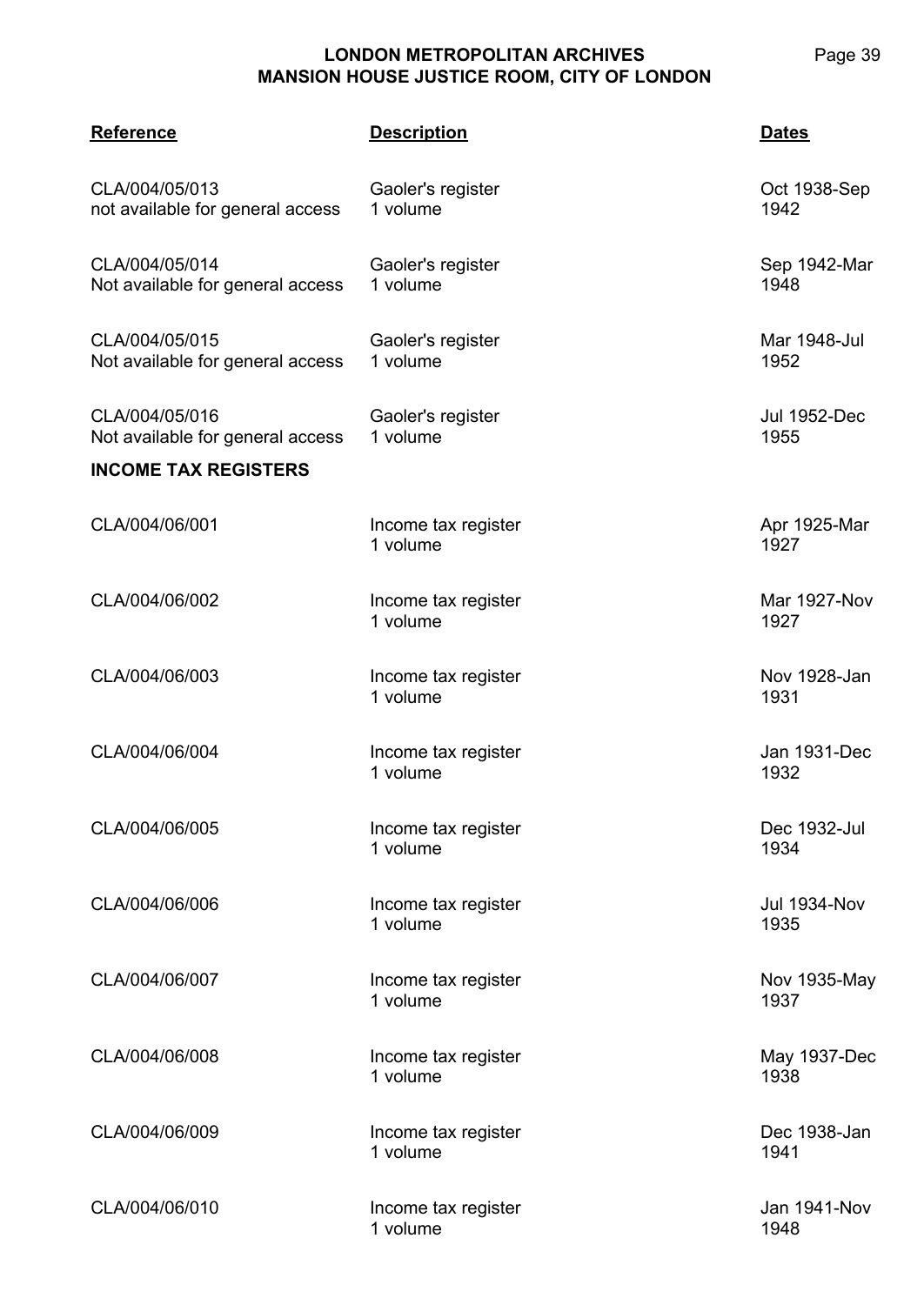| <u>Reference</u>                                   | <b>Description</b>              | Dates                       |
|----------------------------------------------------|---------------------------------|-----------------------------|
| CLA/004/05/013<br>not available for general access | Gaoler's register<br>1 volume   | Oct 1938-Sep<br>1942        |
| CLA/004/05/014<br>Not available for general access | Gaoler's register<br>1 volume   | Sep 1942-Mar<br>1948        |
| CLA/004/05/015<br>Not available for general access | Gaoler's register<br>1 volume   | Mar 1948-Jul<br>1952        |
| CLA/004/05/016<br>Not available for general access | Gaoler's register<br>1 volume   | <b>Jul 1952-Dec</b><br>1955 |
| <b>INCOME TAX REGISTERS</b>                        |                                 |                             |
| CLA/004/06/001                                     | Income tax register<br>1 volume | Apr 1925-Mar<br>1927        |
| CLA/004/06/002                                     | Income tax register<br>1 volume | <b>Mar 1927-Nov</b><br>1927 |
| CLA/004/06/003                                     | Income tax register<br>1 volume | Nov 1928-Jan<br>1931        |
| CLA/004/06/004                                     | Income tax register<br>1 volume | Jan 1931-Dec<br>1932        |
| CLA/004/06/005                                     | Income tax register<br>1 volume | Dec 1932-Jul<br>1934        |
| CLA/004/06/006                                     | Income tax register<br>1 volume | <b>Jul 1934-Nov</b><br>1935 |
| CLA/004/06/007                                     | Income tax register<br>1 volume | Nov 1935-May<br>1937        |
| CLA/004/06/008                                     | Income tax register<br>1 volume | May 1937-Dec<br>1938        |
| CLA/004/06/009                                     | Income tax register<br>1 volume | Dec 1938-Jan<br>1941        |
| CLA/004/06/010                                     | Income tax register<br>1 volume | Jan 1941-Nov<br>1948        |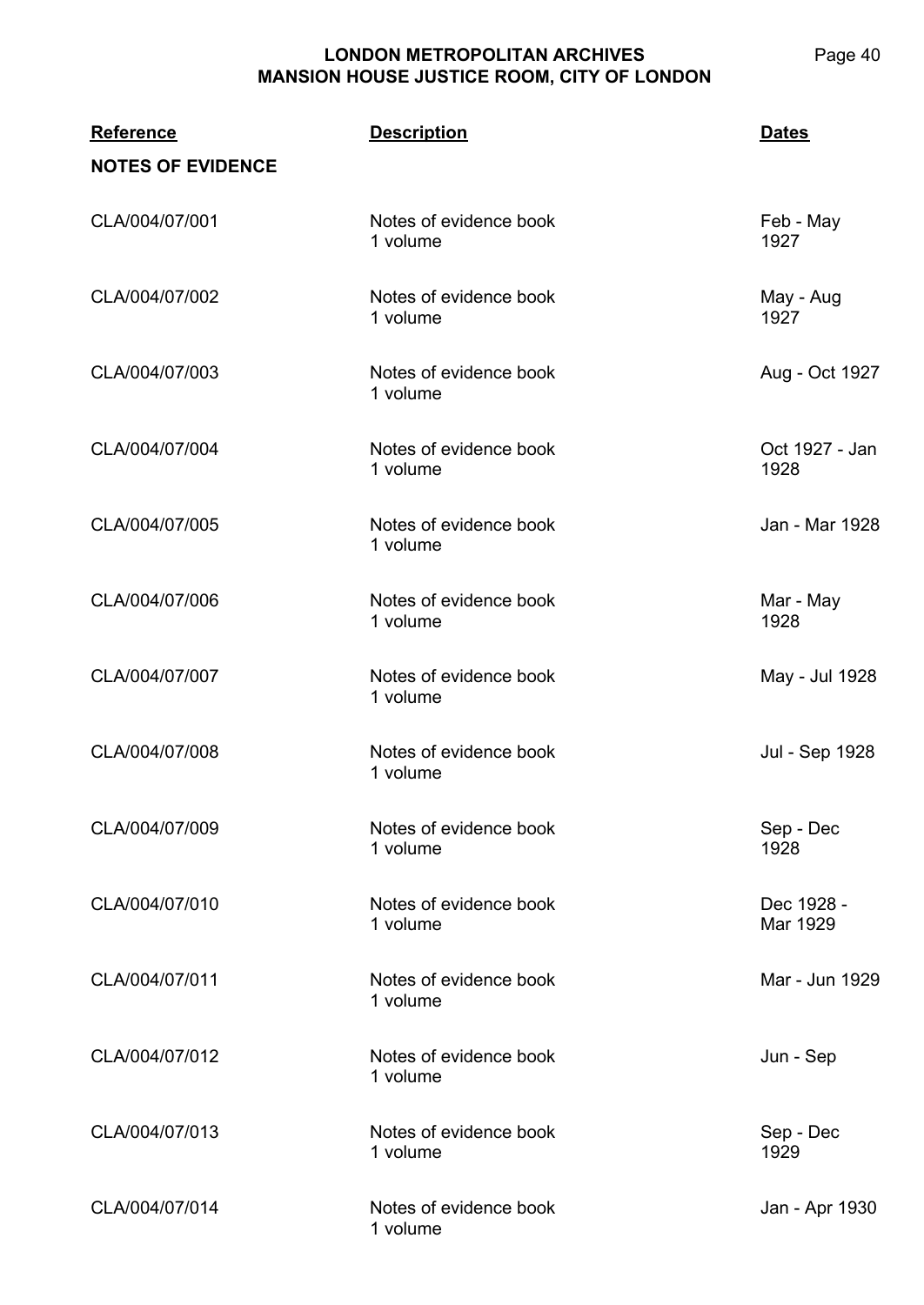**CLA/004 Reference Description Dates NOTES OF EVIDENCE** CLA/004/07/001 Notes of evidence book 1 volume Feb - May 1927 CLA/004/07/002 Notes of evidence book 1 volume May - Aug 1927 CLA/004/07/003 Notes of evidence book 1 volume Aug - Oct 1927 CLA/004/07/004 Notes of evidence book 1 volume Oct 1927 - Jan 1928 CLA/004/07/005 Notes of evidence book 1 volume Jan - Mar 1928 CLA/004/07/006 Notes of evidence book 1 volume Mar - May 1928 CLA/004/07/007 Notes of evidence book 1 volume May - Jul 1928 CLA/004/07/008 Notes of evidence book 1 volume Jul - Sep 1928 CLA/004/07/009 Notes of evidence book 1 volume Sep - Dec 1928 CLA/004/07/010 Notes of evidence book 1 volume Dec 1928 - Mar 1929 CLA/004/07/011 Notes of evidence book 1 volume Mar - Jun 1929 CLA/004/07/012 Notes of evidence book 1 volume Jun - Sep CLA/004/07/013 Notes of evidence book 1 volume Sep - Dec 1929 CLA/004/07/014 Notes of evidence book 1 volume Jan - Apr 1930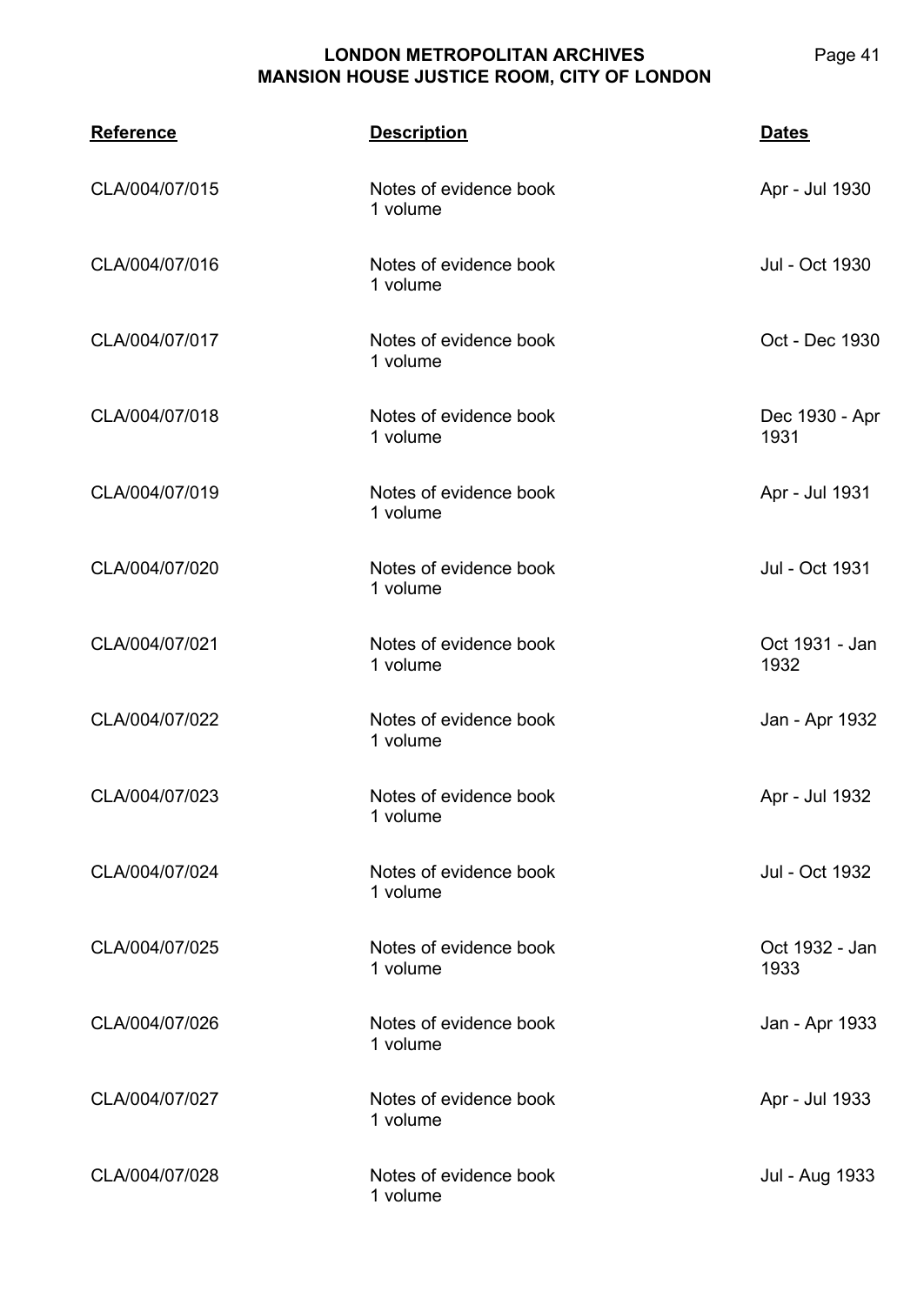**CLA/004**

**Reference Description Dates** CLA/004/07/015 Notes of evidence book Apr - Jul 1930

|                | 1 volume                           |                        |
|----------------|------------------------------------|------------------------|
| CLA/004/07/016 | Notes of evidence book<br>1 volume | Jul - Oct 1930         |
| CLA/004/07/017 | Notes of evidence book<br>1 volume | Oct - Dec 1930         |
| CLA/004/07/018 | Notes of evidence book<br>1 volume | Dec 1930 - Apr<br>1931 |
| CLA/004/07/019 | Notes of evidence book<br>1 volume | Apr - Jul 1931         |
| CLA/004/07/020 | Notes of evidence book<br>1 volume | Jul - Oct 1931         |
| CLA/004/07/021 | Notes of evidence book<br>1 volume | Oct 1931 - Jan<br>1932 |
| CLA/004/07/022 | Notes of evidence book<br>1 volume | Jan - Apr 1932         |
| CLA/004/07/023 | Notes of evidence book<br>1 volume | Apr - Jul 1932         |
| CLA/004/07/024 | Notes of evidence book<br>1 volume | Jul - Oct 1932         |
| CLA/004/07/025 | Notes of evidence book<br>1 volume | Oct 1932 - Jan<br>1933 |
| CLA/004/07/026 | Notes of evidence book<br>1 volume | Jan - Apr 1933         |
| CLA/004/07/027 | Notes of evidence book<br>1 volume | Apr - Jul 1933         |
| CLA/004/07/028 | Notes of evidence book<br>1 volume | Jul - Aug 1933         |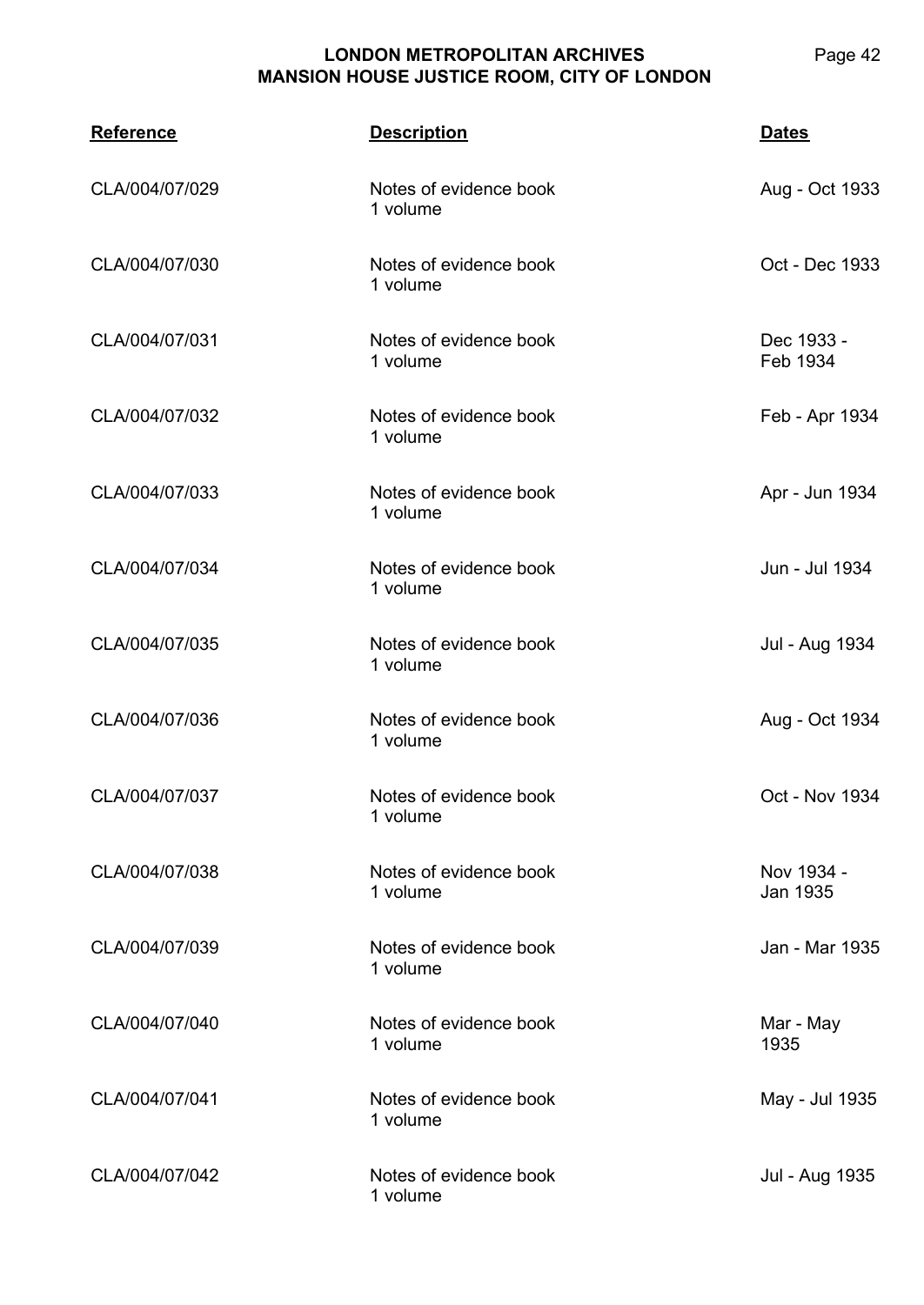| <b>Reference</b> | <b>Description</b>                 | <b>Dates</b>           |
|------------------|------------------------------------|------------------------|
| CLA/004/07/029   | Notes of evidence book<br>1 volume | Aug - Oct 1933         |
| CLA/004/07/030   | Notes of evidence book<br>1 volume | Oct - Dec 1933         |
| CLA/004/07/031   | Notes of evidence book<br>1 volume | Dec 1933 -<br>Feb 1934 |
| CLA/004/07/032   | Notes of evidence book<br>1 volume | Feb - Apr 1934         |
| CLA/004/07/033   | Notes of evidence book<br>1 volume | Apr - Jun 1934         |
| CLA/004/07/034   | Notes of evidence book<br>1 volume | Jun - Jul 1934         |
| CLA/004/07/035   | Notes of evidence book<br>1 volume | Jul - Aug 1934         |
| CLA/004/07/036   | Notes of evidence book<br>1 volume | Aug - Oct 1934         |
| CLA/004/07/037   | Notes of evidence book<br>1 volume | Oct - Nov 1934         |
| CLA/004/07/038   | Notes of evidence book<br>1 volume | Nov 1934 -<br>Jan 1935 |
| CLA/004/07/039   | Notes of evidence book<br>1 volume | Jan - Mar 1935         |
| CLA/004/07/040   | Notes of evidence book<br>1 volume | Mar - May<br>1935      |
| CLA/004/07/041   | Notes of evidence book<br>1 volume | May - Jul 1935         |
| CLA/004/07/042   | Notes of evidence book<br>1 volume | Jul - Aug 1935         |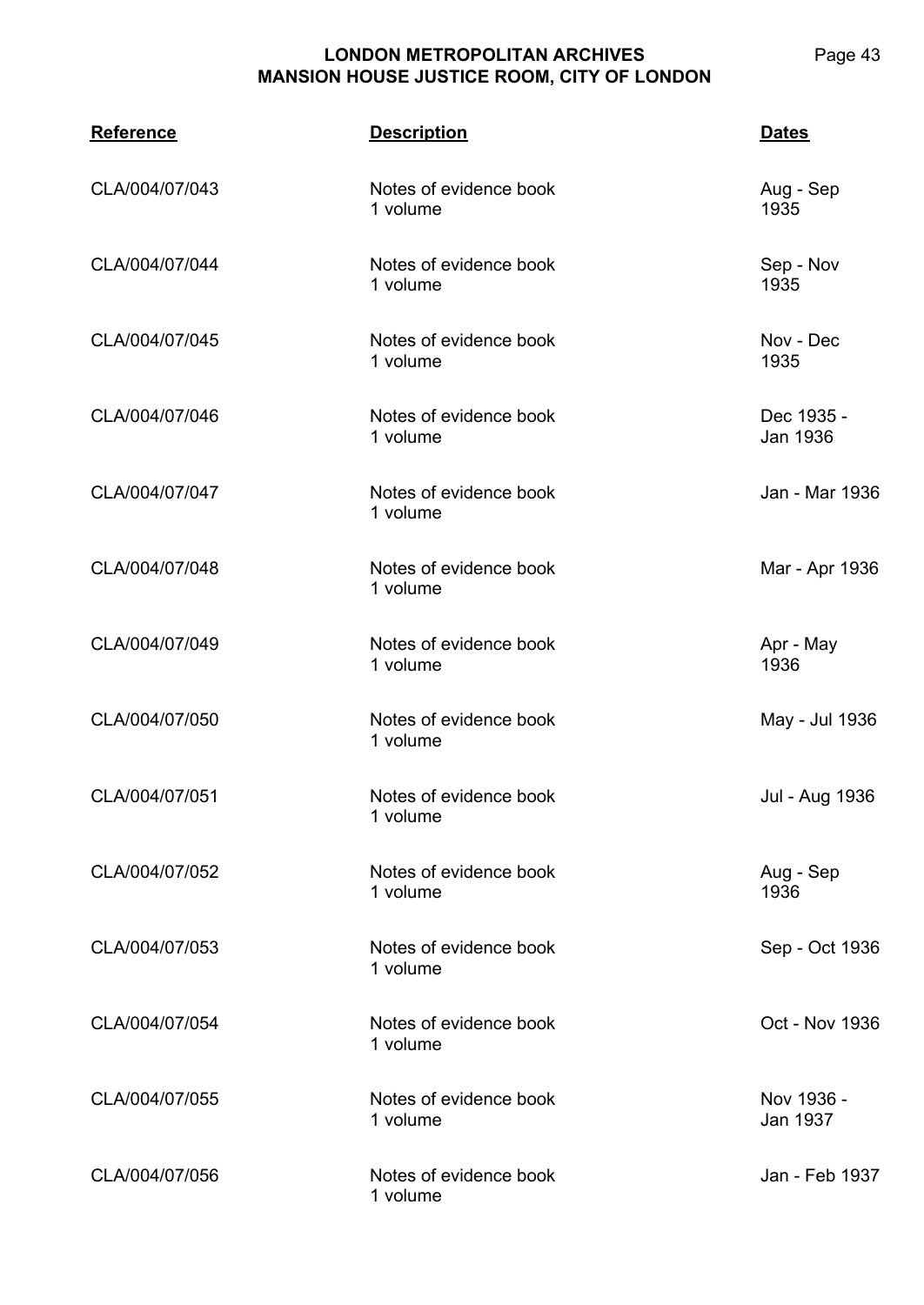| <b>Reference</b> | <b>Description</b>                 | <b>Dates</b>                  |
|------------------|------------------------------------|-------------------------------|
| CLA/004/07/043   | Notes of evidence book<br>1 volume | Aug - Sep<br>1935             |
| CLA/004/07/044   | Notes of evidence book<br>1 volume | Sep - Nov<br>1935             |
| CLA/004/07/045   | Notes of evidence book<br>1 volume | Nov - Dec<br>1935             |
| CLA/004/07/046   | Notes of evidence book<br>1 volume | Dec 1935 -<br><b>Jan 1936</b> |
| CLA/004/07/047   | Notes of evidence book<br>1 volume | Jan - Mar 1936                |
| CLA/004/07/048   | Notes of evidence book<br>1 volume | Mar - Apr 1936                |
| CLA/004/07/049   | Notes of evidence book<br>1 volume | Apr - May<br>1936             |
| CLA/004/07/050   | Notes of evidence book<br>1 volume | May - Jul 1936                |
| CLA/004/07/051   | Notes of evidence book<br>1 volume | Jul - Aug 1936                |
| CLA/004/07/052   | Notes of evidence book<br>1 volume | Aug - Sep<br>1936             |
| CLA/004/07/053   | Notes of evidence book<br>1 volume | Sep - Oct 1936                |
| CLA/004/07/054   | Notes of evidence book<br>1 volume | Oct - Nov 1936                |
| CLA/004/07/055   | Notes of evidence book<br>1 volume | Nov 1936 -<br>Jan 1937        |
| CLA/004/07/056   | Notes of evidence book<br>1 volume | Jan - Feb 1937                |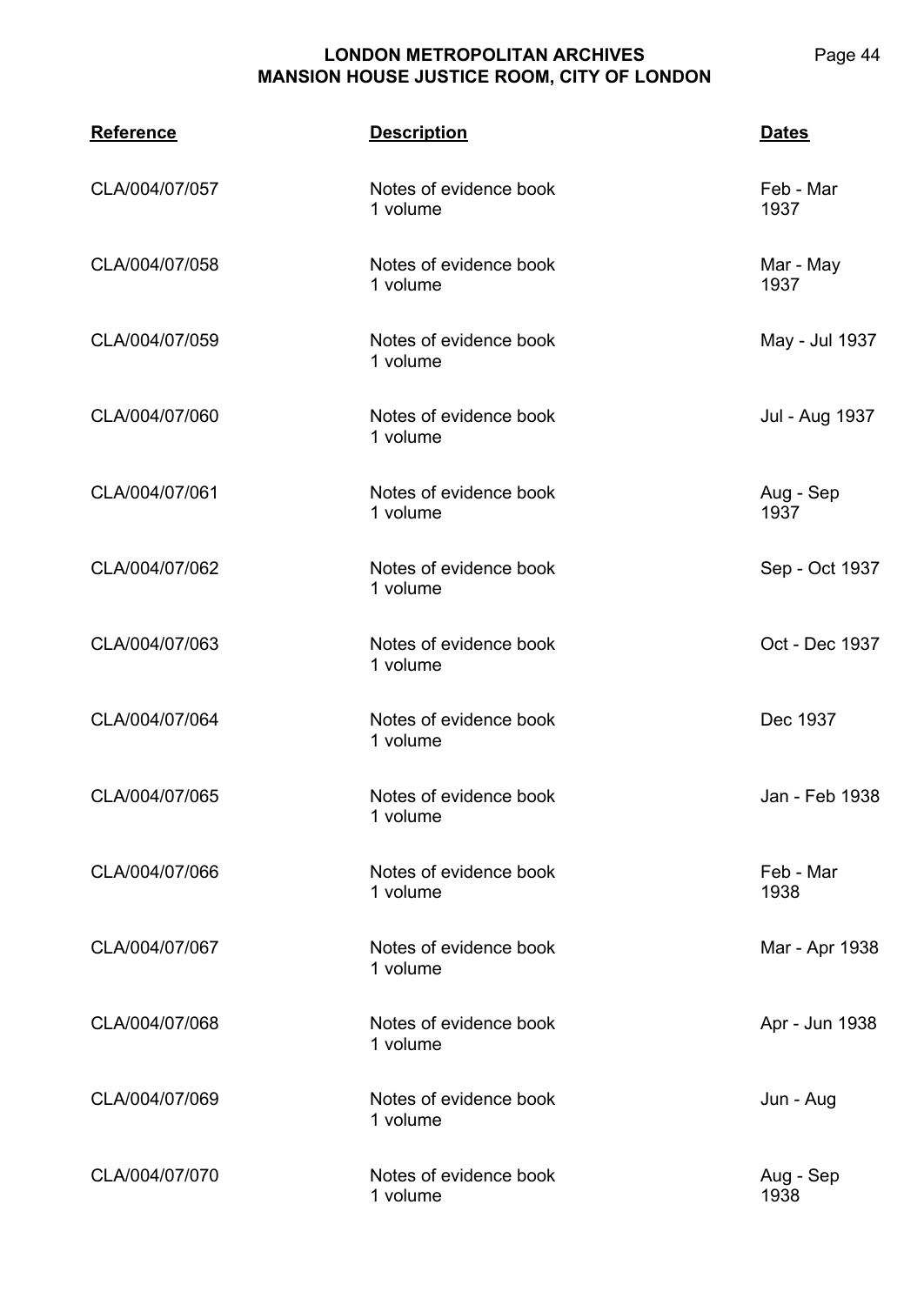**CLA/004 Reference Description Dates** CLA/004/07/057 Notes of evidence book 1 volume Feb - Mar 1937 CLA/004/07/058 Notes of evidence book 1 volume Mar - May 1937 CLA/004/07/059 Notes of evidence book 1 volume May - Jul 1937 CLA/004/07/060 Notes of evidence book 1 volume Jul - Aug 1937 CLA/004/07/061 Notes of evidence book 1 volume Aug - Sep 1937 CLA/004/07/062 Notes of evidence book 1 volume Sep - Oct 1937 CLA/004/07/063 Notes of evidence book 1 volume Oct - Dec 1937 CLA/004/07/064 Notes of evidence book 1 volume Dec 1937 CLA/004/07/065 Notes of evidence book 1 volume Jan - Feb 1938 CLA/004/07/066 Notes of evidence book 1 volume Feb - Mar 1938 CLA/004/07/067 Notes of evidence book 1 volume Mar - Apr 1938 CLA/004/07/068 Notes of evidence book 1 volume Apr - Jun 1938 CLA/004/07/069 Notes of evidence book 1 volume Jun - Aug CLA/004/07/070 Notes of evidence book 1 volume Aug - Sep 1938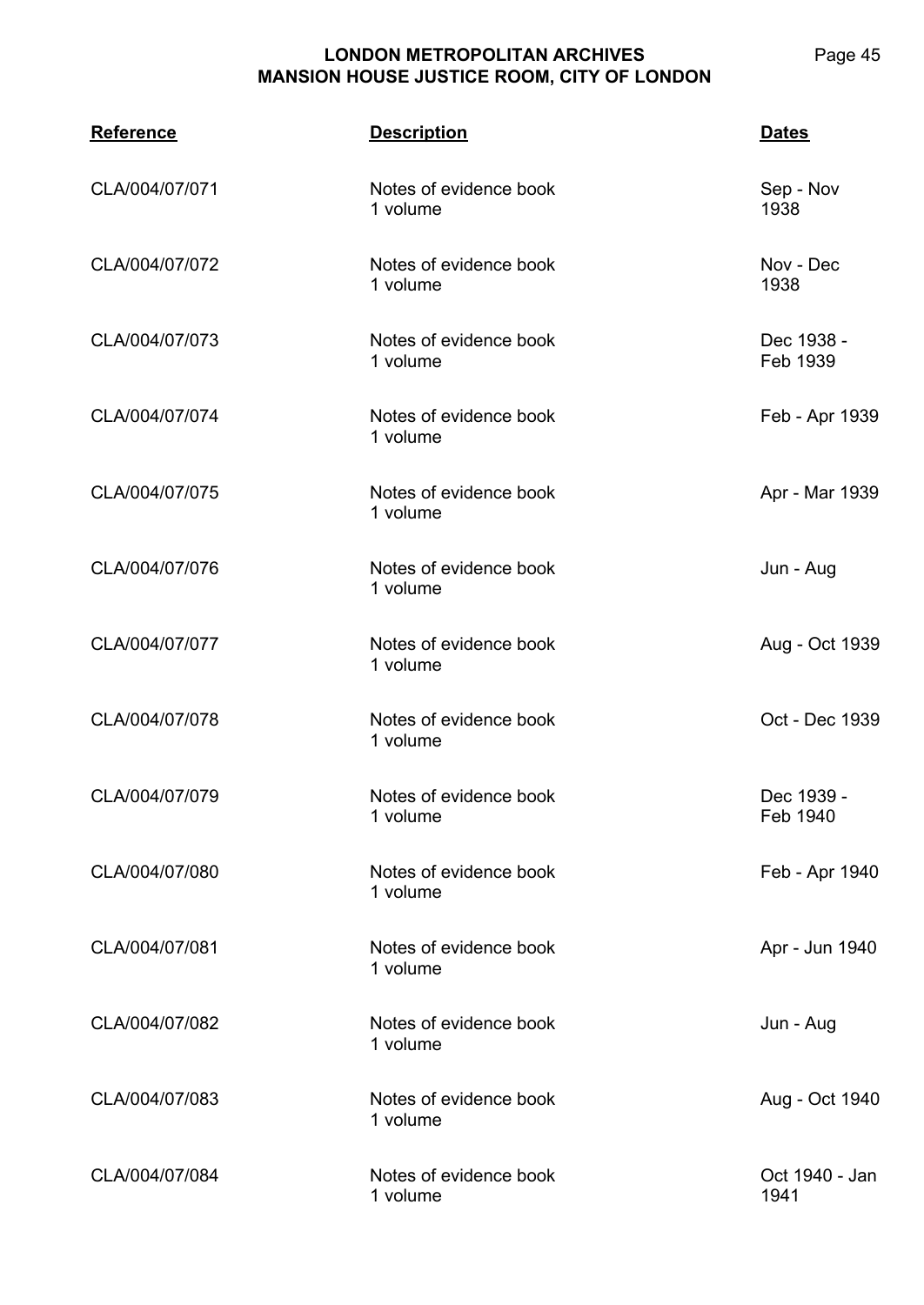| <b>Reference</b> | <b>Description</b>                 | <b>Dates</b>           |
|------------------|------------------------------------|------------------------|
| CLA/004/07/071   | Notes of evidence book<br>1 volume | Sep - Nov<br>1938      |
| CLA/004/07/072   | Notes of evidence book<br>1 volume | Nov - Dec<br>1938      |
| CLA/004/07/073   | Notes of evidence book<br>1 volume | Dec 1938 -<br>Feb 1939 |
| CLA/004/07/074   | Notes of evidence book<br>1 volume | Feb - Apr 1939         |
| CLA/004/07/075   | Notes of evidence book<br>1 volume | Apr - Mar 1939         |
| CLA/004/07/076   | Notes of evidence book<br>1 volume | Jun - Aug              |
| CLA/004/07/077   | Notes of evidence book<br>1 volume | Aug - Oct 1939         |
| CLA/004/07/078   | Notes of evidence book<br>1 volume | Oct - Dec 1939         |
| CLA/004/07/079   | Notes of evidence book<br>1 volume | Dec 1939 -<br>Feb 1940 |
| CLA/004/07/080   | Notes of evidence book<br>1 volume | Feb - Apr 1940         |
| CLA/004/07/081   | Notes of evidence book<br>1 volume | Apr - Jun 1940         |
| CLA/004/07/082   | Notes of evidence book<br>1 volume | Jun - Aug              |
| CLA/004/07/083   | Notes of evidence book<br>1 volume | Aug - Oct 1940         |
| CLA/004/07/084   | Notes of evidence book<br>1 volume | Oct 1940 - Jan<br>1941 |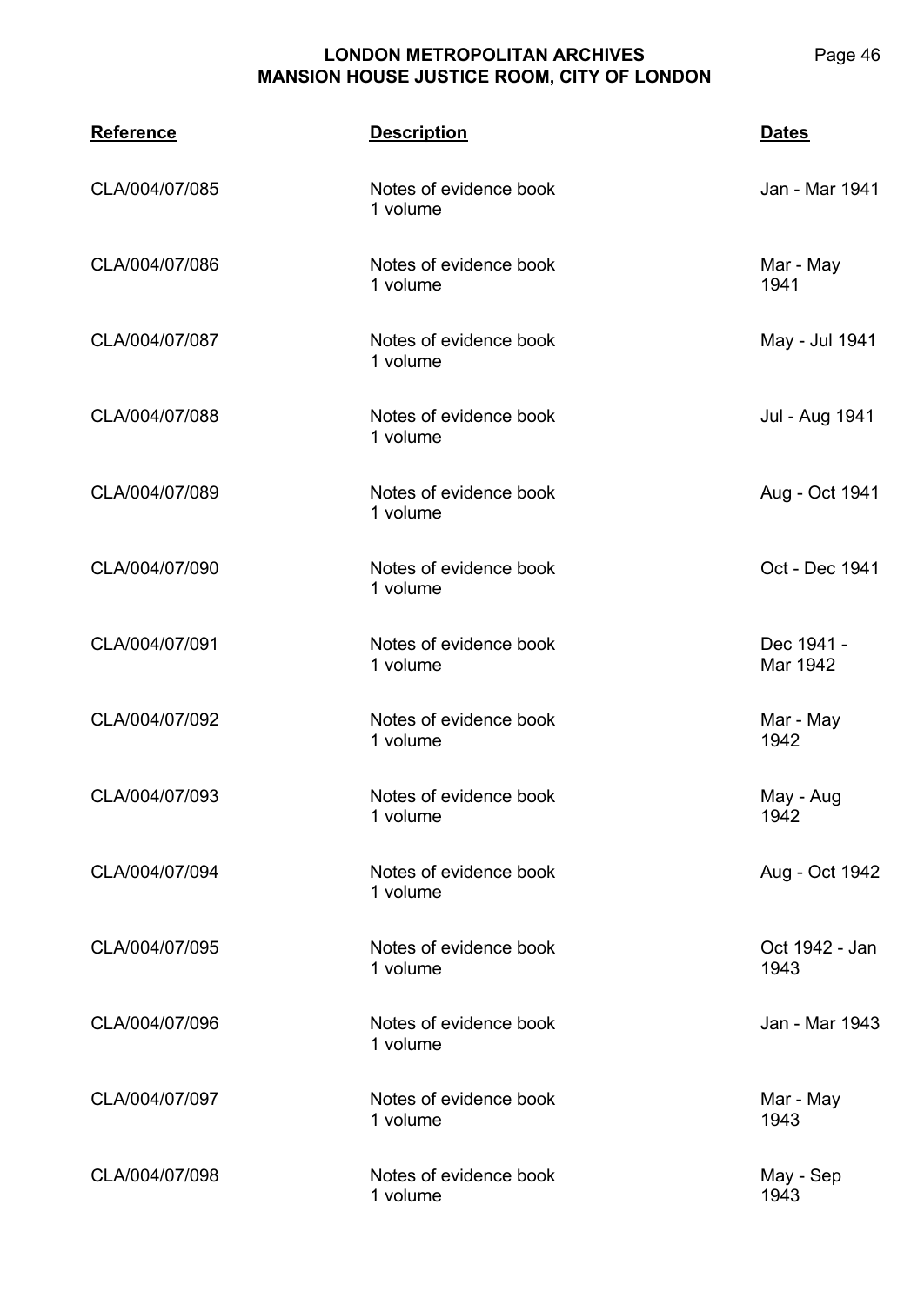| <b>Reference</b> | <b>Description</b>                 | <b>Dates</b>           |
|------------------|------------------------------------|------------------------|
| CLA/004/07/085   | Notes of evidence book<br>1 volume | Jan - Mar 1941         |
| CLA/004/07/086   | Notes of evidence book<br>1 volume | Mar - May<br>1941      |
| CLA/004/07/087   | Notes of evidence book<br>1 volume | May - Jul 1941         |
| CLA/004/07/088   | Notes of evidence book<br>1 volume | Jul - Aug 1941         |
| CLA/004/07/089   | Notes of evidence book<br>1 volume | Aug - Oct 1941         |
| CLA/004/07/090   | Notes of evidence book<br>1 volume | Oct - Dec 1941         |
| CLA/004/07/091   | Notes of evidence book<br>1 volume | Dec 1941 -<br>Mar 1942 |
| CLA/004/07/092   | Notes of evidence book<br>1 volume | Mar - May<br>1942      |
| CLA/004/07/093   | Notes of evidence book<br>1 volume | May - Aug<br>1942      |
| CLA/004/07/094   | Notes of evidence book<br>1 volume | Aug - Oct 1942         |
| CLA/004/07/095   | Notes of evidence book<br>1 volume | Oct 1942 - Jan<br>1943 |
| CLA/004/07/096   | Notes of evidence book<br>1 volume | Jan - Mar 1943         |
| CLA/004/07/097   | Notes of evidence book<br>1 volume | Mar - May<br>1943      |
| CLA/004/07/098   | Notes of evidence book<br>1 volume | May - Sep<br>1943      |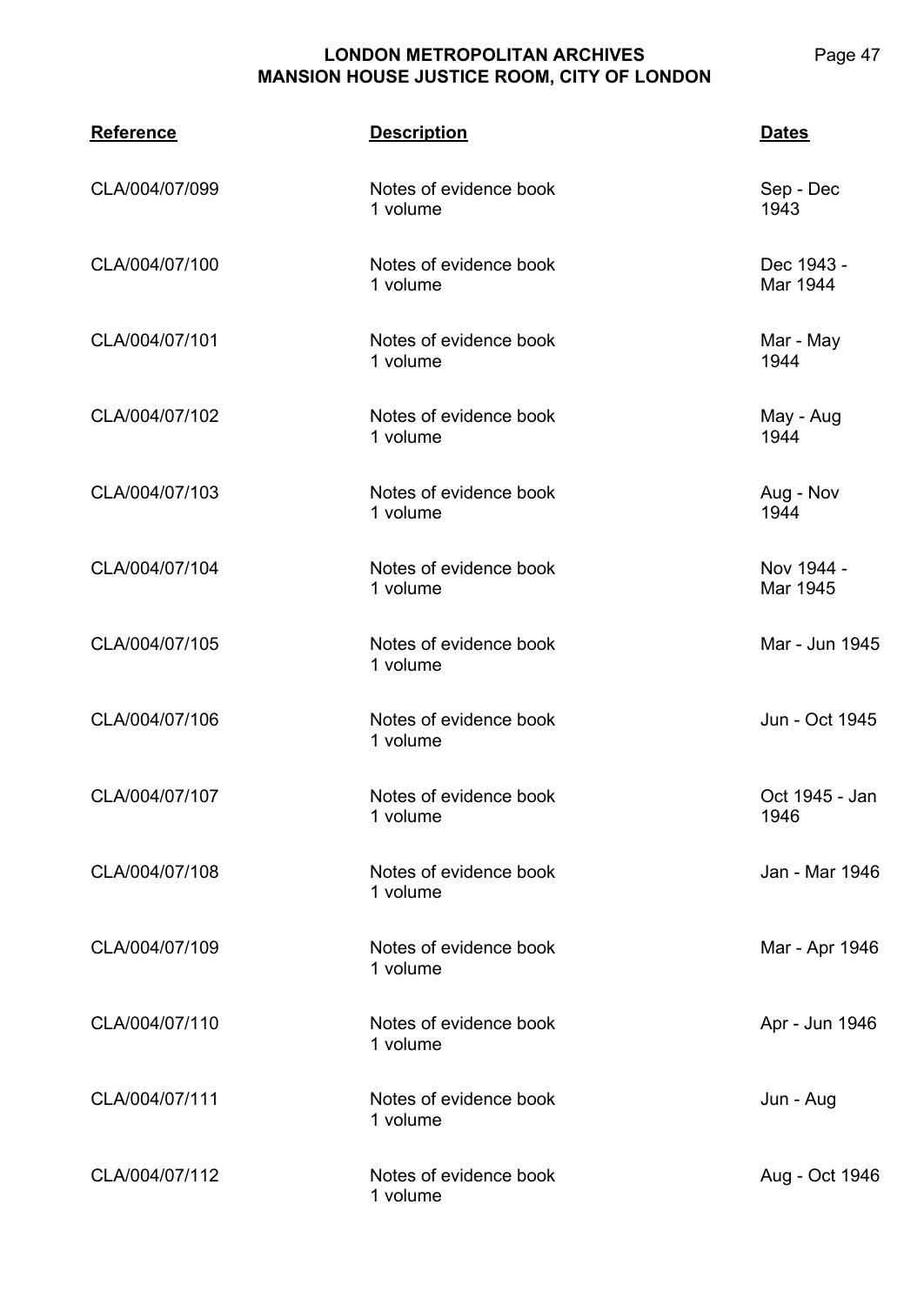| <b>Reference</b> | <b>Description</b>                 | <b>Dates</b>           |
|------------------|------------------------------------|------------------------|
| CLA/004/07/099   | Notes of evidence book<br>1 volume | Sep - Dec<br>1943      |
| CLA/004/07/100   | Notes of evidence book<br>1 volume | Dec 1943 -<br>Mar 1944 |
| CLA/004/07/101   | Notes of evidence book<br>1 volume | Mar - May<br>1944      |
| CLA/004/07/102   | Notes of evidence book<br>1 volume | May - Aug<br>1944      |
| CLA/004/07/103   | Notes of evidence book<br>1 volume | Aug - Nov<br>1944      |
| CLA/004/07/104   | Notes of evidence book<br>1 volume | Nov 1944 -<br>Mar 1945 |
| CLA/004/07/105   | Notes of evidence book<br>1 volume | Mar - Jun 1945         |
| CLA/004/07/106   | Notes of evidence book<br>1 volume | Jun - Oct 1945         |
| CLA/004/07/107   | Notes of evidence book<br>1 volume | Oct 1945 - Jan<br>1946 |
| CLA/004/07/108   | Notes of evidence book<br>1 volume | Jan - Mar 1946         |
| CLA/004/07/109   | Notes of evidence book<br>1 volume | Mar - Apr 1946         |
| CLA/004/07/110   | Notes of evidence book<br>1 volume | Apr - Jun 1946         |
| CLA/004/07/111   | Notes of evidence book<br>1 volume | Jun - Aug              |
| CLA/004/07/112   | Notes of evidence book<br>1 volume | Aug - Oct 1946         |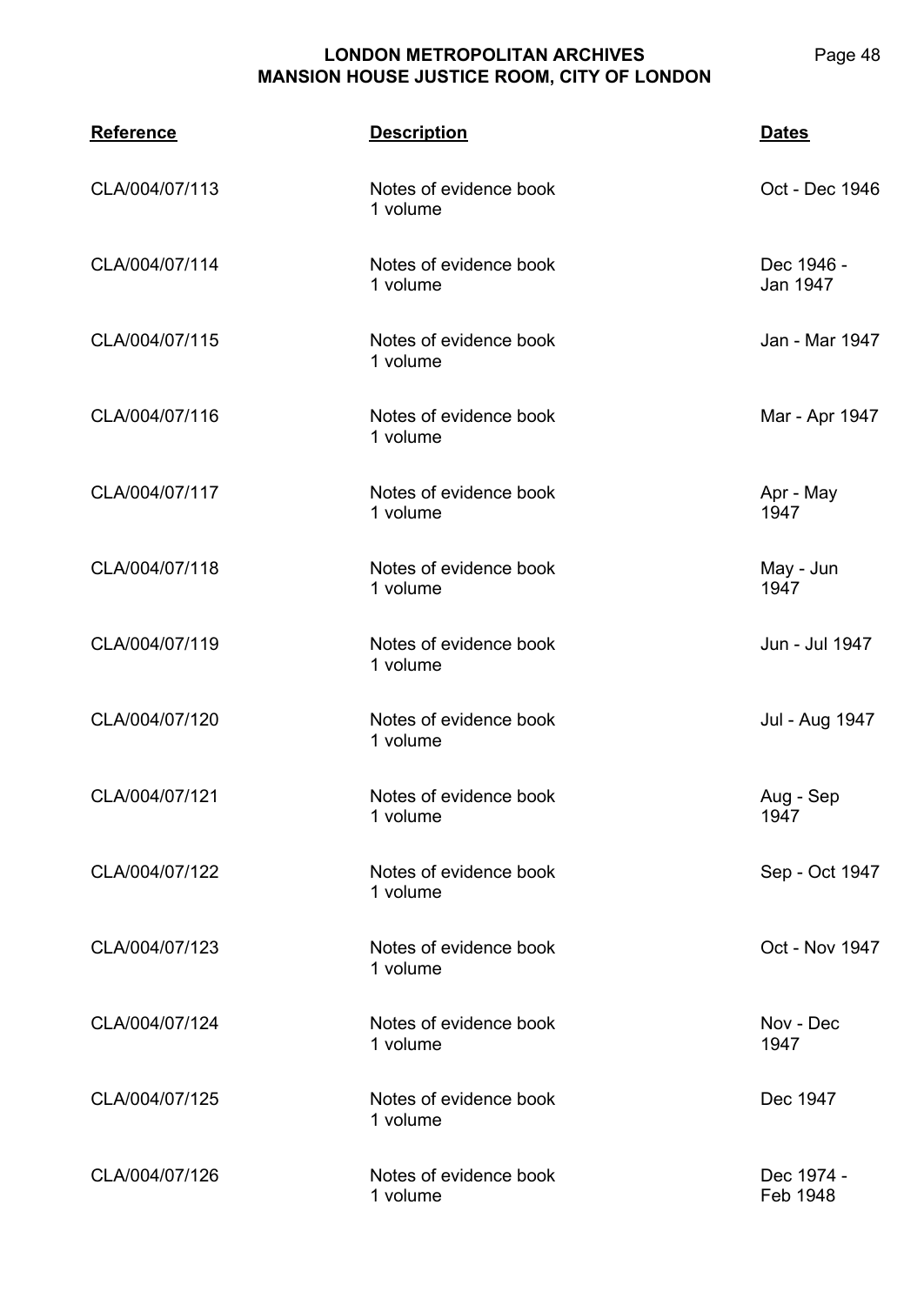| <b>Reference</b> | <b>Description</b>                 | <b>Dates</b>           |
|------------------|------------------------------------|------------------------|
| CLA/004/07/113   | Notes of evidence book<br>1 volume | Oct - Dec 1946         |
| CLA/004/07/114   | Notes of evidence book<br>1 volume | Dec 1946 -<br>Jan 1947 |
| CLA/004/07/115   | Notes of evidence book<br>1 volume | Jan - Mar 1947         |
| CLA/004/07/116   | Notes of evidence book<br>1 volume | Mar - Apr 1947         |
| CLA/004/07/117   | Notes of evidence book<br>1 volume | Apr - May<br>1947      |
| CLA/004/07/118   | Notes of evidence book<br>1 volume | May - Jun<br>1947      |
| CLA/004/07/119   | Notes of evidence book<br>1 volume | Jun - Jul 1947         |
| CLA/004/07/120   | Notes of evidence book<br>1 volume | Jul - Aug 1947         |
| CLA/004/07/121   | Notes of evidence book<br>1 volume | Aug - Sep<br>1947      |
| CLA/004/07/122   | Notes of evidence book<br>1 volume | Sep - Oct 1947         |
| CLA/004/07/123   | Notes of evidence book<br>1 volume | Oct - Nov 1947         |
| CLA/004/07/124   | Notes of evidence book<br>1 volume | Nov - Dec<br>1947      |
| CLA/004/07/125   | Notes of evidence book<br>1 volume | Dec 1947               |
| CLA/004/07/126   | Notes of evidence book<br>1 volume | Dec 1974 -<br>Feb 1948 |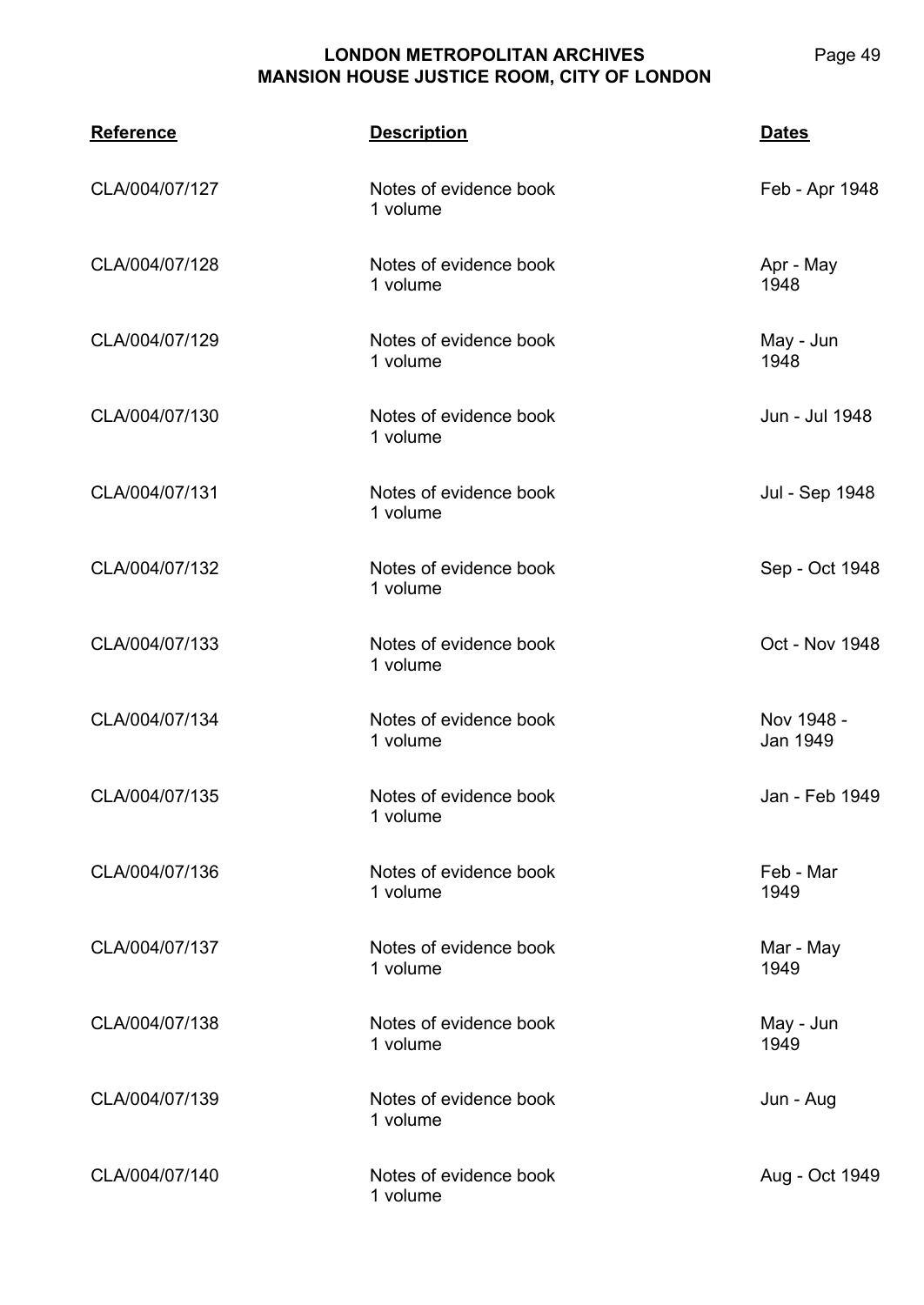| <b>Reference</b> | <b>Description</b>                 | <b>Dates</b>           |
|------------------|------------------------------------|------------------------|
| CLA/004/07/127   | Notes of evidence book<br>1 volume | Feb - Apr 1948         |
| CLA/004/07/128   | Notes of evidence book<br>1 volume | Apr - May<br>1948      |
| CLA/004/07/129   | Notes of evidence book<br>1 volume | May - Jun<br>1948      |
| CLA/004/07/130   | Notes of evidence book<br>1 volume | Jun - Jul 1948         |
| CLA/004/07/131   | Notes of evidence book<br>1 volume | Jul - Sep 1948         |
| CLA/004/07/132   | Notes of evidence book<br>1 volume | Sep - Oct 1948         |
| CLA/004/07/133   | Notes of evidence book<br>1 volume | Oct - Nov 1948         |
| CLA/004/07/134   | Notes of evidence book<br>1 volume | Nov 1948 -<br>Jan 1949 |
| CLA/004/07/135   | Notes of evidence book<br>1 volume | Jan - Feb 1949         |
| CLA/004/07/136   | Notes of evidence book<br>1 volume | Feb - Mar<br>1949      |
| CLA/004/07/137   | Notes of evidence book<br>1 volume | Mar - May<br>1949      |
| CLA/004/07/138   | Notes of evidence book<br>1 volume | May - Jun<br>1949      |
| CLA/004/07/139   | Notes of evidence book<br>1 volume | Jun - Aug              |
| CLA/004/07/140   | Notes of evidence book<br>1 volume | Aug - Oct 1949         |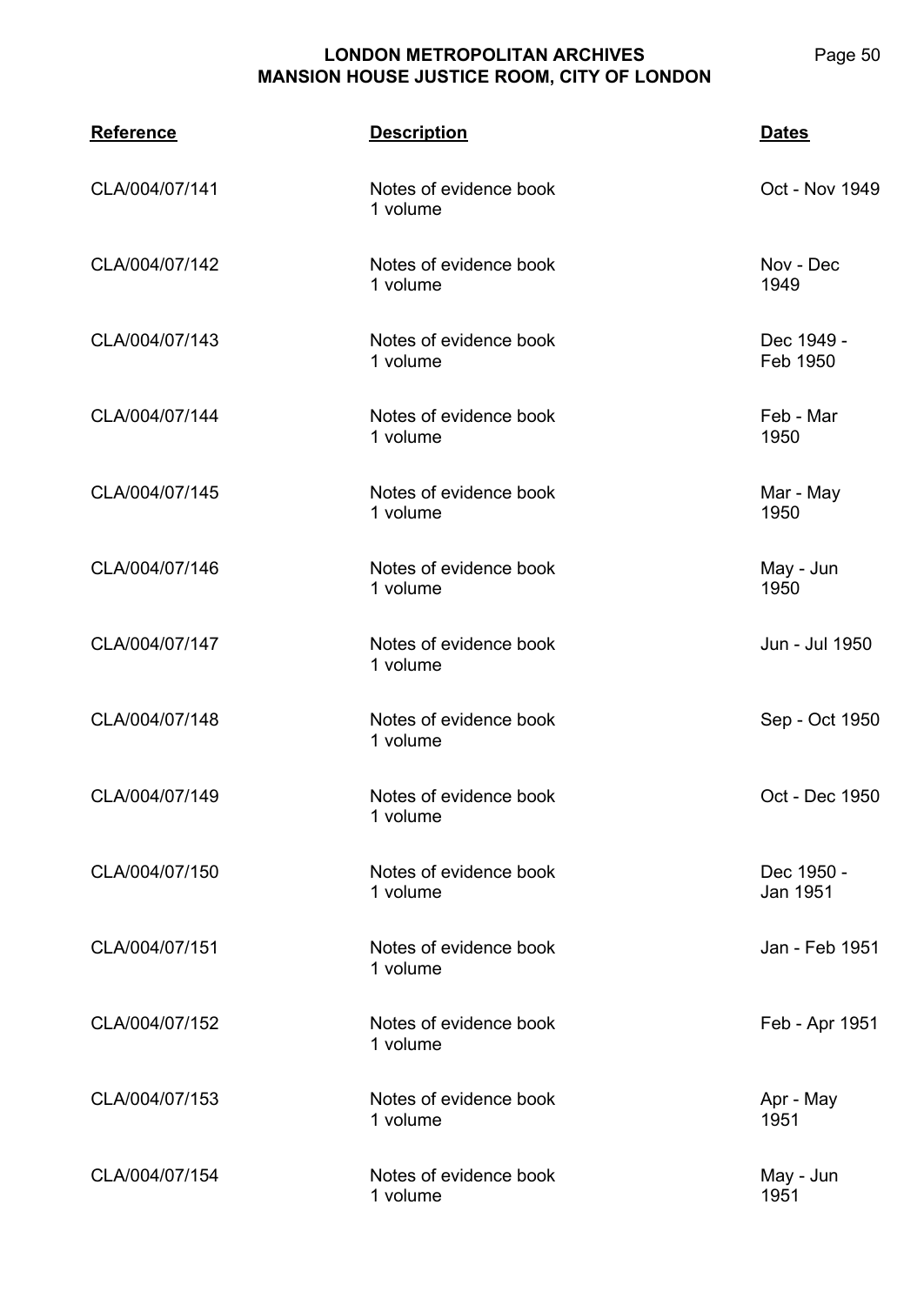| <b>Reference</b> | <b>Description</b>                 | <b>Dates</b>           |
|------------------|------------------------------------|------------------------|
| CLA/004/07/141   | Notes of evidence book<br>1 volume | Oct - Nov 1949         |
| CLA/004/07/142   | Notes of evidence book<br>1 volume | Nov - Dec<br>1949      |
| CLA/004/07/143   | Notes of evidence book<br>1 volume | Dec 1949 -<br>Feb 1950 |
| CLA/004/07/144   | Notes of evidence book<br>1 volume | Feb - Mar<br>1950      |
| CLA/004/07/145   | Notes of evidence book<br>1 volume | Mar - May<br>1950      |
| CLA/004/07/146   | Notes of evidence book<br>1 volume | May - Jun<br>1950      |
| CLA/004/07/147   | Notes of evidence book<br>1 volume | Jun - Jul 1950         |
| CLA/004/07/148   | Notes of evidence book<br>1 volume | Sep - Oct 1950         |
| CLA/004/07/149   | Notes of evidence book<br>1 volume | Oct - Dec 1950         |
| CLA/004/07/150   | Notes of evidence book<br>1 volume | Dec 1950 -<br>Jan 1951 |
| CLA/004/07/151   | Notes of evidence book<br>1 volume | Jan - Feb 1951         |
| CLA/004/07/152   | Notes of evidence book<br>1 volume | Feb - Apr 1951         |
| CLA/004/07/153   | Notes of evidence book<br>1 volume | Apr - May<br>1951      |
| CLA/004/07/154   | Notes of evidence book<br>1 volume | May - Jun<br>1951      |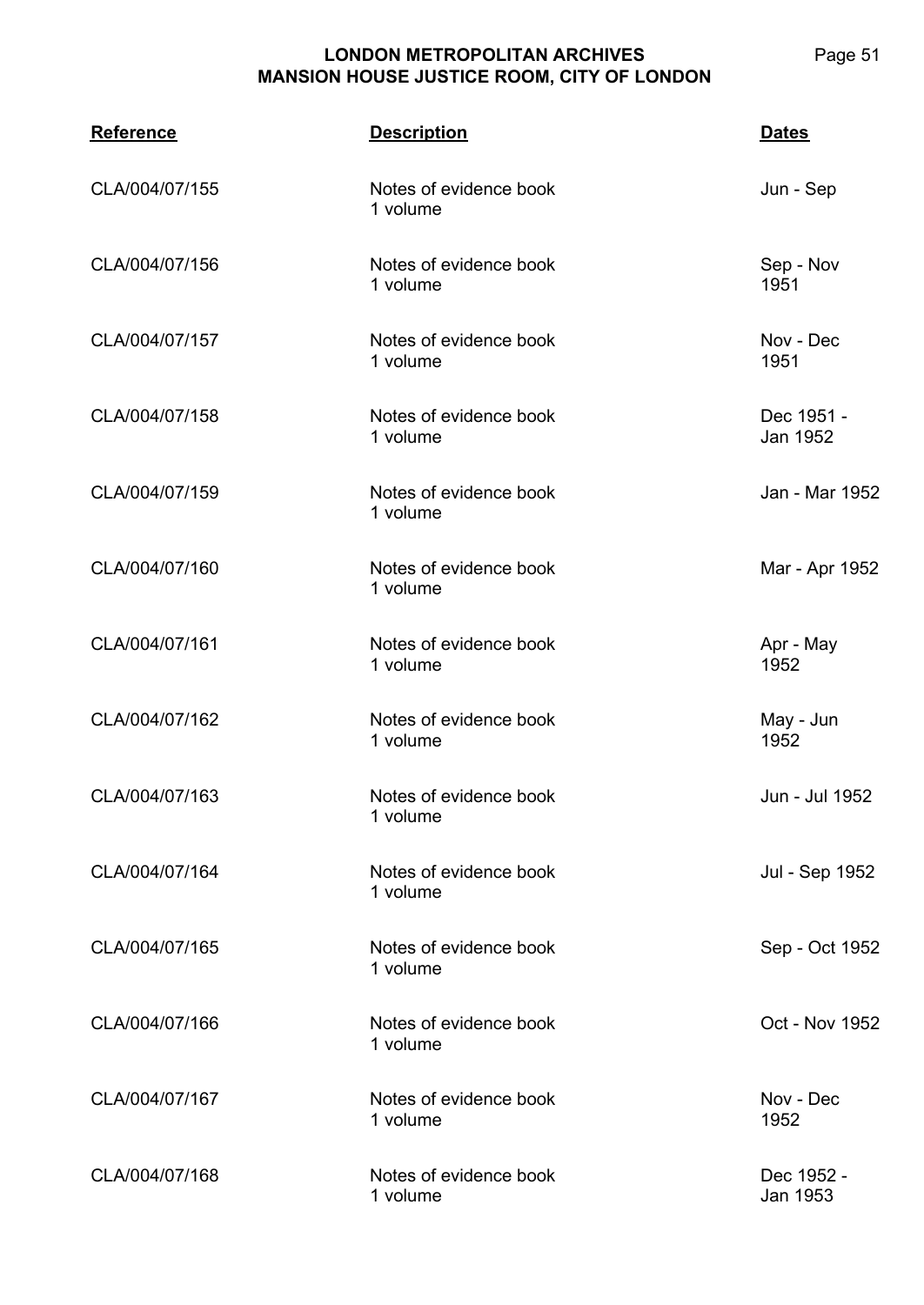**CLA/004 Reference Description Dates** CLA/004/07/155 Notes of evidence book 1 volume Jun - Sep CLA/004/07/156 Notes of evidence book 1 volume Sep - Nov 1951 CLA/004/07/157 Notes of evidence book 1 volume Nov - Dec 1951 CLA/004/07/158 Notes of evidence book 1 volume Dec 1951 - Jan 1952 CLA/004/07/159 Notes of evidence book 1 volume Jan - Mar 1952 CLA/004/07/160 Notes of evidence book 1 volume Mar - Apr 1952 CLA/004/07/161 Notes of evidence book 1 volume Apr - May 1952 CLA/004/07/162 Notes of evidence book 1 volume May - Jun 1952 CLA/004/07/163 Notes of evidence book 1 volume Jun - Jul 1952 CLA/004/07/164 Notes of evidence book 1 volume Jul - Sep 1952 CLA/004/07/165 Notes of evidence book 1 volume Sep - Oct 1952 CLA/004/07/166 Notes of evidence book 1 volume Oct - Nov 1952 CLA/004/07/167 Notes of evidence book 1 volume Nov - Dec 1952 CLA/004/07/168 Notes of evidence book 1 volume Dec 1952 - Jan 1953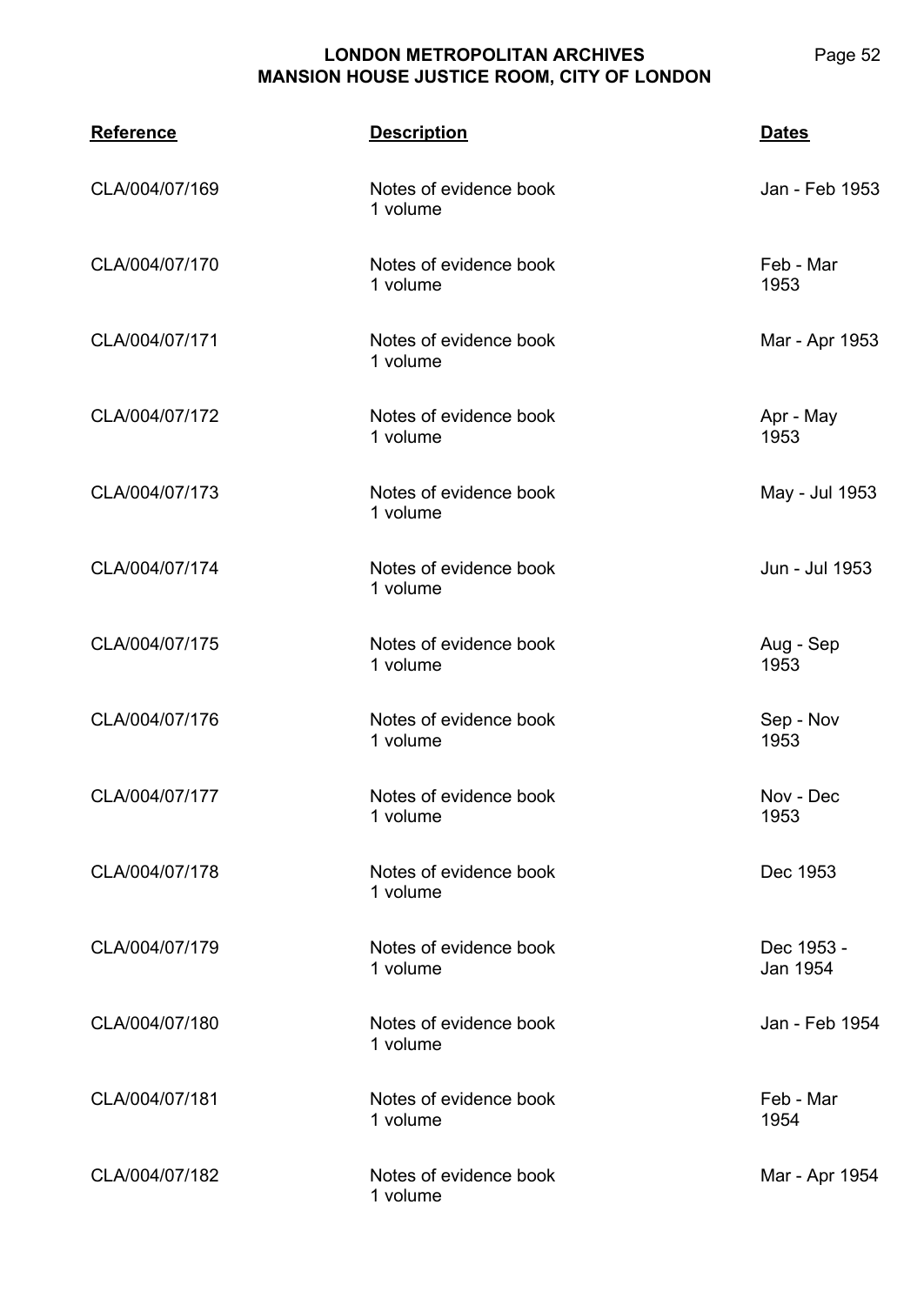| <b>Reference</b> | <b>Description</b>                 | <b>Dates</b>           |
|------------------|------------------------------------|------------------------|
| CLA/004/07/169   | Notes of evidence book<br>1 volume | Jan - Feb 1953         |
| CLA/004/07/170   | Notes of evidence book<br>1 volume | Feb - Mar<br>1953      |
| CLA/004/07/171   | Notes of evidence book<br>1 volume | Mar - Apr 1953         |
| CLA/004/07/172   | Notes of evidence book<br>1 volume | Apr - May<br>1953      |
| CLA/004/07/173   | Notes of evidence book<br>1 volume | May - Jul 1953         |
| CLA/004/07/174   | Notes of evidence book<br>1 volume | Jun - Jul 1953         |
| CLA/004/07/175   | Notes of evidence book<br>1 volume | Aug - Sep<br>1953      |
| CLA/004/07/176   | Notes of evidence book<br>1 volume | Sep - Nov<br>1953      |
| CLA/004/07/177   | Notes of evidence book<br>1 volume | Nov - Dec<br>1953      |
| CLA/004/07/178   | Notes of evidence book<br>1 volume | Dec 1953               |
| CLA/004/07/179   | Notes of evidence book<br>1 volume | Dec 1953 -<br>Jan 1954 |
| CLA/004/07/180   | Notes of evidence book<br>1 volume | Jan - Feb 1954         |
| CLA/004/07/181   | Notes of evidence book<br>1 volume | Feb - Mar<br>1954      |
| CLA/004/07/182   | Notes of evidence book<br>1 volume | Mar - Apr 1954         |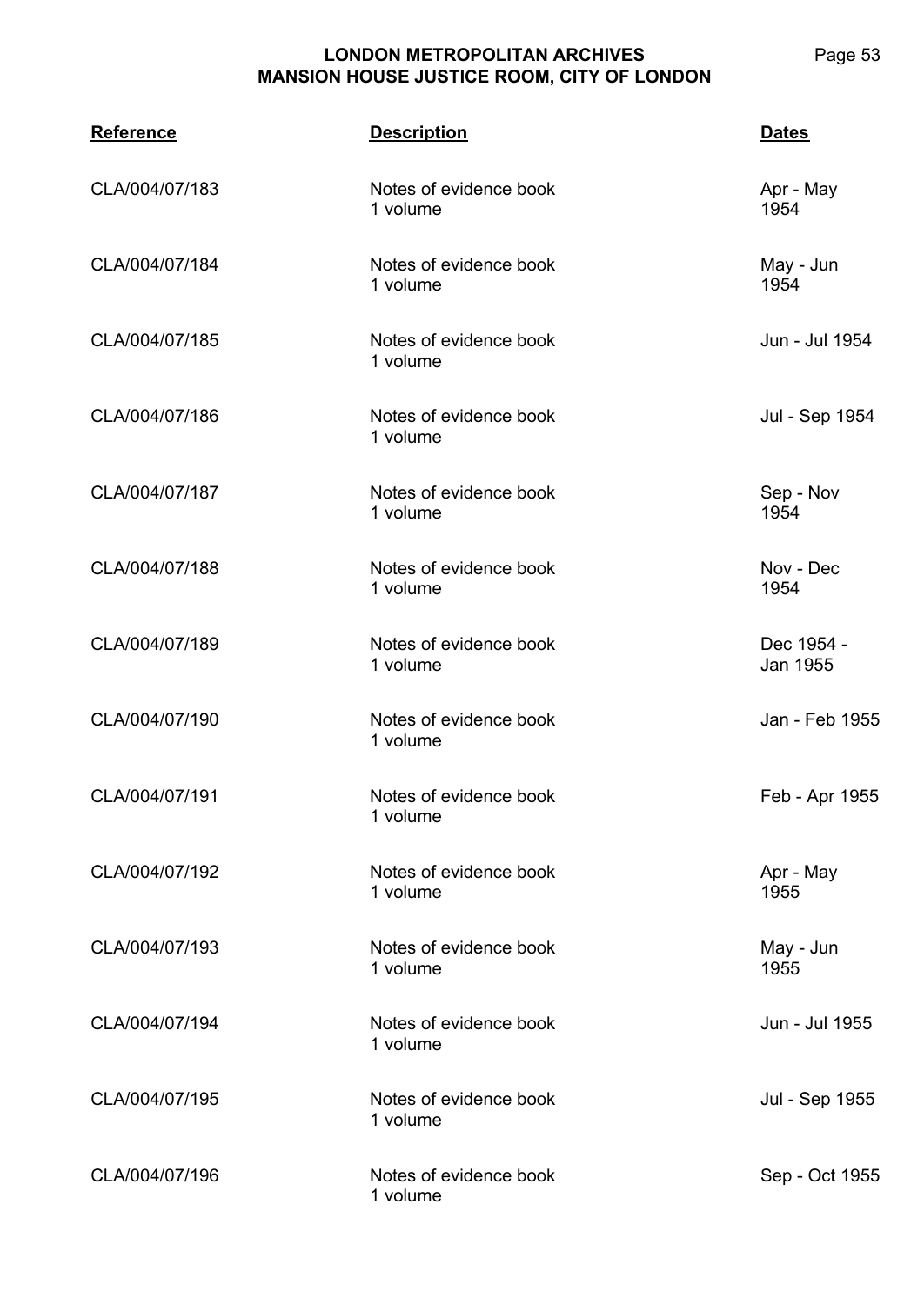**CLA/004 Reference Description Dates** CLA/004/07/183 Notes of evidence book 1 volume Apr - May 1954 CLA/004/07/184 Notes of evidence book 1 volume May - Jun 1954 CLA/004/07/185 Notes of evidence book 1 volume Jun - Jul 1954 CLA/004/07/186 Notes of evidence book 1 volume Jul - Sep 1954 CLA/004/07/187 Notes of evidence book 1 volume Sep - Nov 1954 CLA/004/07/188 Notes of evidence book 1 volume Nov - Dec 1954 CLA/004/07/189 Notes of evidence book 1 volume Dec 1954 - Jan 1955 CLA/004/07/190 Notes of evidence book 1 volume Jan - Feb 1955 CLA/004/07/191 Notes of evidence book 1 volume Feb - Apr 1955 CLA/004/07/192 Notes of evidence book 1 volume Apr - May 1955 CLA/004/07/193 Notes of evidence book 1 volume May - Jun 1955 CLA/004/07/194 Notes of evidence book 1 volume Jun - Jul 1955 CLA/004/07/195 Notes of evidence book 1 volume Jul - Sep 1955 CLA/004/07/196 Notes of evidence book 1 volume Sep - Oct 1955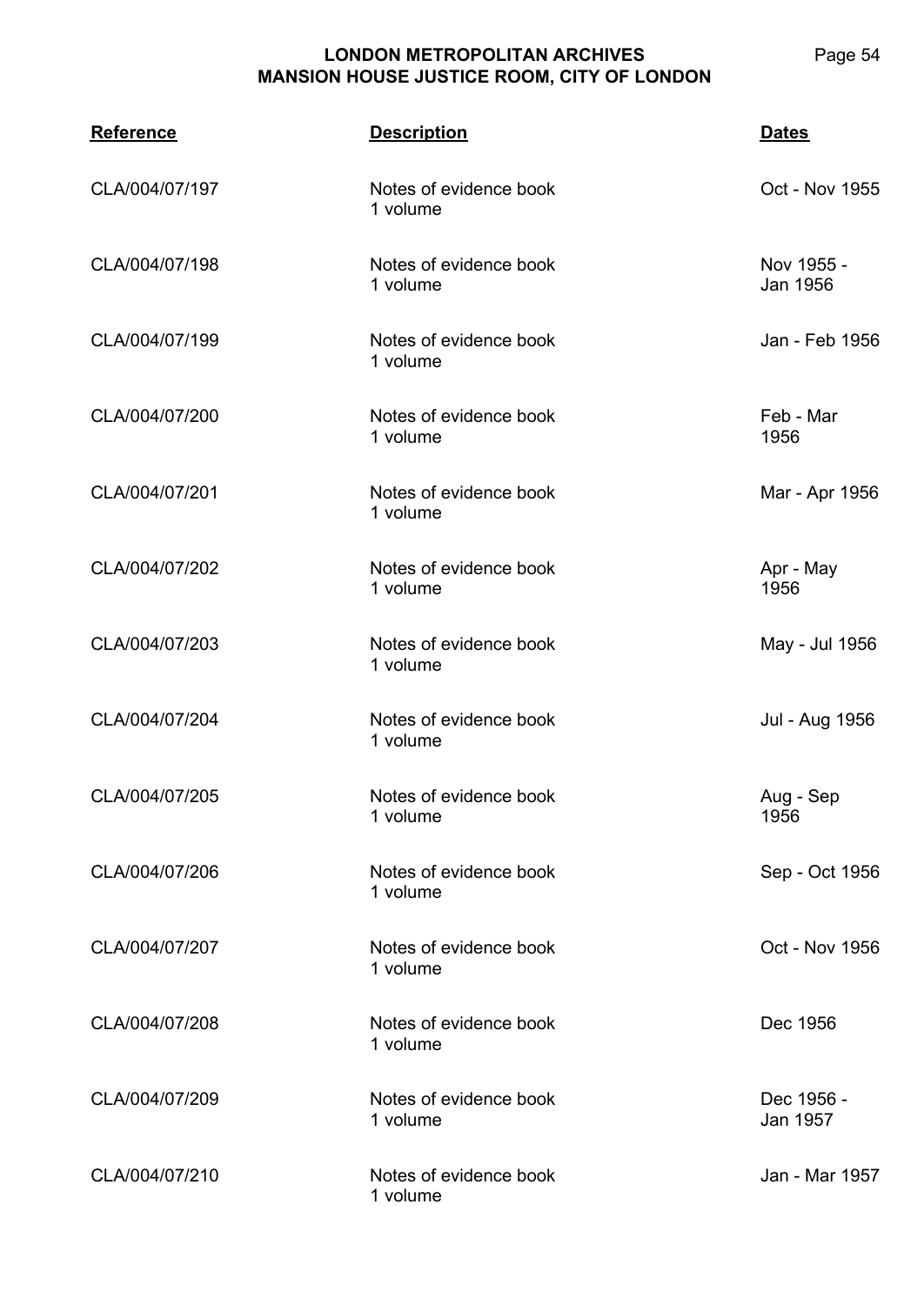| <b>Reference</b> | <b>Description</b>                 | <b>Dates</b>           |
|------------------|------------------------------------|------------------------|
| CLA/004/07/197   | Notes of evidence book<br>1 volume | Oct - Nov 1955         |
| CLA/004/07/198   | Notes of evidence book<br>1 volume | Nov 1955 -<br>Jan 1956 |
| CLA/004/07/199   | Notes of evidence book<br>1 volume | Jan - Feb 1956         |
| CLA/004/07/200   | Notes of evidence book<br>1 volume | Feb - Mar<br>1956      |
| CLA/004/07/201   | Notes of evidence book<br>1 volume | Mar - Apr 1956         |
| CLA/004/07/202   | Notes of evidence book<br>1 volume | Apr - May<br>1956      |
| CLA/004/07/203   | Notes of evidence book<br>1 volume | May - Jul 1956         |
| CLA/004/07/204   | Notes of evidence book<br>1 volume | Jul - Aug 1956         |
| CLA/004/07/205   | Notes of evidence book<br>1 volume | Aug - Sep<br>1956      |
| CLA/004/07/206   | Notes of evidence book<br>1 volume | Sep - Oct 1956         |
| CLA/004/07/207   | Notes of evidence book<br>1 volume | Oct - Nov 1956         |
| CLA/004/07/208   | Notes of evidence book<br>1 volume | Dec 1956               |
| CLA/004/07/209   | Notes of evidence book<br>1 volume | Dec 1956 -<br>Jan 1957 |
| CLA/004/07/210   | Notes of evidence book<br>1 volume | Jan - Mar 1957         |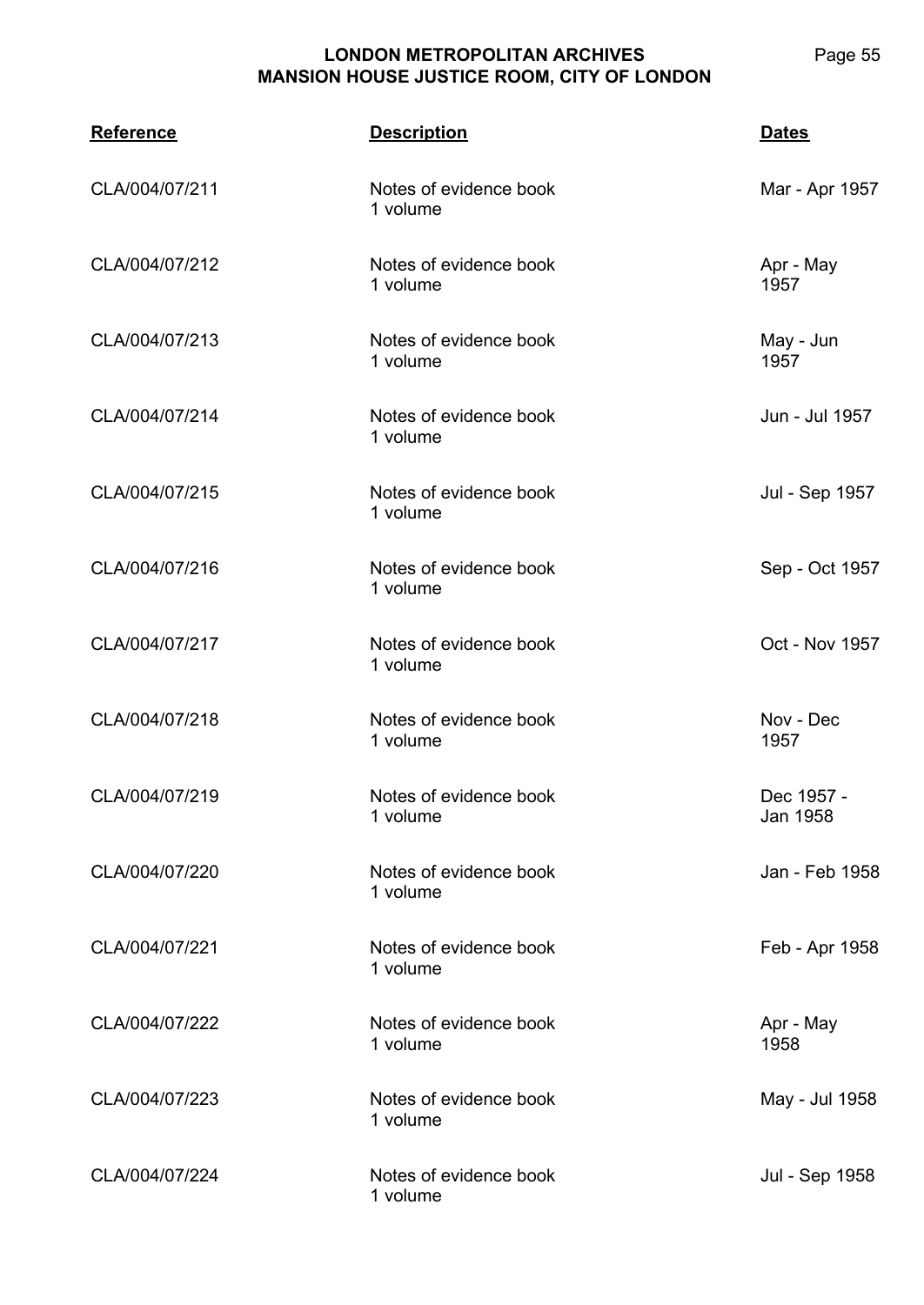| <b>Reference</b> | <b>Description</b>                 | <b>Dates</b>           |
|------------------|------------------------------------|------------------------|
| CLA/004/07/211   | Notes of evidence book<br>1 volume | Mar - Apr 1957         |
| CLA/004/07/212   | Notes of evidence book<br>1 volume | Apr - May<br>1957      |
| CLA/004/07/213   | Notes of evidence book<br>1 volume | May - Jun<br>1957      |
| CLA/004/07/214   | Notes of evidence book<br>1 volume | Jun - Jul 1957         |
| CLA/004/07/215   | Notes of evidence book<br>1 volume | Jul - Sep 1957         |
| CLA/004/07/216   | Notes of evidence book<br>1 volume | Sep - Oct 1957         |
| CLA/004/07/217   | Notes of evidence book<br>1 volume | Oct - Nov 1957         |
| CLA/004/07/218   | Notes of evidence book<br>1 volume | Nov - Dec<br>1957      |
| CLA/004/07/219   | Notes of evidence book<br>1 volume | Dec 1957 -<br>Jan 1958 |
| CLA/004/07/220   | Notes of evidence book<br>1 volume | Jan - Feb 1958         |
| CLA/004/07/221   | Notes of evidence book<br>1 volume | Feb - Apr 1958         |
| CLA/004/07/222   | Notes of evidence book<br>1 volume | Apr - May<br>1958      |
| CLA/004/07/223   | Notes of evidence book<br>1 volume | May - Jul 1958         |
| CLA/004/07/224   | Notes of evidence book<br>1 volume | Jul - Sep 1958         |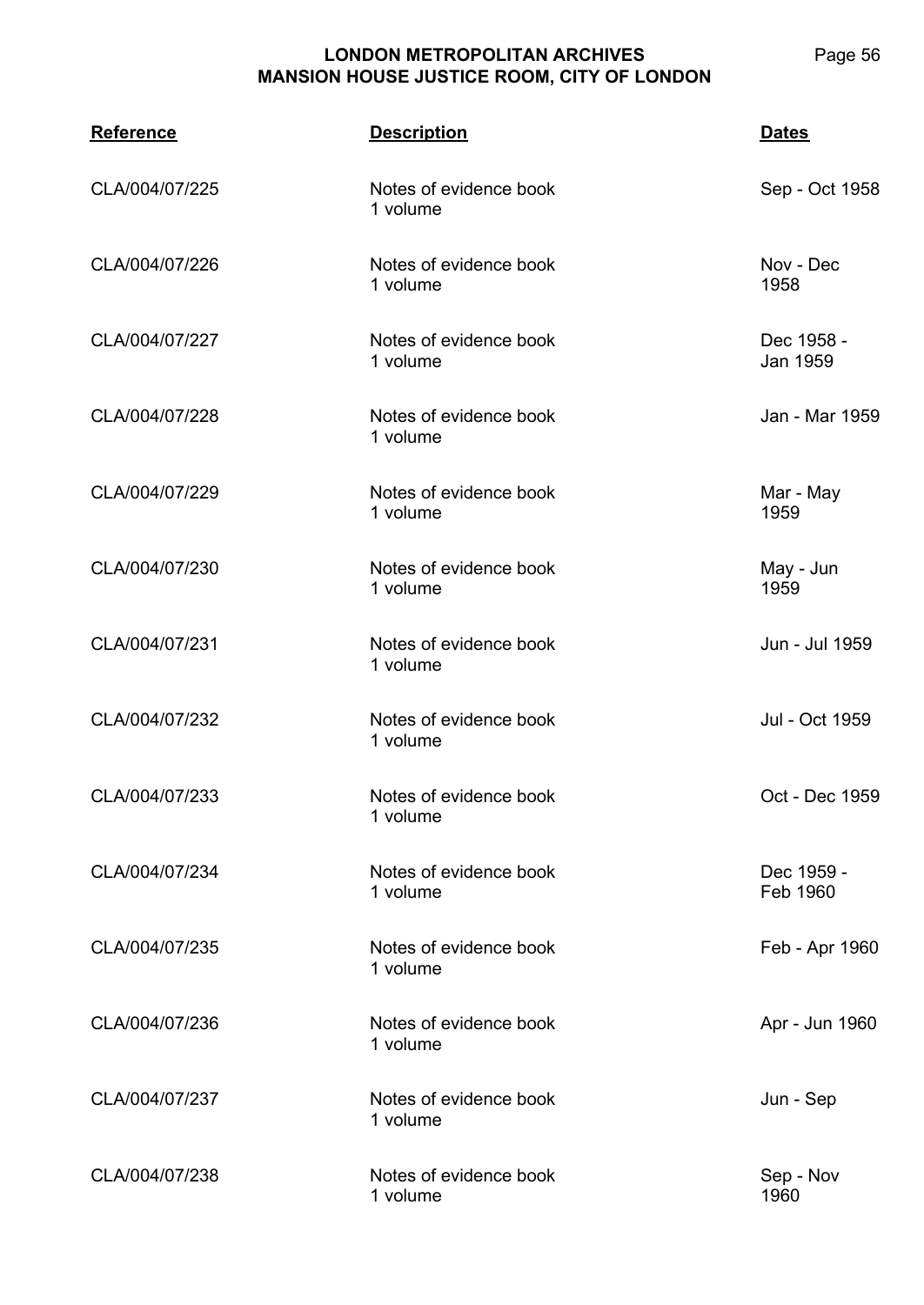| <b>Reference</b> | <b>Description</b>                 | <b>Dates</b>           |
|------------------|------------------------------------|------------------------|
| CLA/004/07/225   | Notes of evidence book<br>1 volume | Sep - Oct 1958         |
| CLA/004/07/226   | Notes of evidence book<br>1 volume | Nov - Dec<br>1958      |
| CLA/004/07/227   | Notes of evidence book<br>1 volume | Dec 1958 -<br>Jan 1959 |
| CLA/004/07/228   | Notes of evidence book<br>1 volume | Jan - Mar 1959         |
| CLA/004/07/229   | Notes of evidence book<br>1 volume | Mar - May<br>1959      |
| CLA/004/07/230   | Notes of evidence book<br>1 volume | May - Jun<br>1959      |
| CLA/004/07/231   | Notes of evidence book<br>1 volume | Jun - Jul 1959         |
| CLA/004/07/232   | Notes of evidence book<br>1 volume | Jul - Oct 1959         |
| CLA/004/07/233   | Notes of evidence book<br>1 volume | Oct - Dec 1959         |
| CLA/004/07/234   | Notes of evidence book<br>1 volume | Dec 1959 -<br>Feb 1960 |
| CLA/004/07/235   | Notes of evidence book<br>1 volume | Feb - Apr 1960         |
| CLA/004/07/236   | Notes of evidence book<br>1 volume | Apr - Jun 1960         |
| CLA/004/07/237   | Notes of evidence book<br>1 volume | Jun - Sep              |
| CLA/004/07/238   | Notes of evidence book<br>1 volume | Sep - Nov<br>1960      |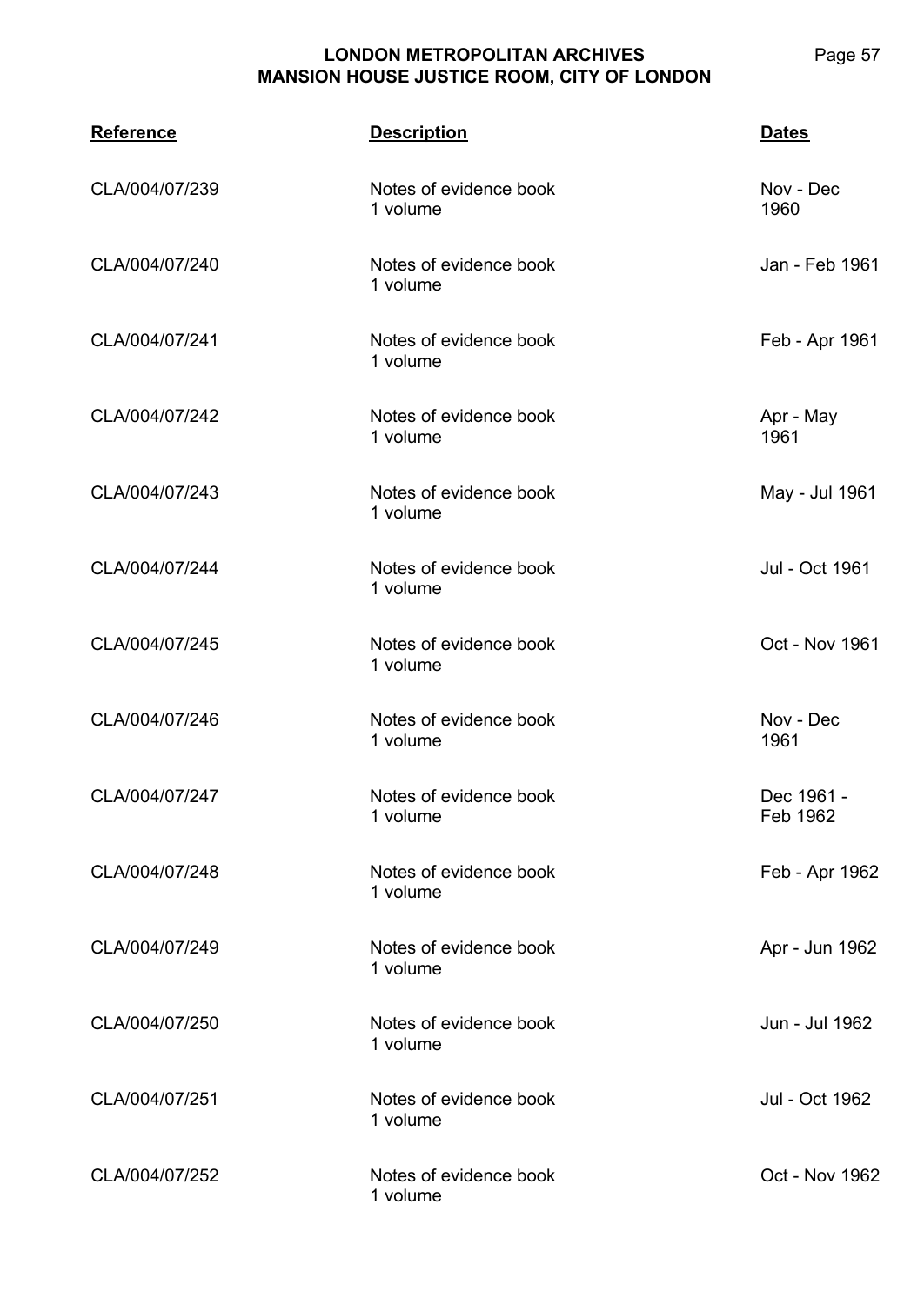| <b>Reference</b> | <b>Description</b>                 | <b>Dates</b>           |
|------------------|------------------------------------|------------------------|
| CLA/004/07/239   | Notes of evidence book<br>1 volume | Nov - Dec<br>1960      |
| CLA/004/07/240   | Notes of evidence book<br>1 volume | Jan - Feb 1961         |
| CLA/004/07/241   | Notes of evidence book<br>1 volume | Feb - Apr 1961         |
| CLA/004/07/242   | Notes of evidence book<br>1 volume | Apr - May<br>1961      |
| CLA/004/07/243   | Notes of evidence book<br>1 volume | May - Jul 1961         |
| CLA/004/07/244   | Notes of evidence book<br>1 volume | Jul - Oct 1961         |
| CLA/004/07/245   | Notes of evidence book<br>1 volume | Oct - Nov 1961         |
| CLA/004/07/246   | Notes of evidence book<br>1 volume | Nov - Dec<br>1961      |
| CLA/004/07/247   | Notes of evidence book<br>1 volume | Dec 1961 -<br>Feb 1962 |
| CLA/004/07/248   | Notes of evidence book<br>1 volume | Feb - Apr 1962         |
| CLA/004/07/249   | Notes of evidence book<br>1 volume | Apr - Jun 1962         |
| CLA/004/07/250   | Notes of evidence book<br>1 volume | Jun - Jul 1962         |
| CLA/004/07/251   | Notes of evidence book<br>1 volume | Jul - Oct 1962         |
| CLA/004/07/252   | Notes of evidence book<br>1 volume | Oct - Nov 1962         |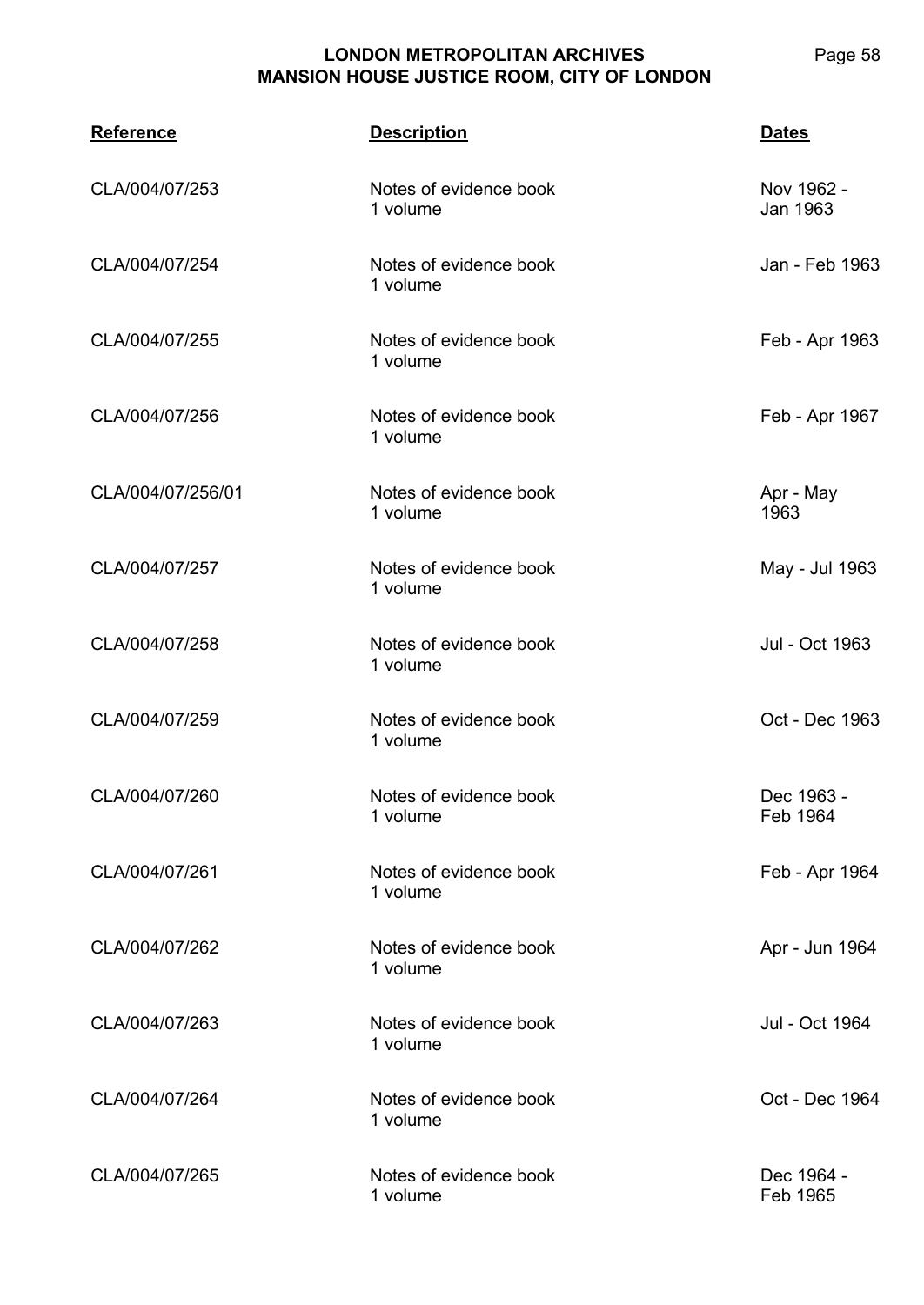**CLA/004 Reference Description Dates** CLA/004/07/253 Notes of evidence book 1 volume Nov 1962 - Jan 1963 CLA/004/07/254 Notes of evidence book 1 volume Jan - Feb 1963 CLA/004/07/255 Notes of evidence book 1 volume Feb - Apr 1963 CLA/004/07/256 Notes of evidence book 1 volume Feb - Apr 1967 CLA/004/07/256/01 Notes of evidence book 1 volume Apr - May 1963 CLA/004/07/257 Notes of evidence book 1 volume May - Jul 1963 CLA/004/07/258 Notes of evidence book 1 volume Jul - Oct 1963 CLA/004/07/259 Notes of evidence book 1 volume Oct - Dec 1963 CLA/004/07/260 Notes of evidence book 1 volume Dec 1963 - Feb 1964 CLA/004/07/261 Notes of evidence book 1 volume Feb - Apr 1964 CLA/004/07/262 Notes of evidence book 1 volume Apr - Jun 1964 CLA/004/07/263 Notes of evidence book 1 volume Jul - Oct 1964 CLA/004/07/264 Notes of evidence book 1 volume Oct - Dec 1964 CLA/004/07/265 Notes of evidence book 1 volume Dec 1964 - Feb 1965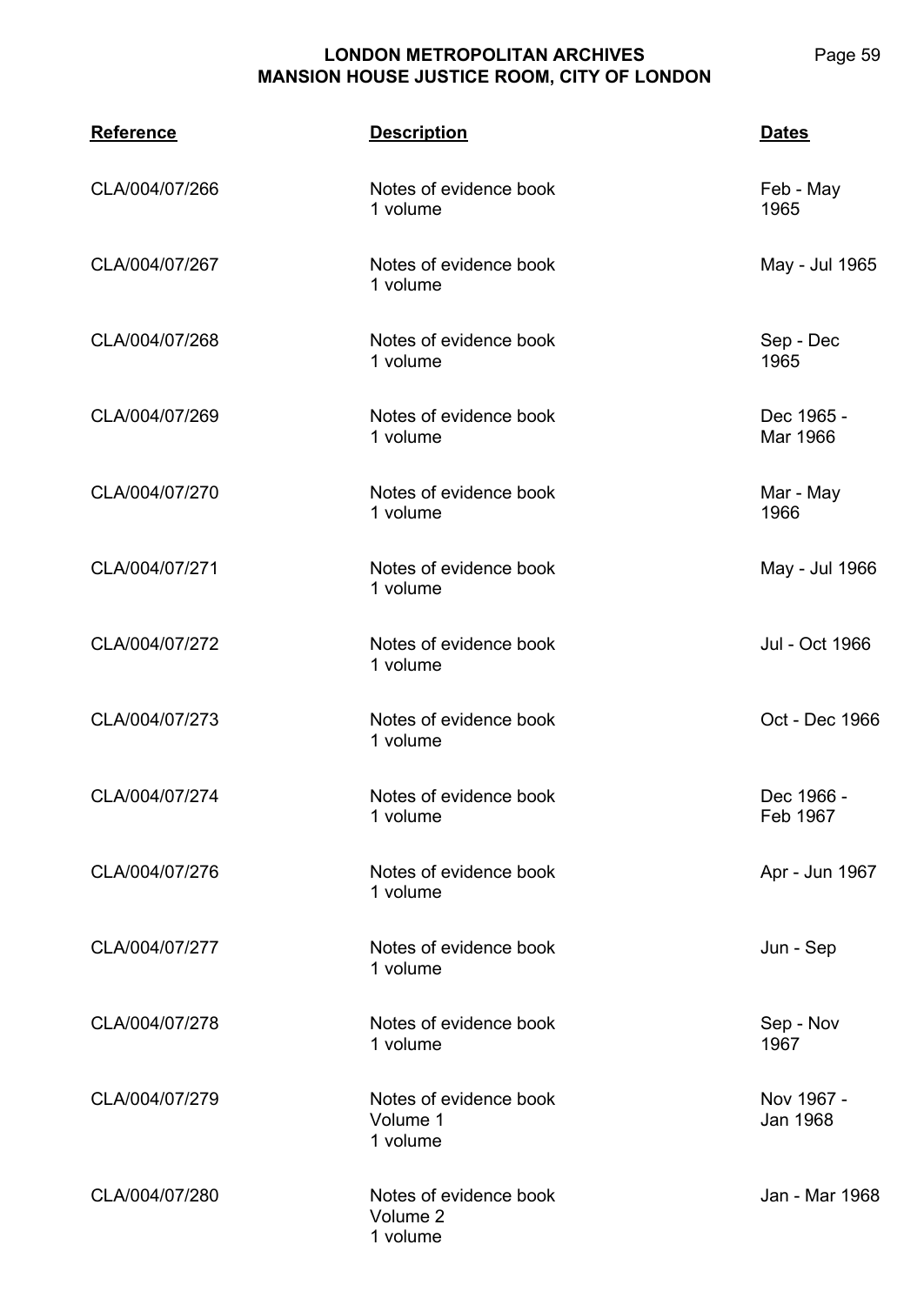**CLA/004 Reference Description Dates** CLA/004/07/266 Notes of evidence book 1 volume Feb - May 1965 CLA/004/07/267 Notes of evidence book 1 volume May - Jul 1965 CLA/004/07/268 Notes of evidence book 1 volume Sep - Dec 1965 CLA/004/07/269 Notes of evidence book 1 volume Dec 1965 - Mar 1966 CLA/004/07/270 Notes of evidence book 1 volume Mar - May 1966 CLA/004/07/271 Notes of evidence book 1 volume May - Jul 1966 CLA/004/07/272 Notes of evidence book 1 volume Jul - Oct 1966 CLA/004/07/273 Notes of evidence book 1 volume Oct - Dec 1966 CLA/004/07/274 Notes of evidence book 1 volume Dec 1966 - Feb 1967 CLA/004/07/276 Notes of evidence book 1 volume Apr - Jun 1967 CLA/004/07/277 Notes of evidence book 1 volume Jun - Sep CLA/004/07/278 Notes of evidence book 1 volume Sep - Nov 1967 CLA/004/07/279 Notes of evidence book Volume 1 1 volume Nov 1967 - Jan 1968 CLA/004/07/280 Notes of evidence book Volume 2 1 volume Jan - Mar 1968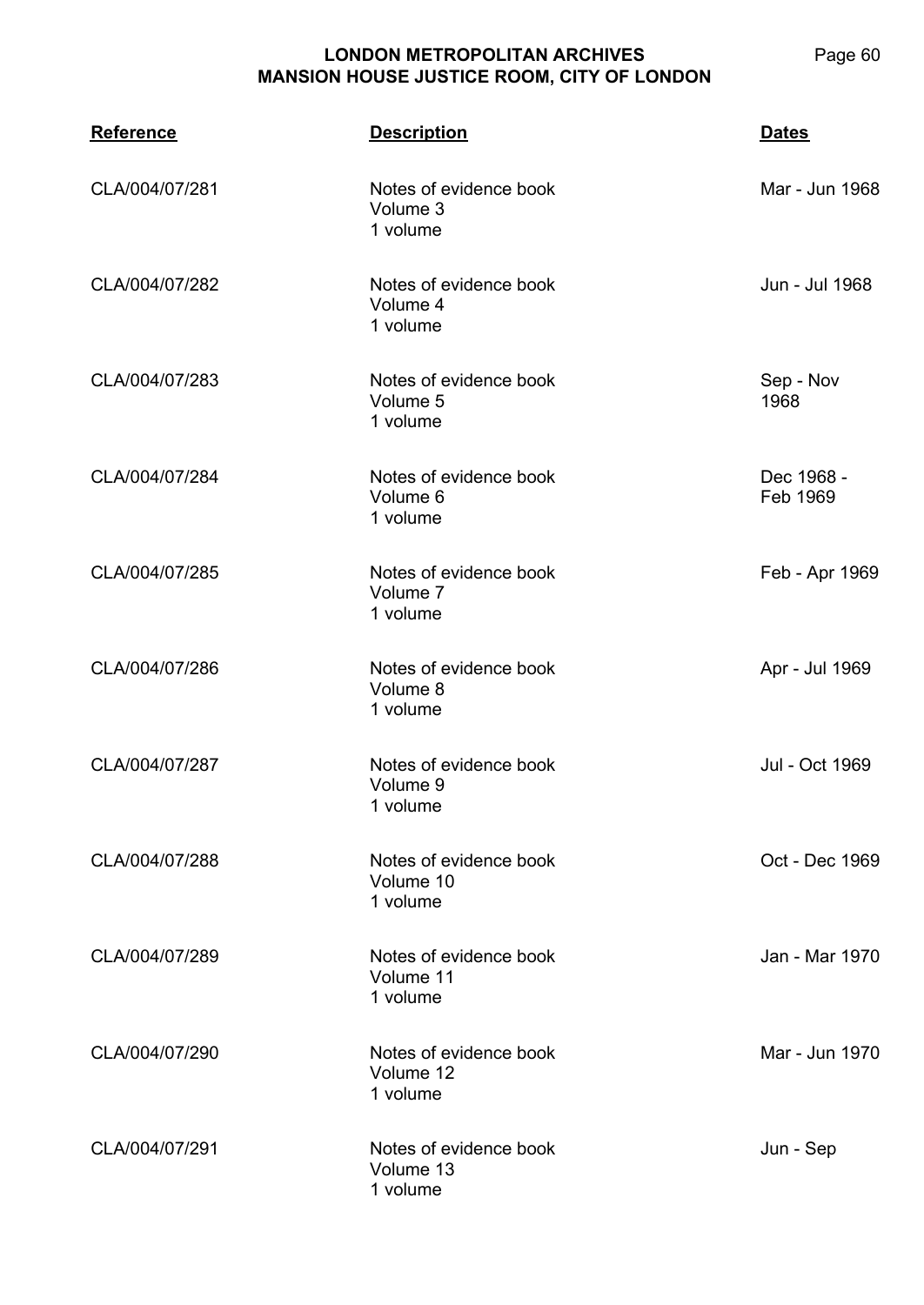| <b>Reference</b> | <b>Description</b>                              | <b>Dates</b>           |
|------------------|-------------------------------------------------|------------------------|
| CLA/004/07/281   | Notes of evidence book<br>Volume 3<br>1 volume  | Mar - Jun 1968         |
| CLA/004/07/282   | Notes of evidence book<br>Volume 4<br>1 volume  | Jun - Jul 1968         |
| CLA/004/07/283   | Notes of evidence book<br>Volume 5<br>1 volume  | Sep - Nov<br>1968      |
| CLA/004/07/284   | Notes of evidence book<br>Volume 6<br>1 volume  | Dec 1968 -<br>Feb 1969 |
| CLA/004/07/285   | Notes of evidence book<br>Volume 7<br>1 volume  | Feb - Apr 1969         |
| CLA/004/07/286   | Notes of evidence book<br>Volume 8<br>1 volume  | Apr - Jul 1969         |
| CLA/004/07/287   | Notes of evidence book<br>Volume 9<br>1 volume  | Jul - Oct 1969         |
| CLA/004/07/288   | Notes of evidence book<br>Volume 10<br>1 volume | Oct - Dec 1969         |
| CLA/004/07/289   | Notes of evidence book<br>Volume 11<br>1 volume | Jan - Mar 1970         |
| CLA/004/07/290   | Notes of evidence book<br>Volume 12<br>1 volume | Mar - Jun 1970         |
| CLA/004/07/291   | Notes of evidence book<br>Volume 13<br>1 volume | Jun - Sep              |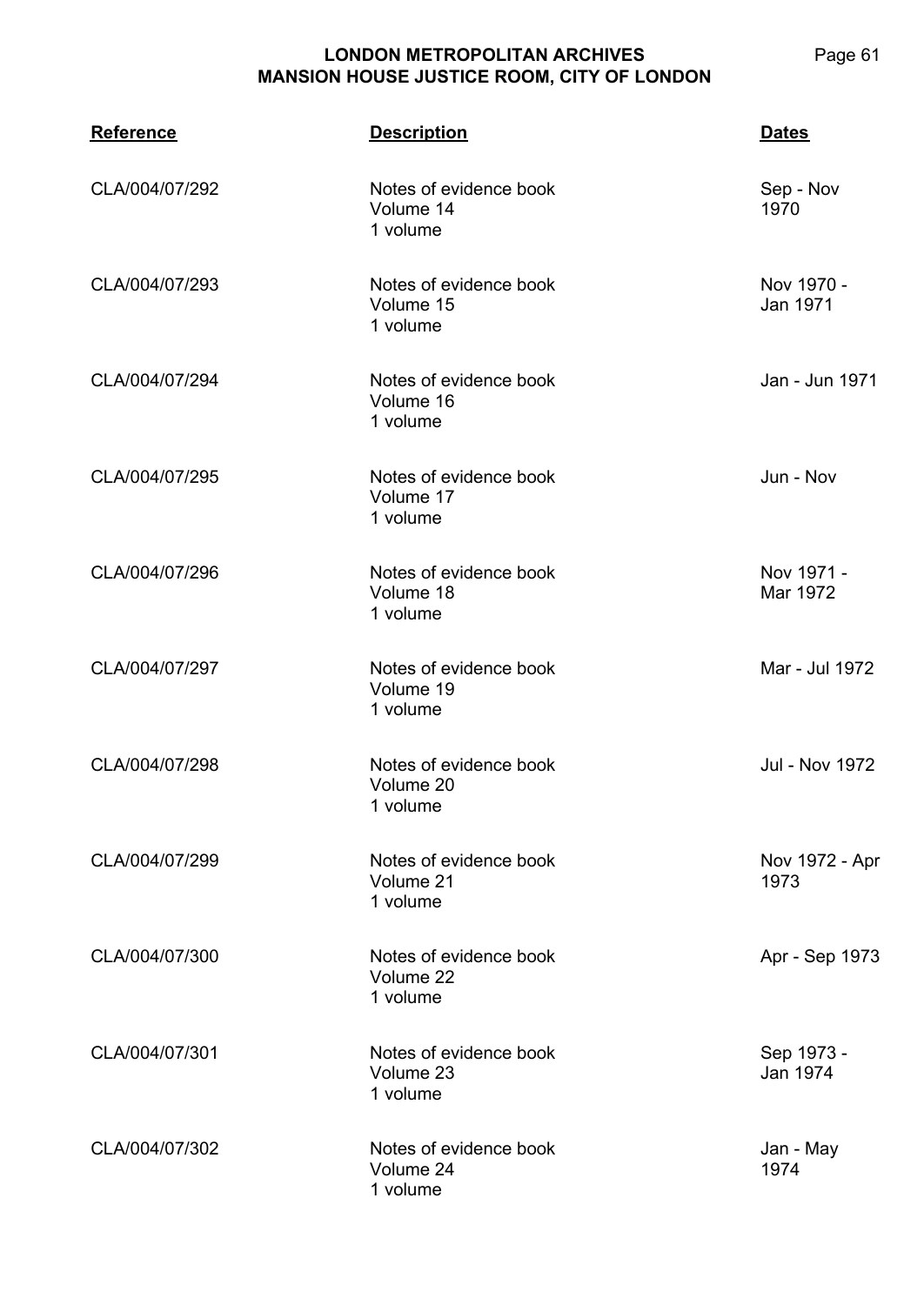**CLA/004 Reference Description Dates** CLA/004/07/292 Notes of evidence book Volume 14 1 volume Sep - Nov 1970 CLA/004/07/293 Notes of evidence book Volume 15 1 volume Nov 1970 - Jan 1971 CLA/004/07/294 Notes of evidence book Volume 16 1 volume Jan - Jun 1971 CLA/004/07/295 Notes of evidence book Volume 17 1 volume Jun - Nov CLA/004/07/296 Notes of evidence book Volume 18 1 volume Nov 1971 - Mar 1972 CLA/004/07/297 Notes of evidence book Volume 19 1 volume Mar - Jul 1972 CLA/004/07/298 Notes of evidence book Volume 20 1 volume Jul - Nov 1972 CLA/004/07/299 Notes of evidence book Volume 21 1 volume Nov 1972 - Apr 1973 CLA/004/07/300 Notes of evidence book Volume 22 1 volume Apr - Sep 1973 CLA/004/07/301 Notes of evidence book Volume 23 1 volume Sep 1973 - Jan 1974 CLA/004/07/302 Notes of evidence book Volume 24 1 volume Jan - May 1974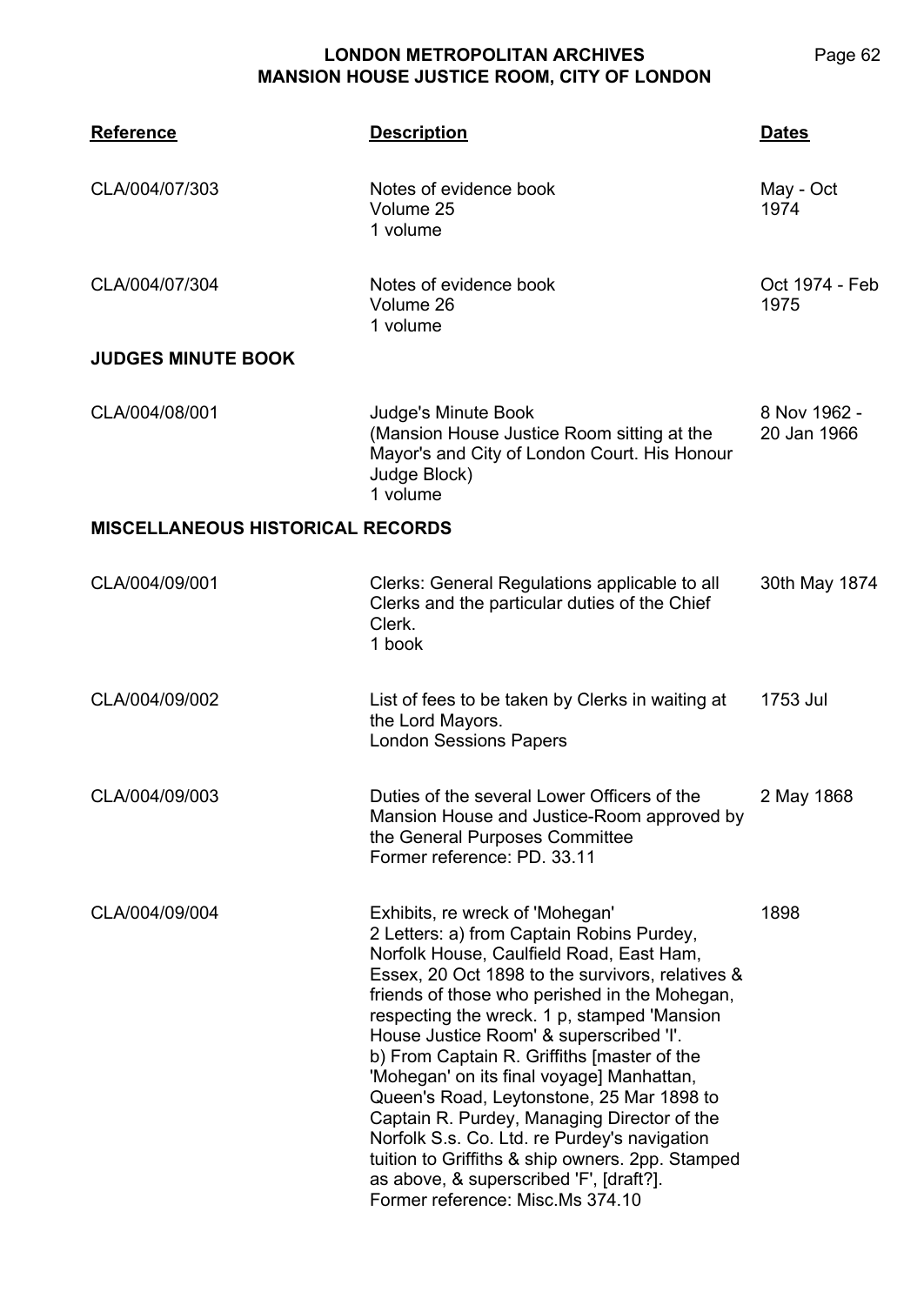**CLA/004 Reference Description Dates** CLA/004/07/303 Notes of evidence book Volume 25 1 volume May - Oct 1974 CLA/004/07/304 Notes of evidence book Volume 26 1 volume Oct 1974 - Feb 1975 **JUDGES MINUTE BOOK** CLA/004/08/001 Judge's Minute Book (Mansion House Justice Room sitting at the Mayor's and City of London Court. His Honour Judge Block) 1 volume 8 Nov 1962 - 20 Jan 1966 **MISCELLANEOUS HISTORICAL RECORDS** CLA/004/09/001 Clerks: General Regulations applicable to all Clerks and the particular duties of the Chief Clerk. 1 book 30th May 1874 CLA/004/09/002 List of fees to be taken by Clerks in waiting at the Lord Mayors. London Sessions Papers 1753 Jul CLA/004/09/003 Duties of the several Lower Officers of the Mansion House and Justice-Room approved by the General Purposes Committee Former reference: PD. 33.11 2 May 1868 CLA/004/09/004 Exhibits, re wreck of 'Mohegan' 2 Letters: a) from Captain Robins Purdey, Norfolk House, Caulfield Road, East Ham, Essex, 20 Oct 1898 to the survivors, relatives & friends of those who perished in the Mohegan, respecting the wreck. 1 p, stamped 'Mansion House Justice Room' & superscribed 'I'. b) From Captain R. Griffiths [master of the 'Mohegan' on its final voyage] Manhattan, Queen's Road, Leytonstone, 25 Mar 1898 to Captain R. Purdey, Managing Director of the Norfolk S.s. Co. Ltd. re Purdey's navigation tuition to Griffiths & ship owners. 2pp. Stamped as above, & superscribed 'F', [draft?]. Former reference: Misc.Ms 374.10 1898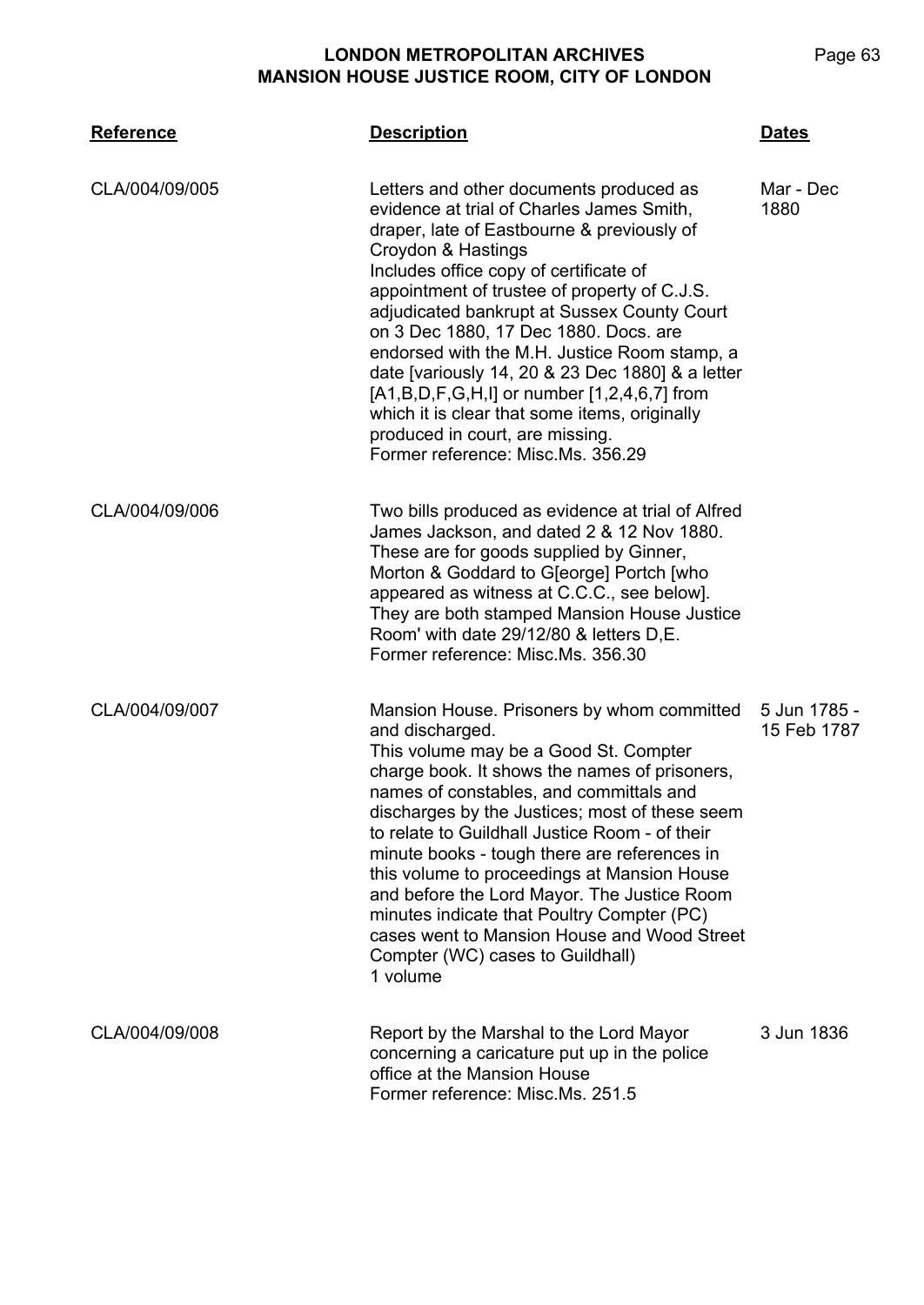| <b>Reference</b> | <b>Description</b>                                                                                                                                                                                                                                                                                                                                                                                                                                                                                                                                                                                                         | <b>Dates</b>                |
|------------------|----------------------------------------------------------------------------------------------------------------------------------------------------------------------------------------------------------------------------------------------------------------------------------------------------------------------------------------------------------------------------------------------------------------------------------------------------------------------------------------------------------------------------------------------------------------------------------------------------------------------------|-----------------------------|
| CLA/004/09/005   | Letters and other documents produced as<br>evidence at trial of Charles James Smith.<br>draper, late of Eastbourne & previously of<br>Croydon & Hastings<br>Includes office copy of certificate of<br>appointment of trustee of property of C.J.S.<br>adjudicated bankrupt at Sussex County Court<br>on 3 Dec 1880, 17 Dec 1880. Docs. are<br>endorsed with the M.H. Justice Room stamp, a<br>date [variously 14, 20 & 23 Dec 1880] & a letter<br>$[A1,B,D,F,G,H,I]$ or number $[1,2,4,6,7]$ from<br>which it is clear that some items, originally<br>produced in court, are missing.<br>Former reference: Misc.Ms. 356.29 | Mar - Dec<br>1880           |
| CLA/004/09/006   | Two bills produced as evidence at trial of Alfred<br>James Jackson, and dated 2 & 12 Nov 1880.<br>These are for goods supplied by Ginner,<br>Morton & Goddard to G[eorge] Portch [who<br>appeared as witness at C.C.C., see below].<br>They are both stamped Mansion House Justice<br>Room' with date 29/12/80 & letters D.E.<br>Former reference: Misc.Ms, 356.30                                                                                                                                                                                                                                                         |                             |
| CLA/004/09/007   | Mansion House. Prisoners by whom committed<br>and discharged.<br>This volume may be a Good St. Compter<br>charge book. It shows the names of prisoners,<br>names of constables, and committals and<br>discharges by the Justices; most of these seem<br>to relate to Guildhall Justice Room - of their<br>minute books - tough there are references in<br>this volume to proceedings at Mansion House<br>and before the Lord Mayor. The Justice Room<br>minutes indicate that Poultry Compter (PC)<br>cases went to Mansion House and Wood Street<br>Compter (WC) cases to Guildhall)<br>1 volume                          | 5 Jun 1785 -<br>15 Feb 1787 |
| CLA/004/09/008   | Report by the Marshal to the Lord Mayor<br>concerning a caricature put up in the police<br>office at the Mansion House<br>Former reference: Misc.Ms. 251.5                                                                                                                                                                                                                                                                                                                                                                                                                                                                 | 3 Jun 1836                  |